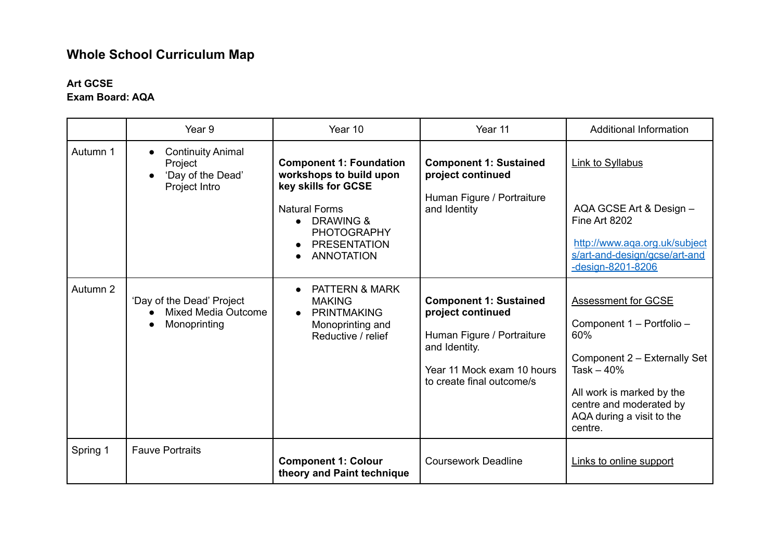# **Whole School Curriculum Map**

# **Art GCSE**

|          | Year <sub>9</sub>                                                         | Year 10                                                                                                                                                                                           | Year 11                                                                                                                                                      | <b>Additional Information</b>                                                                                                                                                                                 |
|----------|---------------------------------------------------------------------------|---------------------------------------------------------------------------------------------------------------------------------------------------------------------------------------------------|--------------------------------------------------------------------------------------------------------------------------------------------------------------|---------------------------------------------------------------------------------------------------------------------------------------------------------------------------------------------------------------|
| Autumn 1 | <b>Continuity Animal</b><br>Project<br>'Day of the Dead'<br>Project Intro | <b>Component 1: Foundation</b><br>workshops to build upon<br>key skills for GCSE<br><b>Natural Forms</b><br>$\bullet$ DRAWING &<br><b>PHOTOGRAPHY</b><br><b>PRESENTATION</b><br><b>ANNOTATION</b> | <b>Component 1: Sustained</b><br>project continued<br>Human Figure / Portraiture<br>and Identity                                                             | <b>Link to Syllabus</b><br>AQA GCSE Art & Design -<br>Fine Art 8202<br>http://www.aqa.org.uk/subject<br>s/art-and-design/gcse/art-and<br>-design-8201-8206                                                    |
| Autumn 2 | 'Day of the Dead' Project<br><b>Mixed Media Outcome</b><br>Monoprinting   | <b>PATTERN &amp; MARK</b><br><b>MAKING</b><br><b>PRINTMAKING</b><br>Monoprinting and<br>Reductive / relief                                                                                        | <b>Component 1: Sustained</b><br>project continued<br>Human Figure / Portraiture<br>and Identity.<br>Year 11 Mock exam 10 hours<br>to create final outcome/s | <b>Assessment for GCSE</b><br>Component 1 - Portfolio -<br>60%<br>Component 2 - Externally Set<br>Task $-40%$<br>All work is marked by the<br>centre and moderated by<br>AQA during a visit to the<br>centre. |
| Spring 1 | <b>Fauve Portraits</b>                                                    | <b>Component 1: Colour</b><br>theory and Paint technique                                                                                                                                          | <b>Coursework Deadline</b>                                                                                                                                   | Links to online support                                                                                                                                                                                       |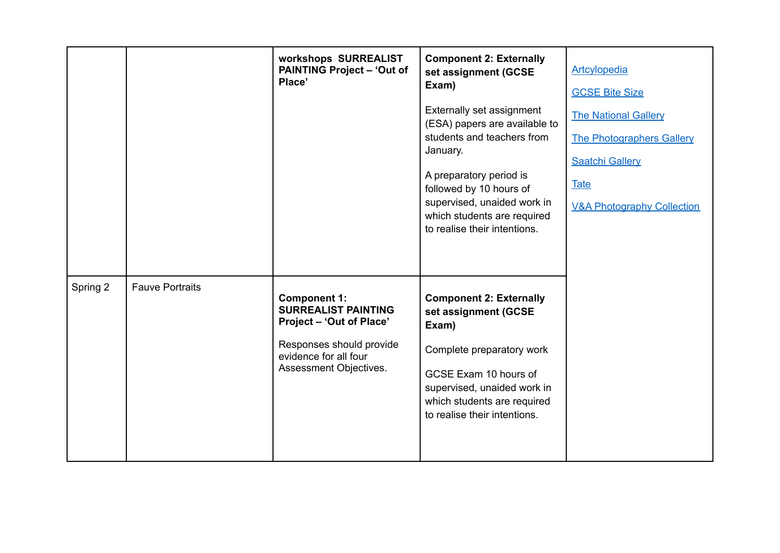|          |                        | workshops SURREALIST<br><b>PAINTING Project - 'Out of</b><br>Place'                                                                                          | <b>Component 2: Externally</b><br>set assignment (GCSE<br>Exam)<br>Externally set assignment<br>(ESA) papers are available to<br>students and teachers from<br>January.<br>A preparatory period is<br>followed by 10 hours of<br>supervised, unaided work in<br>which students are required<br>to realise their intentions. | Artcylopedia<br><b>GCSE Bite Size</b><br><b>The National Gallery</b><br><b>The Photographers Gallery</b><br><b>Saatchi Gallery</b><br><b>Tate</b><br><b>V&amp;A Photography Collection</b> |
|----------|------------------------|--------------------------------------------------------------------------------------------------------------------------------------------------------------|-----------------------------------------------------------------------------------------------------------------------------------------------------------------------------------------------------------------------------------------------------------------------------------------------------------------------------|--------------------------------------------------------------------------------------------------------------------------------------------------------------------------------------------|
| Spring 2 | <b>Fauve Portraits</b> | <b>Component 1:</b><br><b>SURREALIST PAINTING</b><br>Project - 'Out of Place'<br>Responses should provide<br>evidence for all four<br>Assessment Objectives. | <b>Component 2: Externally</b><br>set assignment (GCSE<br>Exam)<br>Complete preparatory work<br>GCSE Exam 10 hours of<br>supervised, unaided work in<br>which students are required<br>to realise their intentions.                                                                                                         |                                                                                                                                                                                            |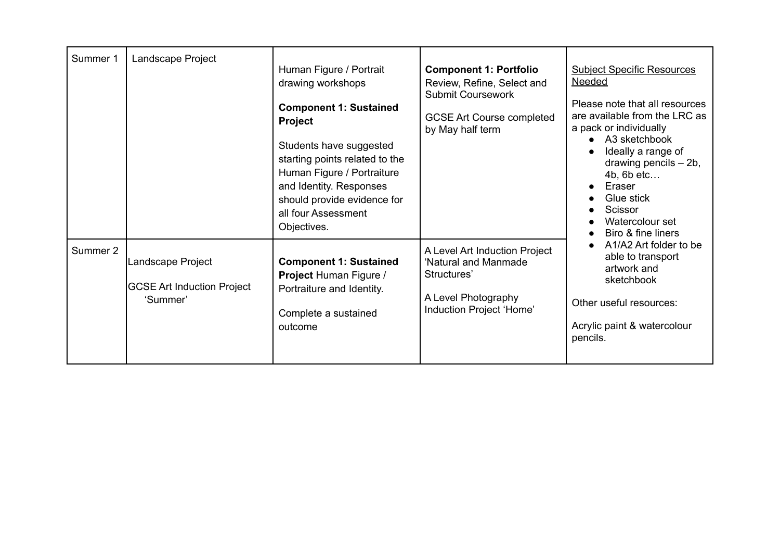| Summer 1 | Landscape Project                                                  | Human Figure / Portrait<br>drawing workshops<br><b>Component 1: Sustained</b><br><b>Project</b><br>Students have suggested<br>starting points related to the<br>Human Figure / Portraiture<br>and Identity. Responses<br>should provide evidence for<br>all four Assessment<br>Objectives. | <b>Component 1: Portfolio</b><br>Review, Refine, Select and<br><b>Submit Coursework</b><br><b>GCSE Art Course completed</b><br>by May half term | <b>Subject Specific Resources</b><br><b>Needed</b><br>Please note that all resources<br>are available from the LRC as<br>a pack or individually<br>A3 sketchbook<br>Ideally a range of<br>drawing pencils - 2b,<br>$4b$ , 6b etc<br>Eraser<br>Glue stick<br>Scissor<br>Watercolour set<br>Biro & fine liners |
|----------|--------------------------------------------------------------------|--------------------------------------------------------------------------------------------------------------------------------------------------------------------------------------------------------------------------------------------------------------------------------------------|-------------------------------------------------------------------------------------------------------------------------------------------------|--------------------------------------------------------------------------------------------------------------------------------------------------------------------------------------------------------------------------------------------------------------------------------------------------------------|
| Summer 2 | Landscape Project<br><b>GCSE Art Induction Project</b><br>'Summer' | <b>Component 1: Sustained</b><br>Project Human Figure /<br>Portraiture and Identity.<br>Complete a sustained<br>outcome                                                                                                                                                                    | A Level Art Induction Project<br>'Natural and Manmade<br>Structures'<br>A Level Photography<br>Induction Project 'Home'                         | A1/A2 Art folder to be<br>able to transport<br>artwork and<br>sketchbook<br>Other useful resources:<br>Acrylic paint & watercolour<br>pencils.                                                                                                                                                               |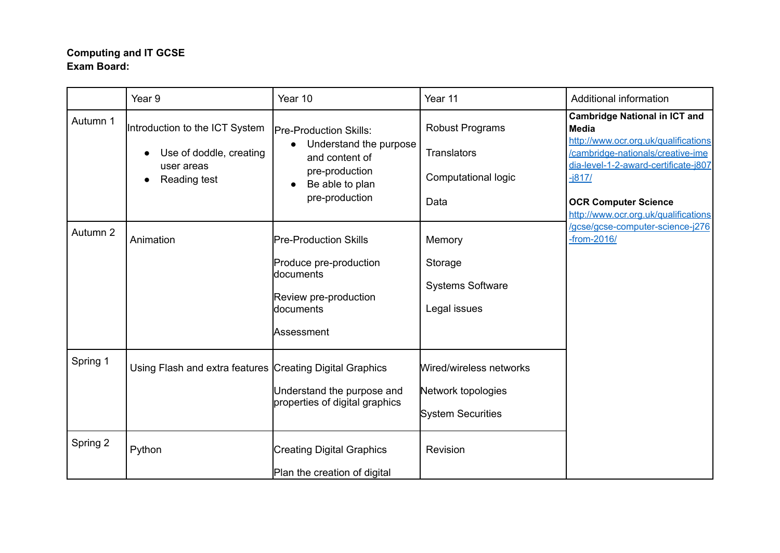# **Computing and IT GCSE Exam Board:**

|          | Year 9                                                                                  | Year 10                                                                                                                                       | Year 11                                                                     | Additional information                                                                                                                                                                                                                                       |
|----------|-----------------------------------------------------------------------------------------|-----------------------------------------------------------------------------------------------------------------------------------------------|-----------------------------------------------------------------------------|--------------------------------------------------------------------------------------------------------------------------------------------------------------------------------------------------------------------------------------------------------------|
| Autumn 1 | Introduction to the ICT System<br>Use of doddle, creating<br>user areas<br>Reading test | <b>Pre-Production Skills:</b><br>Understand the purpose<br>$\bullet$<br>and content of<br>pre-production<br>Be able to plan<br>pre-production | <b>Robust Programs</b><br><b>Translators</b><br>Computational logic<br>Data | <b>Cambridge National in ICT and</b><br><b>Media</b><br>http://www.ocr.org.uk/qualifications<br>/cambridge-nationals/creative-ime<br>dia-level-1-2-award-certificate-j807<br>$-i817/$<br><b>OCR Computer Science</b><br>http://www.ocr.org.uk/qualifications |
| Autumn 2 | Animation                                                                               | <b>Pre-Production Skills</b><br>Produce pre-production<br>documents<br>Review pre-production<br>documents<br>Assessment                       | Memory<br>Storage<br><b>Systems Software</b><br>Legal issues                | /gcse/gcse-computer-science-j276<br>$-$ from $-2016/$                                                                                                                                                                                                        |
| Spring 1 | Using Flash and extra features Creating Digital Graphics                                | Understand the purpose and<br>properties of digital graphics                                                                                  | Wired/wireless networks<br>Network topologies<br><b>System Securities</b>   |                                                                                                                                                                                                                                                              |
| Spring 2 | Python                                                                                  | <b>Creating Digital Graphics</b><br>Plan the creation of digital                                                                              | Revision                                                                    |                                                                                                                                                                                                                                                              |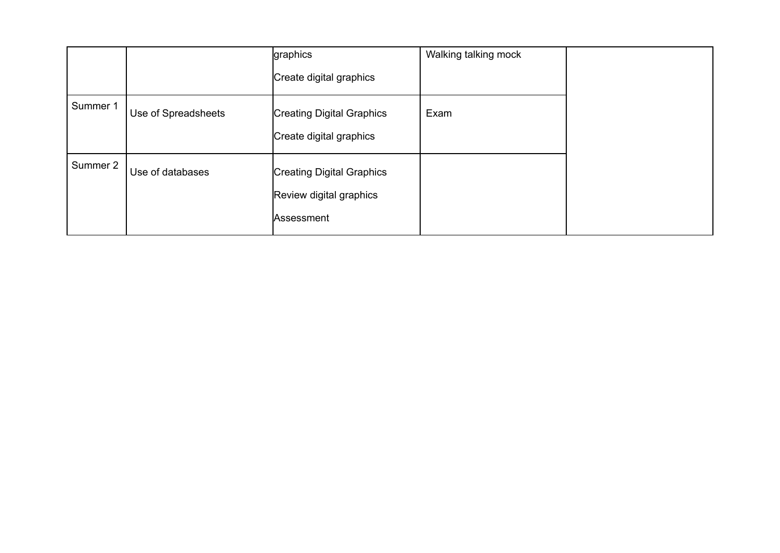|          |                     | graphics<br>Create digital graphics                                | Walking talking mock |  |
|----------|---------------------|--------------------------------------------------------------------|----------------------|--|
| Summer 1 | Use of Spreadsheets | <b>Creating Digital Graphics</b><br>Create digital graphics        | Exam                 |  |
| Summer 2 | Use of databases    | Creating Digital Graphics<br>Review digital graphics<br>Assessment |                      |  |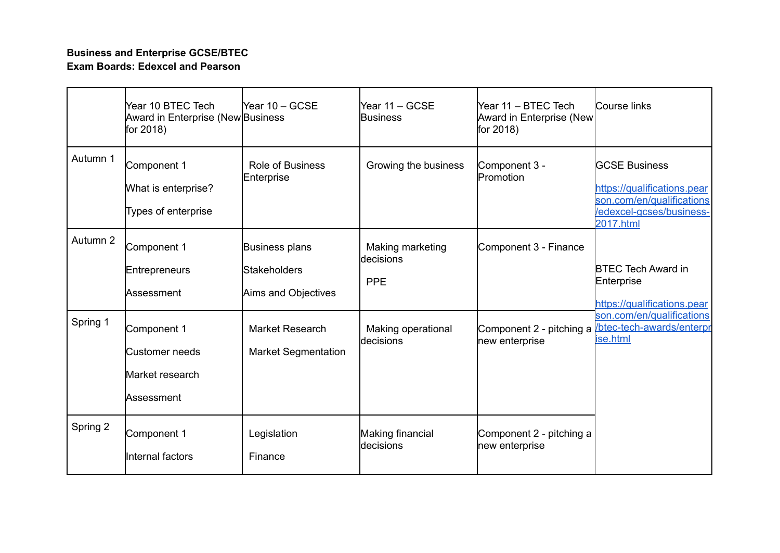# **Business and Enterprise GCSE/BTEC Exam Boards: Edexcel and Pearson**

|          | Year 10 BTEC Tech<br><b>Award in Enterprise (New Business</b><br>for $2018$ ) | Year 10 - GCSE                                               | Year 11 - GCSE<br><b>Business</b>            | Year 11 – BTEC Tech<br>Award in Enterprise (New<br>for 2018) | Course links                                                                                                              |
|----------|-------------------------------------------------------------------------------|--------------------------------------------------------------|----------------------------------------------|--------------------------------------------------------------|---------------------------------------------------------------------------------------------------------------------------|
| Autumn 1 | Component 1<br>What is enterprise?<br>Types of enterprise                     | <b>Role of Business</b><br>Enterprise                        | Growing the business                         | Component 3 -<br>Promotion                                   | <b>GCSE Business</b><br>https://qualifications.pear<br>son.com/en/qualifications<br>/edexcel-gcses/business-<br>2017.html |
| Autumn 2 | Component 1<br><b>Entrepreneurs</b><br>Assessment                             | Business plans<br><b>Stakeholders</b><br>Aims and Objectives | Making marketing<br>ldecisions<br><b>PPE</b> | Component 3 - Finance                                        | <b>BTEC Tech Award in</b><br>Enterprise<br>https://qualifications.pear                                                    |
| Spring 1 | Component 1<br>Customer needs<br>Market research<br>Assessment                | <b>Market Research</b><br><b>Market Segmentation</b>         | Making operational<br><b>decisions</b>       | Component 2 - pitching a<br>new enterprise                   | son.com/en/qualifications<br>btec-tech-awards/enterpr<br>ise.html                                                         |
| Spring 2 | Component 1<br>Internal factors                                               | Legislation<br>Finance                                       | Making financial<br>decisions                | Component 2 - pitching a<br>new enterprise                   |                                                                                                                           |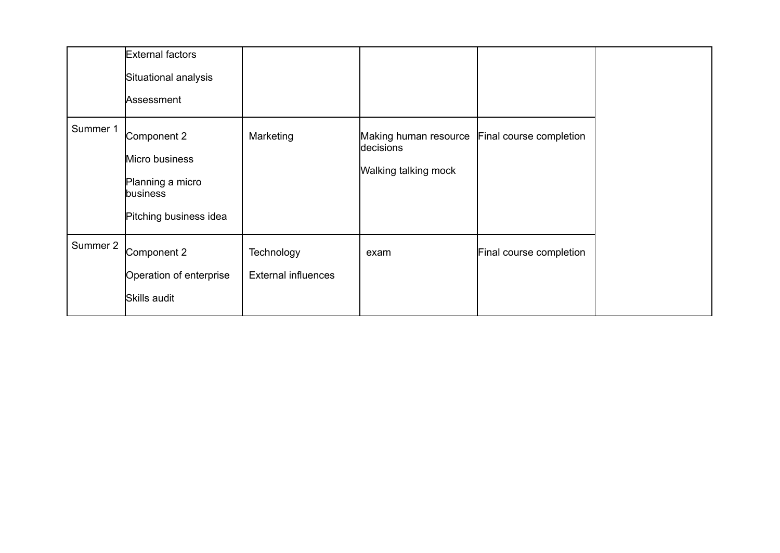|          | External factors<br>Situational analysis<br>Assessment                                  |                                          |                                                            |                         |
|----------|-----------------------------------------------------------------------------------------|------------------------------------------|------------------------------------------------------------|-------------------------|
| Summer 1 | Component 2<br>Micro business<br>Planning a micro<br>business<br>Pitching business idea | Marketing                                | Making human resource<br>decisions<br>Walking talking mock | Final course completion |
| Summer 2 | Component 2<br>Operation of enterprise<br>Skills audit                                  | Technology<br><b>External influences</b> | exam                                                       | Final course completion |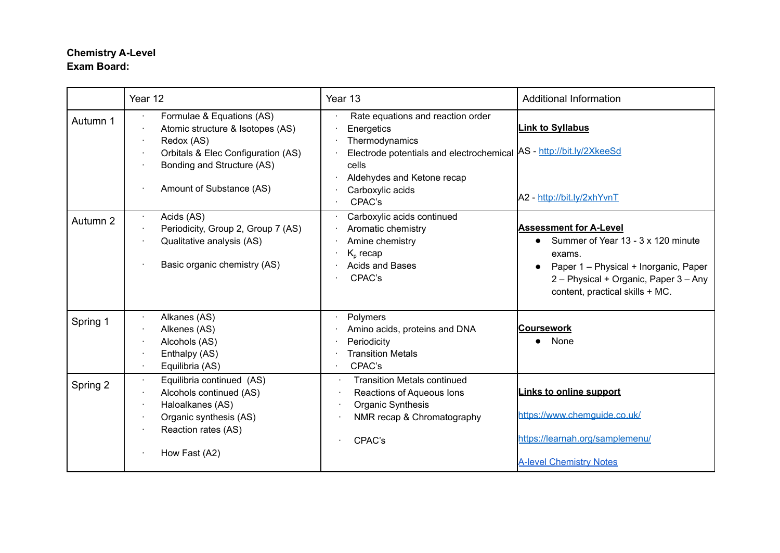# **Chemistry A-Level Exam Board:**

|          | Year 12                                                                                                                                                                     | Year 13                                                                                                                                                                                                       | <b>Additional Information</b>                                                                                                                                                                      |
|----------|-----------------------------------------------------------------------------------------------------------------------------------------------------------------------------|---------------------------------------------------------------------------------------------------------------------------------------------------------------------------------------------------------------|----------------------------------------------------------------------------------------------------------------------------------------------------------------------------------------------------|
| Autumn 1 | Formulae & Equations (AS)<br>Atomic structure & Isotopes (AS)<br>Redox (AS)<br>Orbitals & Elec Configuration (AS)<br>Bonding and Structure (AS)<br>Amount of Substance (AS) | Rate equations and reaction order<br>Energetics<br>Thermodynamics<br>Electrode potentials and electrochemical AS - http://bit.ly/2XkeeSd<br>cells<br>Aldehydes and Ketone recap<br>Carboxylic acids<br>CPAC's | <b>Link to Syllabus</b><br>A2 - http://bit.ly/2xhYvnT                                                                                                                                              |
| Autumn 2 | Acids (AS)<br>Periodicity, Group 2, Group 7 (AS)<br>Qualitative analysis (AS)<br>Basic organic chemistry (AS)                                                               | Carboxylic acids continued<br>Aromatic chemistry<br>Amine chemistry<br>$K_{p}$ recap<br>Acids and Bases<br>CPAC's                                                                                             | <b>Assessment for A-Level</b><br>Summer of Year 13 - 3 x 120 minute<br>exams.<br>Paper 1 - Physical + Inorganic, Paper<br>2 - Physical + Organic, Paper 3 - Any<br>content, practical skills + MC. |
| Spring 1 | Alkanes (AS)<br>Alkenes (AS)<br>Alcohols (AS)<br>Enthalpy (AS)<br>Equilibria (AS)                                                                                           | Polymers<br>Amino acids, proteins and DNA<br>Periodicity<br><b>Transition Metals</b><br>CPAC's                                                                                                                | <b>Coursework</b><br>None                                                                                                                                                                          |
| Spring 2 | Equilibria continued (AS)<br>Alcohols continued (AS)<br>Haloalkanes (AS)<br>Organic synthesis (AS)<br>Reaction rates (AS)<br>How Fast (A2)                                  | <b>Transition Metals continued</b><br>٠.<br>Reactions of Aqueous Ions<br>Organic Synthesis<br>NMR recap & Chromatography<br>CPAC's                                                                            | <b>Links to online support</b><br>https://www.chemquide.co.uk/<br>https://learnah.org/samplemenu/<br><b>A-level Chemistry Notes</b>                                                                |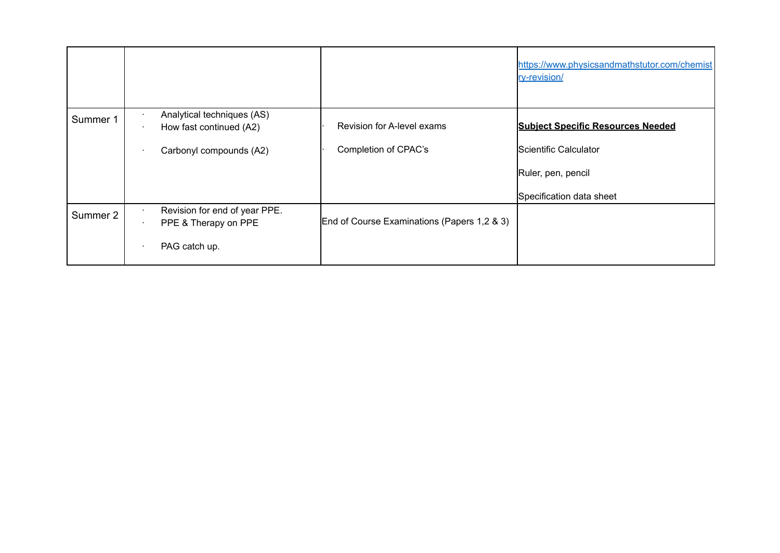|          |                                                       |                                             | https://www.physicsandmathstutor.com/chemist<br>ry-revision/ |
|----------|-------------------------------------------------------|---------------------------------------------|--------------------------------------------------------------|
| Summer 1 | Analytical techniques (AS)<br>How fast continued (A2) | Revision for A-level exams                  | <b>Subject Specific Resources Needed</b>                     |
|          | Carbonyl compounds (A2)                               | Completion of CPAC's                        | Scientific Calculator                                        |
|          |                                                       |                                             | Ruler, pen, pencil                                           |
|          |                                                       |                                             | Specification data sheet                                     |
| Summer 2 | Revision for end of year PPE.<br>PPE & Therapy on PPE | End of Course Examinations (Papers 1,2 & 3) |                                                              |
|          | PAG catch up.                                         |                                             |                                                              |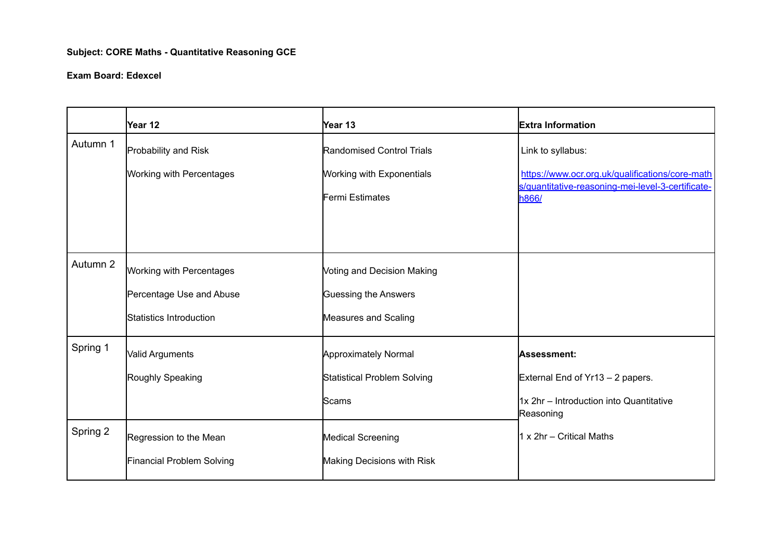# **Subject: CORE Maths - Quantitative Reasoning GCE**

#### **Exam Board: Edexcel**

|          | Year 12                   | Year 13                           | <b>Extra Information</b>                                   |
|----------|---------------------------|-----------------------------------|------------------------------------------------------------|
| Autumn 1 | Probability and Risk      | Randomised Control Trials         | Link to syllabus:                                          |
|          | Working with Percentages  | <b>Working with Exponentials</b>  | https://www.ocr.org.uk/qualifications/core-math            |
|          |                           | Fermi Estimates                   | s/quantitative-reasoning-mei-level-3-certificate-<br>h866/ |
|          |                           |                                   |                                                            |
|          |                           |                                   |                                                            |
| Autumn 2 | Working with Percentages  | <b>Voting and Decision Making</b> |                                                            |
|          | Percentage Use and Abuse  | Guessing the Answers              |                                                            |
|          | Statistics Introduction   | Measures and Scaling              |                                                            |
| Spring 1 | Valid Arguments           | <b>Approximately Normal</b>       | Assessment:                                                |
|          | Roughly Speaking          | Statistical Problem Solving       | External End of Yr13 - 2 papers.                           |
|          |                           | Scams                             | 1x 2hr - Introduction into Quantitative<br>Reasoning       |
| Spring 2 | Regression to the Mean    | <b>Medical Screening</b>          | 1 x 2hr - Critical Maths                                   |
|          | Financial Problem Solving | Making Decisions with Risk        |                                                            |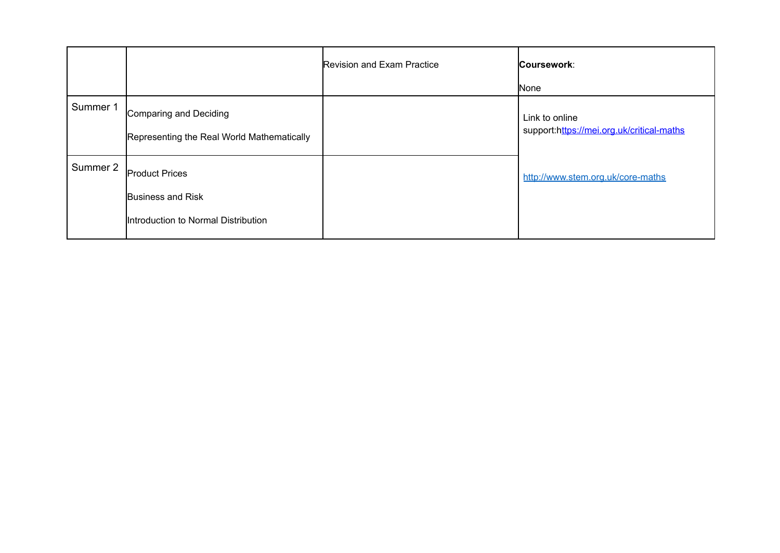|          |                                                                                   | <b>Revision and Exam Practice</b> | Coursework:                                                 |
|----------|-----------------------------------------------------------------------------------|-----------------------------------|-------------------------------------------------------------|
|          |                                                                                   |                                   | None                                                        |
| Summer 1 | Comparing and Deciding<br>Representing the Real World Mathematically              |                                   | Link to online<br>support:https://mei.org.uk/critical-maths |
| Summer 2 | <b>Product Prices</b><br>Business and Risk<br>Introduction to Normal Distribution |                                   | http://www.stem.org.uk/core-maths                           |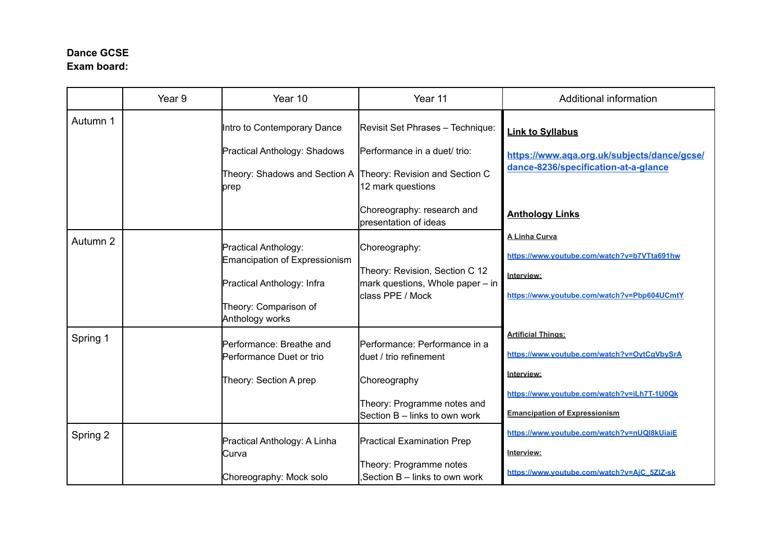# **Dance GCSE Exam board:**

|          | Year <sub>9</sub> | Year 10                                                                                                                                | Year 11                                                                                                                                 | Additional information                                                                                                                                                        |
|----------|-------------------|----------------------------------------------------------------------------------------------------------------------------------------|-----------------------------------------------------------------------------------------------------------------------------------------|-------------------------------------------------------------------------------------------------------------------------------------------------------------------------------|
| Autumn 1 |                   | Intro to Contemporary Dance<br>Practical Anthology: Shadows<br>Theory: Shadows and Section A Theory: Revision and Section C<br>prep    | Revisit Set Phrases - Technique:<br>lPerformance in a duet/ trio:<br>12 mark questions                                                  | <b>Link to Syllabus</b><br>https://www.aqa.org.uk/subjects/dance/gcse/<br>dance-8236/specification-at-a-glance                                                                |
|          |                   |                                                                                                                                        | Choreography: research and<br>presentation of ideas                                                                                     | <b>Anthology Links</b>                                                                                                                                                        |
| Autumn 2 |                   | Practical Anthology:<br><b>Emancipation of Expressionism</b><br>Practical Anthology: Infra<br>Theory: Comparison of<br>Anthology works | Choreography:<br>Theory: Revision, Section C 12<br>mark questions, Whole paper - in<br>lclass PPE / Mock                                | <b>A Linha Curva</b><br>https://www.voutube.com/watch?v=b7VTta691hw<br>Interview:<br>https://www.youtube.com/watch?v=Pbp604UCmtY                                              |
| Spring 1 |                   | Performance: Breathe and<br>Performance Duet or trio<br>Theory: Section A prep                                                         | Performance: Performance in a<br>duet / trio refinement<br>Choreography<br>Theory: Programme notes and<br>Section B - links to own work | <b>Artificial Things:</b><br>https://www.youtube.com/watch?v=OytCgVbySrA<br>Interview:<br>https://www.youtube.com/watch?v=iLh7T-1U0Qk<br><b>Emancipation of Expressionism</b> |
| Spring 2 |                   | Practical Anthology: A Linha<br>Curva<br>Choreography: Mock solo                                                                       | <b>Practical Examination Prep</b><br>Theory: Programme notes<br>Section B – links to own work                                           | https://www.youtube.com/watch?v=nUQI8kUiaiE<br>Interview:<br>https://www.youtube.com/watch?v=AjC_5ZIZ-sk                                                                      |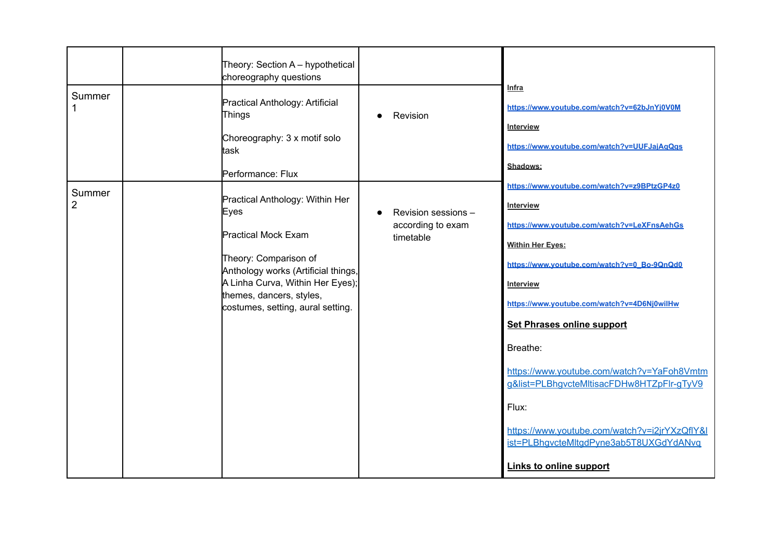|                          | Theory: Section A - hypothetical<br>choreography questions                                                                                                                                                                                 |                                                       |                                                                                                                                                                                                                                                                                                                                                                                                                                                                                                                                        |
|--------------------------|--------------------------------------------------------------------------------------------------------------------------------------------------------------------------------------------------------------------------------------------|-------------------------------------------------------|----------------------------------------------------------------------------------------------------------------------------------------------------------------------------------------------------------------------------------------------------------------------------------------------------------------------------------------------------------------------------------------------------------------------------------------------------------------------------------------------------------------------------------------|
| Summer                   | Practical Anthology: Artificial<br>Things<br>Choreography: 3 x motif solo<br>task<br>Performance: Flux                                                                                                                                     | Revision                                              | <u>Infra</u><br>https://www.youtube.com/watch?v=62bJnYj0V0M<br><b>Interview</b><br>https://www.youtube.com/watch?v=UUFJajAqQgs<br>Shadows:                                                                                                                                                                                                                                                                                                                                                                                             |
| Summer<br>$\overline{2}$ | Practical Anthology: Within Her<br>Eyes<br><b>Practical Mock Exam</b><br>Theory: Comparison of<br>Anthology works (Artificial things,<br>A Linha Curva, Within Her Eyes);<br>themes, dancers, styles,<br>costumes, setting, aural setting. | Revision sessions -<br>according to exam<br>timetable | https://www.youtube.com/watch?v=z9BPtzGP4z0<br><b>Interview</b><br>https://www.youtube.com/watch?v=LeXFnsAehGs<br><b>Within Her Eyes:</b><br>https://www.youtube.com/watch?v=0_Bo-9QnQd0<br>Interview<br>https://www.youtube.com/watch?v=4D6Nj0wilHw<br><b>Set Phrases online support</b><br>Breathe:<br>https://www.youtube.com/watch?v=YaFoh8Vmtm<br>g&list=PLBhgvcteMltisacFDHw8HTZpFlr-gTyV9<br>Flux:<br>https://www.youtube.com/watch?v=i2irYXzQflY&I<br>ist=PLBhgvcteMltgdPyne3ab5T8UXGdYdANvq<br><b>Links to online support</b> |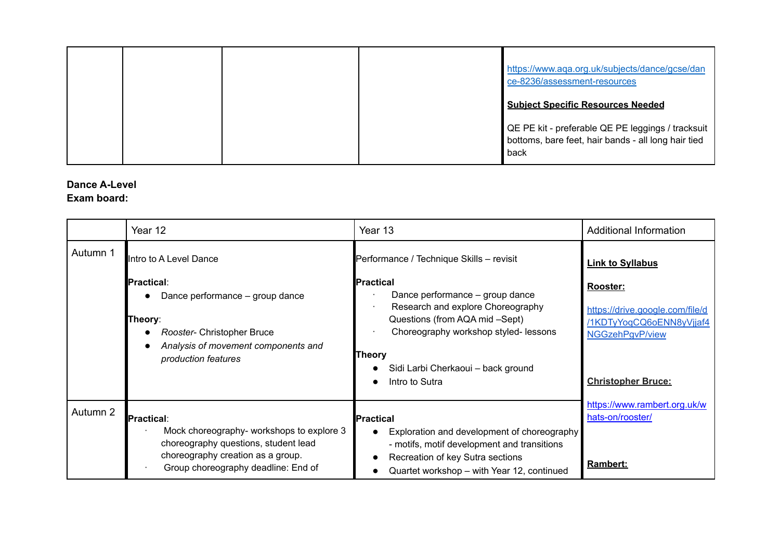|  |  | https://www.aqa.org.uk/subjects/dance/gcse/dan<br>ce-8236/assessment-resources                                   |
|--|--|------------------------------------------------------------------------------------------------------------------|
|  |  | <b>Subject Specific Resources Needed</b>                                                                         |
|  |  | QE PE kit - preferable QE PE leggings / tracksuit<br>bottoms, bare feet, hair bands - all long hair tied<br>back |

# **Dance A-Level**

#### **Exam board:**

|          | Year 12                                                                                                                                                                     | Year 13                                                                                                                                                                                                                                                   | <b>Additional Information</b>                                                                                           |
|----------|-----------------------------------------------------------------------------------------------------------------------------------------------------------------------------|-----------------------------------------------------------------------------------------------------------------------------------------------------------------------------------------------------------------------------------------------------------|-------------------------------------------------------------------------------------------------------------------------|
| Autumn 1 | Intro to A Level Dance                                                                                                                                                      | Performance / Technique Skills - revisit                                                                                                                                                                                                                  | <b>Link to Syllabus</b>                                                                                                 |
|          | <b>I</b> Practical∶<br>Dance performance - group dance<br>Theory:<br>Rooster- Christopher Bruce<br>Analysis of movement components and<br>production features               | <b>IPractical</b><br>Dance performance - group dance<br>Research and explore Choreography<br>Questions (from AQA mid -Sept)<br>Choreography workshop styled-lessons<br><b>Theory</b><br>Sidi Larbi Cherkaoui - back ground<br>Intro to Sutra<br>$\bullet$ | Rooster:<br>https://drive.google.com/file/d<br>/1KDTyYoqCQ6oENN8yVjjaf4<br>NGGzehPgvP/view<br><b>Christopher Bruce:</b> |
| Autumn 2 | Practical:<br>Mock choreography- workshops to explore 3<br>choreography questions, student lead<br>choreography creation as a group.<br>Group choreography deadline: End of | <b>Practical</b><br>Exploration and development of choreography<br>- motifs, motif development and transitions<br>Recreation of key Sutra sections<br>$\bullet$<br>Quartet workshop - with Year 12, continued                                             | https://www.rambert.org.uk/w<br>hats-on/rooster/<br>Rambert:                                                            |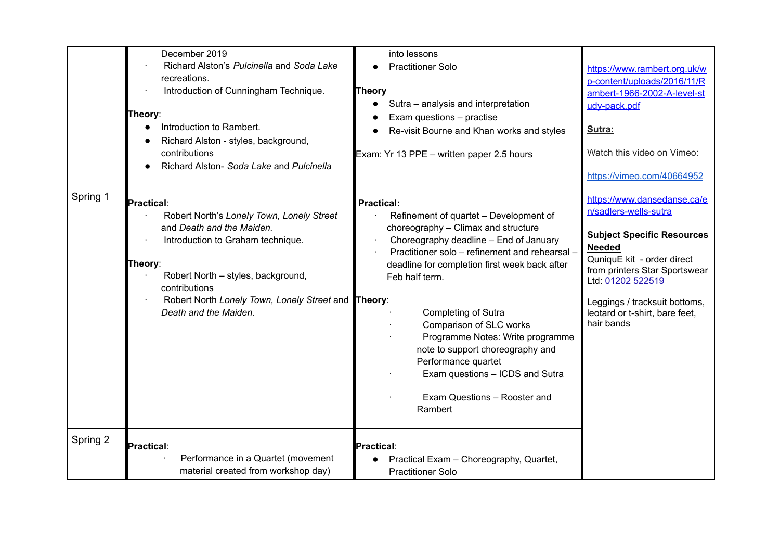|          | December 2019<br>Richard Alston's Pulcinella and Soda Lake<br>recreations.<br>Introduction of Cunningham Technique.<br>Theory:<br>Introduction to Rambert.<br>Richard Alston - styles, background,<br>contributions<br>Richard Alston- Soda Lake and Pulcinella                    | into lessons<br><b>Practitioner Solo</b><br><b>Theory</b><br>Sutra - analysis and interpretation<br>$\bullet$<br>Exam questions - practise<br>$\bullet$<br>Re-visit Bourne and Khan works and styles<br>Exam: Yr 13 PPE - written paper 2.5 hours                                                                                                                                                                                                                                                | https://www.rambert.org.uk/w<br>p-content/uploads/2016/11/R<br>ambert-1966-2002-A-level-st<br>udv-pack.pdf<br>Sutra:<br>Watch this video on Vimeo:                                                                                                                                                            |
|----------|------------------------------------------------------------------------------------------------------------------------------------------------------------------------------------------------------------------------------------------------------------------------------------|--------------------------------------------------------------------------------------------------------------------------------------------------------------------------------------------------------------------------------------------------------------------------------------------------------------------------------------------------------------------------------------------------------------------------------------------------------------------------------------------------|---------------------------------------------------------------------------------------------------------------------------------------------------------------------------------------------------------------------------------------------------------------------------------------------------------------|
| Spring 1 | <b>Practical:</b><br>Robert North's Lonely Town, Lonely Street<br>and Death and the Maiden.<br>Introduction to Graham technique.<br>Theory:<br>Robert North - styles, background,<br>contributions<br>Robert North Lonely Town, Lonely Street and Theory:<br>Death and the Maiden. | <b>Practical:</b><br>Refinement of quartet - Development of<br>choreography - Climax and structure<br>Choreography deadline - End of January<br>Practitioner solo - refinement and rehearsal -<br>deadline for completion first week back after<br>Feb half term.<br>Completing of Sutra<br>Comparison of SLC works<br>Programme Notes: Write programme<br>note to support choreography and<br>Performance quartet<br>Exam questions - ICDS and Sutra<br>Exam Questions - Rooster and<br>Rambert | https://vimeo.com/40664952<br>https://www.dansedanse.ca/e<br>n/sadlers-wells-sutra<br><b>Subject Specific Resources</b><br><b>Needed</b><br>QuniquE kit - order direct<br>from printers Star Sportswear<br>Ltd: 01202 522519<br>Leggings / tracksuit bottoms,<br>leotard or t-shirt, bare feet,<br>hair bands |
| Spring 2 | Practical:<br>Performance in a Quartet (movement<br>material created from workshop day)                                                                                                                                                                                            | Practical:<br>Practical Exam - Choreography, Quartet,<br><b>Practitioner Solo</b>                                                                                                                                                                                                                                                                                                                                                                                                                |                                                                                                                                                                                                                                                                                                               |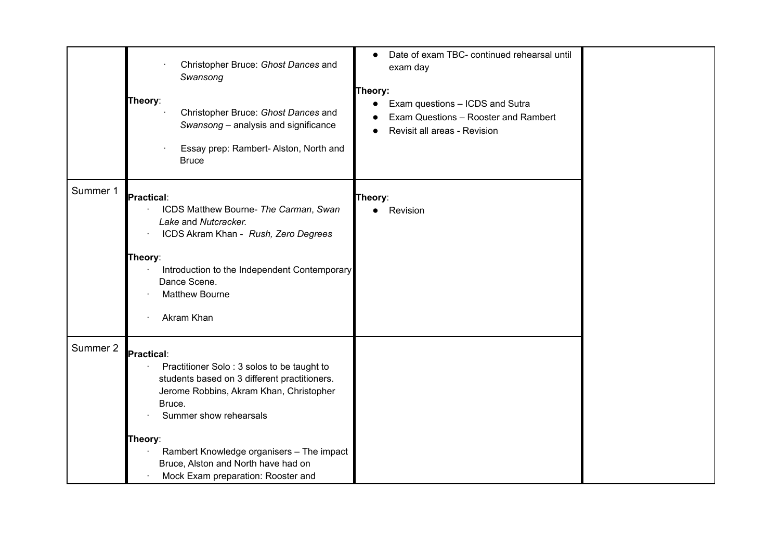|          | Christopher Bruce: Ghost Dances and<br>Swansong<br>Theory:<br>Christopher Bruce: Ghost Dances and<br>Swansong - analysis and significance<br>Essay prep: Rambert-Alston, North and<br><b>Bruce</b>                                                                                                                           | Date of exam TBC- continued rehearsal until<br>exam day<br>Theory:<br>Exam questions - ICDS and Sutra<br>$\bullet$<br>Exam Questions - Rooster and Rambert<br>Revisit all areas - Revision |  |
|----------|------------------------------------------------------------------------------------------------------------------------------------------------------------------------------------------------------------------------------------------------------------------------------------------------------------------------------|--------------------------------------------------------------------------------------------------------------------------------------------------------------------------------------------|--|
| Summer 1 | Practical:<br>ICDS Matthew Bourne- The Carman, Swan<br>Lake and Nutcracker.<br>ICDS Akram Khan - Rush, Zero Degrees<br>Theory:<br>Introduction to the Independent Contemporary<br>Dance Scene.<br><b>Matthew Bourne</b><br>Akram Khan                                                                                        | Theory:<br>Revision                                                                                                                                                                        |  |
| Summer 2 | Practical:<br>Practitioner Solo: 3 solos to be taught to<br>students based on 3 different practitioners.<br>Jerome Robbins, Akram Khan, Christopher<br>Bruce.<br>Summer show rehearsals<br>Theory:<br>Rambert Knowledge organisers - The impact<br>Bruce, Alston and North have had on<br>Mock Exam preparation: Rooster and |                                                                                                                                                                                            |  |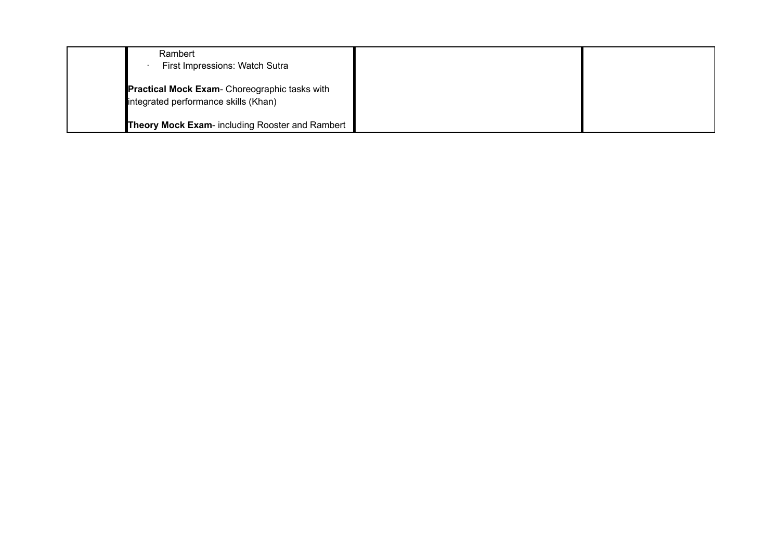| Rambert<br>First Impressions: Watch Sutra       |  |
|-------------------------------------------------|--|
| Practical Mock Exam- Choreographic tasks with   |  |
| integrated performance skills (Khan)            |  |
| Theory Mock Exam- including Rooster and Rambert |  |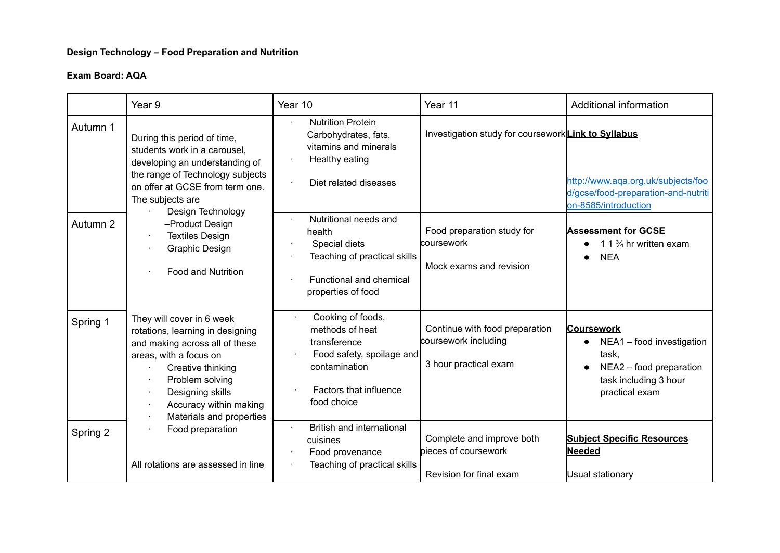# **Design Technology – Food Preparation and Nutrition**

|          | Year 9                                                                                                                                                                                                                                      | Year 10                                                                                                                                     | Year 11                                                                         | Additional information                                                                                                        |
|----------|---------------------------------------------------------------------------------------------------------------------------------------------------------------------------------------------------------------------------------------------|---------------------------------------------------------------------------------------------------------------------------------------------|---------------------------------------------------------------------------------|-------------------------------------------------------------------------------------------------------------------------------|
| Autumn 1 | During this period of time,<br>students work in a carousel,<br>developing an understanding of<br>the range of Technology subjects<br>on offer at GCSE from term one.<br>The subjects are                                                    | <b>Nutrition Protein</b><br>Carbohydrates, fats,<br>vitamins and minerals<br>Healthy eating<br>Diet related diseases                        | Investigation study for courseworkLink to Syllabus                              | http://www.aqa.org.uk/subjects/foo<br>d/gcse/food-preparation-and-nutriti<br>on-8585/introduction                             |
| Autumn 2 | Design Technology<br>-Product Design<br><b>Textiles Design</b><br><b>Graphic Design</b><br><b>Food and Nutrition</b>                                                                                                                        | Nutritional needs and<br>health<br>Special diets<br>Teaching of practical skills<br>Functional and chemical<br>properties of food           | Food preparation study for<br>coursework<br>Mock exams and revision             | <b>Assessment for GCSE</b><br>1 1 $\frac{3}{4}$ hr written exam<br><b>NEA</b>                                                 |
| Spring 1 | They will cover in 6 week<br>rotations, learning in designing<br>and making across all of these<br>areas, with a focus on<br>Creative thinking<br>Problem solving<br>Designing skills<br>Accuracy within making<br>Materials and properties | Cooking of foods,<br>methods of heat<br>transference<br>Food safety, spoilage and<br>contamination<br>Factors that influence<br>food choice | Continue with food preparation<br>coursework including<br>3 hour practical exam | <b>Coursework</b><br>NEA1 - food investigation<br>task,<br>NEA2 - food preparation<br>task including 3 hour<br>practical exam |
| Spring 2 | Food preparation<br>All rotations are assessed in line                                                                                                                                                                                      | British and international<br>cuisines<br>Food provenance<br>Teaching of practical skills                                                    | Complete and improve both<br>pieces of coursework<br>Revision for final exam    | <b>Subject Specific Resources</b><br><b>Needed</b><br>Usual stationary                                                        |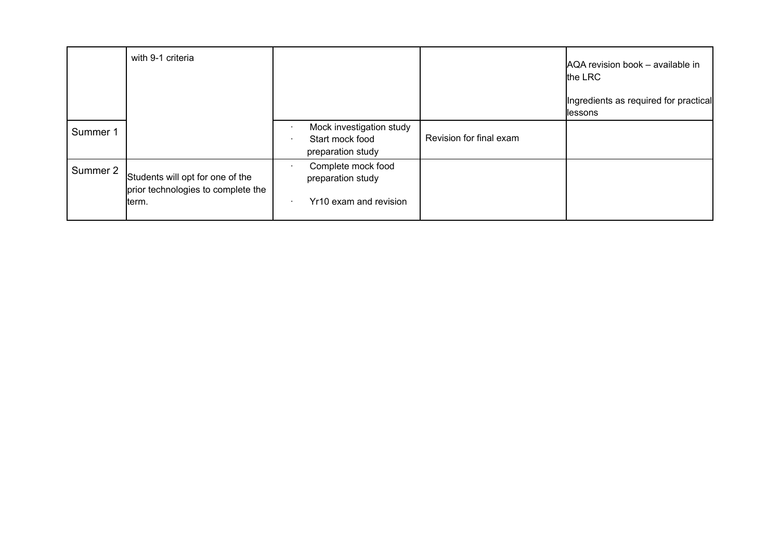|          | with 9-1 criteria                                                      |                                                                  |                         | AQA revision book - available in<br>the LRC       |
|----------|------------------------------------------------------------------------|------------------------------------------------------------------|-------------------------|---------------------------------------------------|
|          |                                                                        |                                                                  |                         | Ingredients as required for practical<br>llessons |
| Summer 1 |                                                                        | Mock investigation study<br>Start mock food<br>preparation study | Revision for final exam |                                                   |
| Summer 2 | Students will opt for one of the<br>prior technologies to complete the | Complete mock food<br>preparation study                          |                         |                                                   |
|          | term.                                                                  | Yr10 exam and revision                                           |                         |                                                   |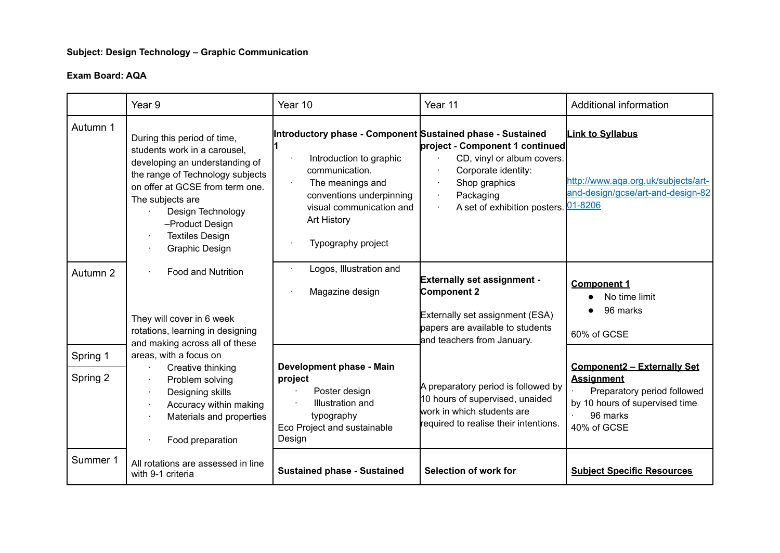# **Subject: Design Technology – Graphic Communication**

|                      | Year 9                                                                                                                                                                                                                                                                              | Year 10                                                                                                                                                                                                                  | Year 11                                                                                                                                                | Additional information                                                                                                                              |
|----------------------|-------------------------------------------------------------------------------------------------------------------------------------------------------------------------------------------------------------------------------------------------------------------------------------|--------------------------------------------------------------------------------------------------------------------------------------------------------------------------------------------------------------------------|--------------------------------------------------------------------------------------------------------------------------------------------------------|-----------------------------------------------------------------------------------------------------------------------------------------------------|
| Autumn 1             | During this period of time,<br>students work in a carousel,<br>developing an understanding of<br>the range of Technology subjects<br>on offer at GCSE from term one.<br>The subjects are<br>Design Technology<br>-Product Design<br><b>Textiles Design</b><br><b>Graphic Design</b> | Introductory phase - Component Sustained phase - Sustained<br>Introduction to graphic<br>communication.<br>The meanings and<br>conventions underpinning<br>visual communication and<br>Art History<br>Typography project | project - Component 1 continued<br>CD, vinyl or album covers.<br>Corporate identity:<br>Shop graphics<br>Packaging<br>A set of exhibition posters.     | <b>Link to Syllabus</b><br>http://www.aqa.org.uk/subjects/art-<br>and-design/gcse/art-and-design-82<br>01-8206                                      |
| Autumn 2             | <b>Food and Nutrition</b><br>They will cover in 6 week<br>rotations, learning in designing<br>and making across all of these                                                                                                                                                        | Logos, Illustration and<br>Magazine design                                                                                                                                                                               | <b>Externally set assignment -</b><br>Component 2<br>Externally set assignment (ESA)<br>papers are available to students<br>and teachers from January. | <b>Component 1</b><br>No time limit<br>96 marks<br>60% of GCSE                                                                                      |
| Spring 1<br>Spring 2 | areas, with a focus on<br>Creative thinking<br>Problem solving<br>Designing skills<br>Accuracy within making<br>Materials and properties<br>Food preparation                                                                                                                        | Development phase - Main<br>project<br>Poster design<br>Illustration and<br>typography<br>Eco Project and sustainable<br>Design                                                                                          | A preparatory period is followed by<br>10 hours of supervised, unaided<br>work in which students are<br>required to realise their intentions.          | <b>Component2 - Externally Set</b><br><b>Assignment</b><br>Preparatory period followed<br>by 10 hours of supervised time<br>96 marks<br>40% of GCSE |
| Summer 1             | All rotations are assessed in line<br>with 9-1 criteria                                                                                                                                                                                                                             | <b>Sustained phase - Sustained</b>                                                                                                                                                                                       | Selection of work for                                                                                                                                  | <b>Subject Specific Resources</b>                                                                                                                   |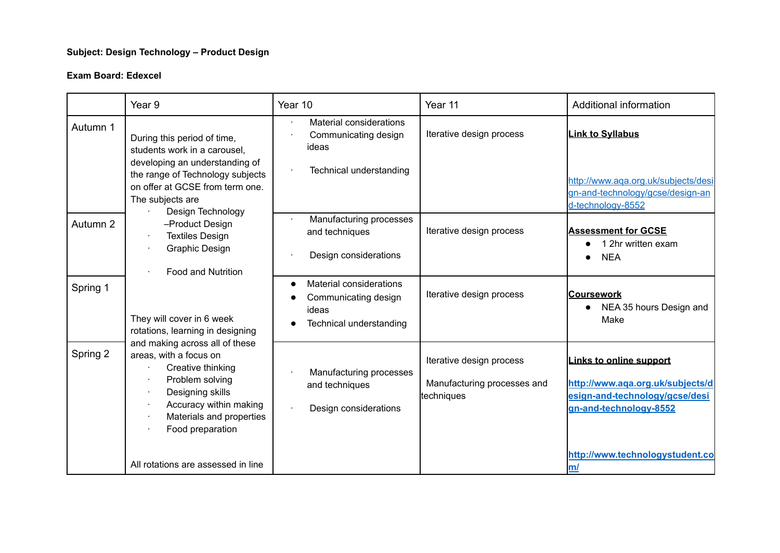# **Subject: Design Technology – Product Design**

#### **Exam Board: Edexcel**

| During this period of time,                                                                                                                                                                                                                                                                                                                                                                                       | Material considerations                                                                    |                                                                       |                                                                                                                                                                         |
|-------------------------------------------------------------------------------------------------------------------------------------------------------------------------------------------------------------------------------------------------------------------------------------------------------------------------------------------------------------------------------------------------------------------|--------------------------------------------------------------------------------------------|-----------------------------------------------------------------------|-------------------------------------------------------------------------------------------------------------------------------------------------------------------------|
| students work in a carousel.<br>developing an understanding of<br>the range of Technology subjects<br>on offer at GCSE from term one.<br>The subjects are                                                                                                                                                                                                                                                         | Communicating design<br>ideas<br>Technical understanding                                   | Iterative design process                                              | <b>Link to Syllabus</b><br>http://www.aqa.org.uk/subjects/desi<br>gn-and-technology/gcse/design-an<br>d-technology-8552                                                 |
| -Product Design<br><b>Textiles Design</b><br>Graphic Design<br><b>Food and Nutrition</b><br>They will cover in 6 week<br>rotations, learning in designing<br>and making across all of these<br>areas, with a focus on<br>Creative thinking<br>Problem solving<br>Designing skills<br>$\cdot$<br>Accuracy within making<br>Materials and properties<br>×<br>Food preparation<br>All rotations are assessed in line | Manufacturing processes<br>and techniques<br>Design considerations                         | Iterative design process                                              | <b>Assessment for GCSE</b><br>1 2hr written exam<br><b>NEA</b>                                                                                                          |
|                                                                                                                                                                                                                                                                                                                                                                                                                   | <b>Material considerations</b><br>Communicating design<br>ideas<br>Technical understanding | Iterative design process                                              | <u> Coursework</u><br>NEA 35 hours Design and<br>Make                                                                                                                   |
|                                                                                                                                                                                                                                                                                                                                                                                                                   | Manufacturing processes<br>and techniques<br>Design considerations                         | Iterative design process<br>Manufacturing processes and<br>techniques | <b>Links to online support</b><br>http://www.aqa.org.uk/subjects/d<br>esign-and-technology/gcse/desi<br>gn-and-technology-8552<br>http://www.technologystudent.co<br>m/ |
|                                                                                                                                                                                                                                                                                                                                                                                                                   | Design Technology                                                                          |                                                                       |                                                                                                                                                                         |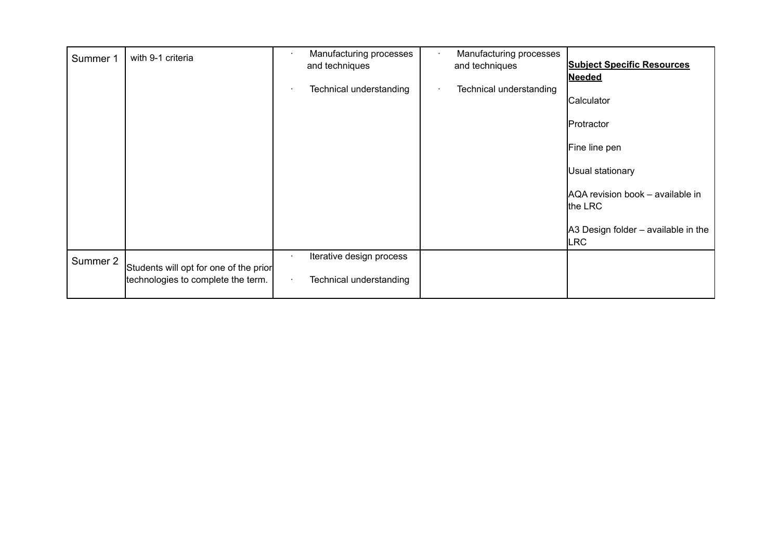| Summer 1 | with 9-1 criteria                      | Manufacturing processes<br>and techniques | Manufacturing processes<br>and techniques | <b>Subject Specific Resources</b><br><b>Needed</b> |
|----------|----------------------------------------|-------------------------------------------|-------------------------------------------|----------------------------------------------------|
|          |                                        | Technical understanding                   | Technical understanding                   | Calculator                                         |
|          |                                        |                                           |                                           | Protractor                                         |
|          |                                        |                                           |                                           | Fine line pen                                      |
|          |                                        |                                           |                                           | Usual stationary                                   |
|          |                                        |                                           |                                           | AQA revision book - available in<br>the LRC        |
|          |                                        |                                           |                                           | A3 Design folder - available in the<br><b>LRC</b>  |
| Summer 2 | Students will opt for one of the prior | Iterative design process                  |                                           |                                                    |
|          | technologies to complete the term.     | Technical understanding                   |                                           |                                                    |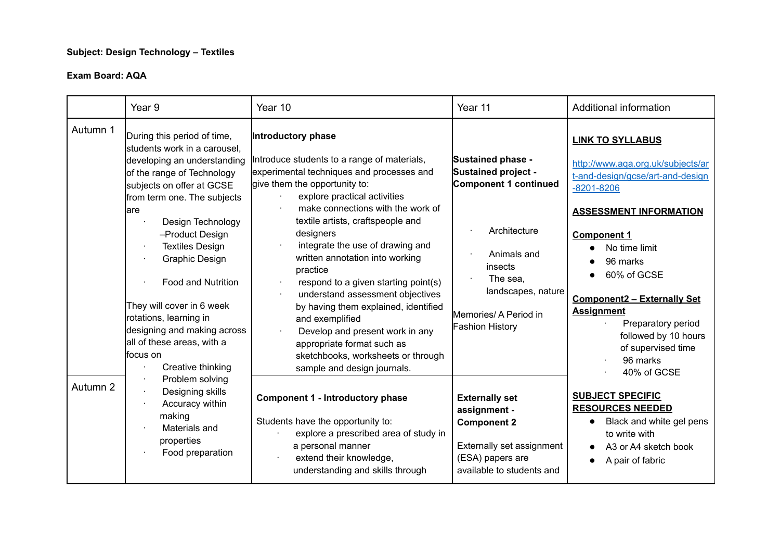# **Subject: Design Technology – Textiles**

|          | Year <sub>9</sub>                                                                                                                                                                                                                                                                                                                                                                                                                                                   | Year 10                                                                                                                                                                                                                                                                                                                                                                                                                                                                                                                                                                                                                                | Year 11                                                                                                                                                                                                 | Additional information                                                                                                                                                                                                                                                                                                                                                                       |
|----------|---------------------------------------------------------------------------------------------------------------------------------------------------------------------------------------------------------------------------------------------------------------------------------------------------------------------------------------------------------------------------------------------------------------------------------------------------------------------|----------------------------------------------------------------------------------------------------------------------------------------------------------------------------------------------------------------------------------------------------------------------------------------------------------------------------------------------------------------------------------------------------------------------------------------------------------------------------------------------------------------------------------------------------------------------------------------------------------------------------------------|---------------------------------------------------------------------------------------------------------------------------------------------------------------------------------------------------------|----------------------------------------------------------------------------------------------------------------------------------------------------------------------------------------------------------------------------------------------------------------------------------------------------------------------------------------------------------------------------------------------|
| Autumn 1 | During this period of time,<br>students work in a carousel,<br>developing an understanding<br>of the range of Technology<br>subjects on offer at GCSE<br>from term one. The subjects<br>lare<br>Design Technology<br>-Product Design<br><b>Textiles Design</b><br>Graphic Design<br><b>Food and Nutrition</b><br>They will cover in 6 week<br>rotations, learning in<br>designing and making across<br>all of these areas, with a<br>lfocus on<br>Creative thinking | Introductory phase<br>Introduce students to a range of materials,<br>experimental techniques and processes and<br>give them the opportunity to:<br>explore practical activities<br>make connections with the work of<br>textile artists, craftspeople and<br>designers<br>integrate the use of drawing and<br>written annotation into working<br>practice<br>respond to a given starting point(s)<br>understand assessment objectives<br>by having them explained, identified<br>and exemplified<br>Develop and present work in any<br>appropriate format such as<br>sketchbooks, worksheets or through<br>sample and design journals. | Sustained phase -<br><b>Sustained project -</b><br>Component 1 continued<br>Architecture<br>Animals and<br>insects<br>The sea,<br>landscapes, nature<br>Memories/ A Period in<br><b>Fashion History</b> | <b>LINK TO SYLLABUS</b><br>http://www.aqa.org.uk/subjects/ar<br>t-and-design/gcse/art-and-design<br>$-8201 - 8206$<br><b>ASSESSMENT INFORMATION</b><br><b>Component 1</b><br>No time limit<br>$\bullet$<br>96 marks<br>60% of GCSE<br><b>Component2 - Externally Set</b><br><b>Assignment</b><br>Preparatory period<br>followed by 10 hours<br>of supervised time<br>96 marks<br>40% of GCSE |
| Autumn 2 | Problem solving<br>Designing skills<br>Accuracy within<br>making<br>Materials and<br>properties<br>Food preparation                                                                                                                                                                                                                                                                                                                                                 | <b>Component 1 - Introductory phase</b><br>Students have the opportunity to:<br>explore a prescribed area of study in<br>a personal manner<br>extend their knowledge,<br>understanding and skills through                                                                                                                                                                                                                                                                                                                                                                                                                              | <b>Externally set</b><br>assignment -<br><b>Component 2</b><br>Externally set assignment<br>(ESA) papers are<br>available to students and                                                               | <b>SUBJECT SPECIFIC</b><br><b>RESOURCES NEEDED</b><br>Black and white gel pens<br>$\bullet$<br>to write with<br>A3 or A4 sketch book<br>A pair of fabric<br>$\bullet$                                                                                                                                                                                                                        |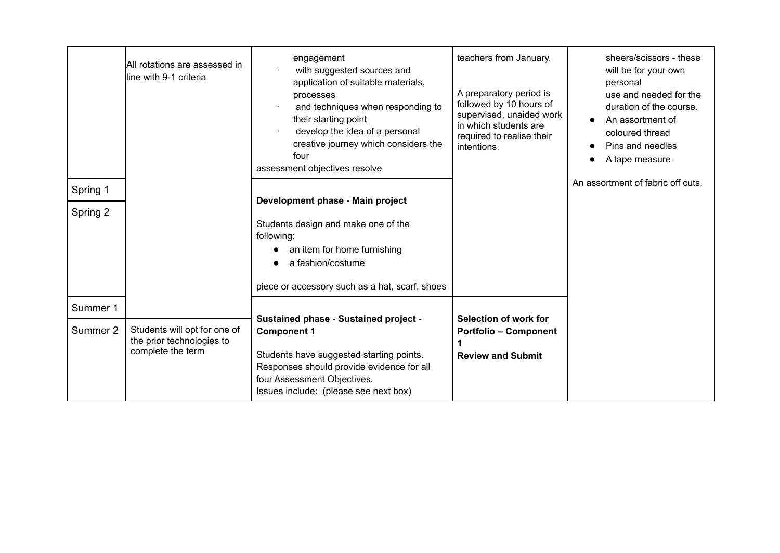| Spring 1 | All rotations are assessed in<br>line with 9-1 criteria   | engagement<br>with suggested sources and<br>application of suitable materials,<br>processes<br>and techniques when responding to<br>their starting point<br>develop the idea of a personal<br>creative journey which considers the<br>four<br>assessment objectives resolve | teachers from January.<br>A preparatory period is<br>followed by 10 hours of<br>supervised, unaided work<br>in which students are<br>required to realise their<br>intentions. | sheers/scissors - these<br>will be for your own<br>personal<br>use and needed for the<br>duration of the course.<br>An assortment of<br>coloured thread<br>Pins and needles<br>$\bullet$<br>A tape measure<br>An assortment of fabric off cuts. |
|----------|-----------------------------------------------------------|-----------------------------------------------------------------------------------------------------------------------------------------------------------------------------------------------------------------------------------------------------------------------------|-------------------------------------------------------------------------------------------------------------------------------------------------------------------------------|-------------------------------------------------------------------------------------------------------------------------------------------------------------------------------------------------------------------------------------------------|
|          |                                                           | Development phase - Main project                                                                                                                                                                                                                                            |                                                                                                                                                                               |                                                                                                                                                                                                                                                 |
| Spring 2 |                                                           |                                                                                                                                                                                                                                                                             |                                                                                                                                                                               |                                                                                                                                                                                                                                                 |
|          |                                                           | Students design and make one of the<br>following:                                                                                                                                                                                                                           |                                                                                                                                                                               |                                                                                                                                                                                                                                                 |
|          |                                                           | an item for home furnishing                                                                                                                                                                                                                                                 |                                                                                                                                                                               |                                                                                                                                                                                                                                                 |
|          |                                                           | a fashion/costume                                                                                                                                                                                                                                                           |                                                                                                                                                                               |                                                                                                                                                                                                                                                 |
|          |                                                           |                                                                                                                                                                                                                                                                             |                                                                                                                                                                               |                                                                                                                                                                                                                                                 |
|          |                                                           | piece or accessory such as a hat, scarf, shoes                                                                                                                                                                                                                              |                                                                                                                                                                               |                                                                                                                                                                                                                                                 |
| Summer 1 |                                                           |                                                                                                                                                                                                                                                                             |                                                                                                                                                                               |                                                                                                                                                                                                                                                 |
| Summer 2 | Students will opt for one of<br>the prior technologies to | <b>Sustained phase - Sustained project -</b><br><b>Component 1</b>                                                                                                                                                                                                          | Selection of work for<br><b>Portfolio - Component</b>                                                                                                                         |                                                                                                                                                                                                                                                 |
|          | complete the term                                         | Students have suggested starting points.                                                                                                                                                                                                                                    | <b>Review and Submit</b>                                                                                                                                                      |                                                                                                                                                                                                                                                 |
|          |                                                           | Responses should provide evidence for all<br>four Assessment Objectives.                                                                                                                                                                                                    |                                                                                                                                                                               |                                                                                                                                                                                                                                                 |
|          |                                                           | Issues include: (please see next box)                                                                                                                                                                                                                                       |                                                                                                                                                                               |                                                                                                                                                                                                                                                 |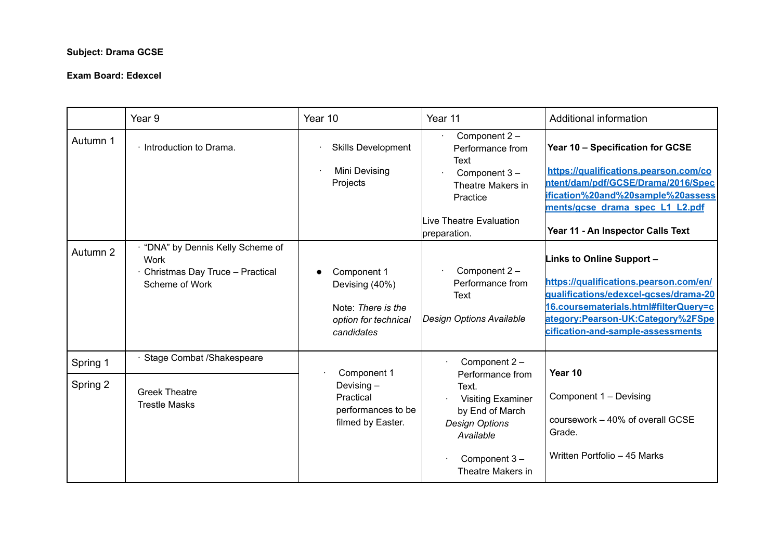#### **Subject: Drama GCSE**

#### **Exam Board: Edexcel**

|          | Year <sub>9</sub>                                                                                   | Year 10                                                                                   | Year 11                                                                                                                                             | Additional information                                                                                                                                                                                                                 |
|----------|-----------------------------------------------------------------------------------------------------|-------------------------------------------------------------------------------------------|-----------------------------------------------------------------------------------------------------------------------------------------------------|----------------------------------------------------------------------------------------------------------------------------------------------------------------------------------------------------------------------------------------|
| Autumn 1 | · Introduction to Drama.                                                                            | <b>Skills Development</b><br>Mini Devising<br>Projects                                    | Component 2 -<br>Performance from<br>Text<br>Component 3-<br>Theatre Makers in<br>Practice<br>Live Theatre Evaluation<br>preparation.               | Year 10 - Specification for GCSE<br>https://qualifications.pearson.com/co<br>ntent/dam/pdf/GCSE/Drama/2016/Spec<br>ification%20and%20sample%20assess<br>ments/gcse drama spec L1 L2.pdf<br>Year 11 - An Inspector Calls Text           |
| Autumn 2 | "DNA" by Dennis Kelly Scheme of<br><b>Work</b><br>Christmas Day Truce - Practical<br>Scheme of Work | Component 1<br>Devising (40%)<br>Note: There is the<br>option for technical<br>candidates | Component 2 -<br>Performance from<br>Text<br>Design Options Available                                                                               | <b>Links to Online Support -</b><br>https://qualifications.pearson.com/en/<br>qualifications/edexcel-acses/drama-20<br>16.coursematerials.html#filterQuery=c<br>ategory:Pearson-UK:Category%2FSpe<br>cification-and-sample-assessments |
| Spring 1 | Stage Combat /Shakespeare                                                                           |                                                                                           | Component 2-                                                                                                                                        |                                                                                                                                                                                                                                        |
| Spring 2 | <b>Greek Theatre</b><br><b>Trestle Masks</b>                                                        | Component 1<br>Devising $-$<br>Practical<br>performances to be<br>filmed by Easter.       | Performance from<br>Text.<br><b>Visiting Examiner</b><br>by End of March<br><b>Design Options</b><br>Available<br>Component 3-<br>Theatre Makers in | Year 10<br>Component 1 - Devising<br>coursework - 40% of overall GCSE<br>Grade.<br>Written Portfolio - 45 Marks                                                                                                                        |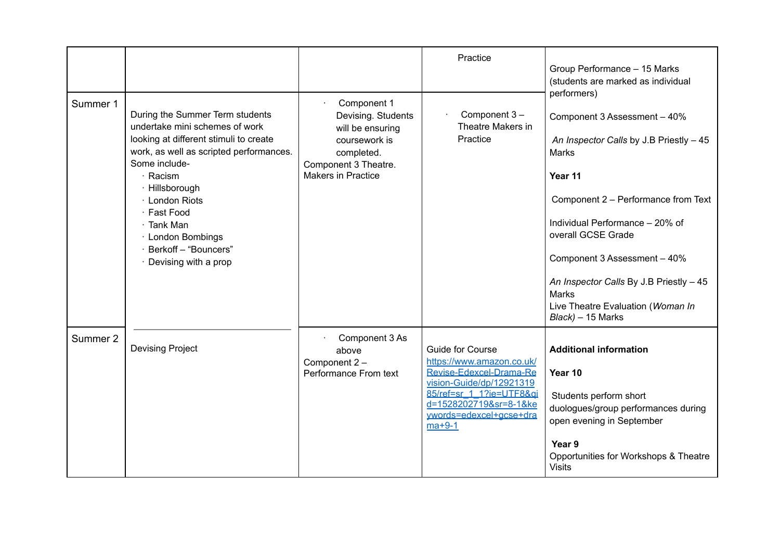|          |                                                                                                                                                                                                                                                                                                                               |                                                                                                                                    | Practice                                                                                                                                                                                                 | Group Performance - 15 Marks<br>(students are marked as individual                                                                                                                                                                                                                                                                                       |
|----------|-------------------------------------------------------------------------------------------------------------------------------------------------------------------------------------------------------------------------------------------------------------------------------------------------------------------------------|------------------------------------------------------------------------------------------------------------------------------------|----------------------------------------------------------------------------------------------------------------------------------------------------------------------------------------------------------|----------------------------------------------------------------------------------------------------------------------------------------------------------------------------------------------------------------------------------------------------------------------------------------------------------------------------------------------------------|
| Summer 1 | During the Summer Term students<br>undertake mini schemes of work<br>looking at different stimuli to create<br>work, as well as scripted performances.<br>Some include-<br>· Racism<br>· Hillsborough<br>· London Riots<br>· Fast Food<br>· Tank Man<br>· London Bombings<br>· Berkoff - "Bouncers"<br>· Devising with a prop | Component 1<br>Devising. Students<br>will be ensuring<br>coursework is<br>completed.<br>Component 3 Theatre.<br>Makers in Practice | Component 3-<br>Theatre Makers in<br>Practice                                                                                                                                                            | performers)<br>Component 3 Assessment - 40%<br>An Inspector Calls by J.B Priestly - 45<br>Marks<br>Year 11<br>Component 2 - Performance from Text<br>Individual Performance - 20% of<br>overall GCSE Grade<br>Component 3 Assessment - 40%<br>An Inspector Calls By J.B Priestly - 45<br>Marks<br>Live Theatre Evaluation (Woman In<br>Black) - 15 Marks |
| Summer 2 | <b>Devising Project</b>                                                                                                                                                                                                                                                                                                       | Component 3 As<br>above<br>Component 2-<br>Performance From text                                                                   | <b>Guide for Course</b><br>https://www.amazon.co.uk/<br>Revise-Edexcel-Drama-Re<br>vision-Guide/dp/12921319<br>85/ref=sr 1 1?ie=UTF8&ai<br>d=1528202719&sr=8-1&ke<br>ywords=edexcel+gcse+dra<br>$ma+9-1$ | <b>Additional information</b><br>Year 10<br>Students perform short<br>duologues/group performances during<br>open evening in September<br>Year 9<br>Opportunities for Workshops & Theatre<br><b>Visits</b>                                                                                                                                               |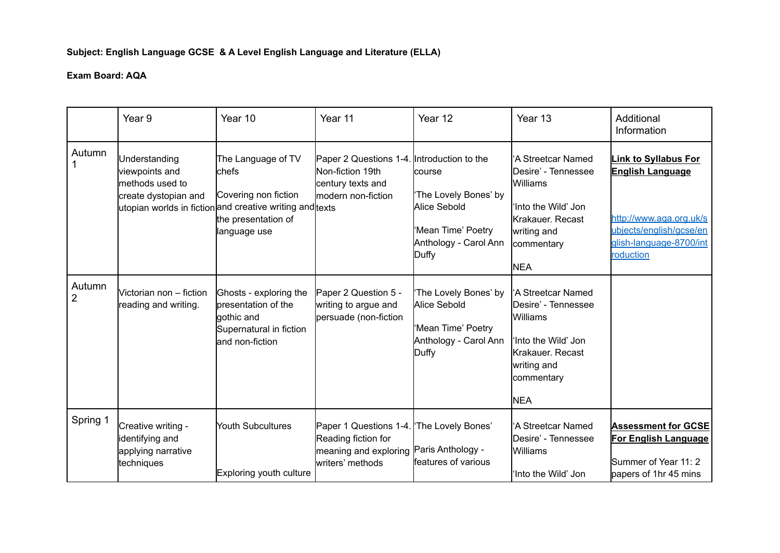# **Subject: English Language GCSE & A Level English Language and Literature (ELLA)**

|                          | Year 9                                                                     | Year 10                                                                                                                                                | Year 11                                                                                                   | Year 12                                                                                                 | Year 13                                                                                                                                      | Additional<br>Information                                                                                                                            |
|--------------------------|----------------------------------------------------------------------------|--------------------------------------------------------------------------------------------------------------------------------------------------------|-----------------------------------------------------------------------------------------------------------|---------------------------------------------------------------------------------------------------------|----------------------------------------------------------------------------------------------------------------------------------------------|------------------------------------------------------------------------------------------------------------------------------------------------------|
| Autumn                   | Understanding<br>viewpoints and<br>methods used to<br>create dystopian and | The Language of TV<br>chefs<br>Covering non fiction<br>utopian worlds in fiction and creative writing and texts<br>the presentation of<br>language use | Paper 2 Questions 1-4. Introduction to the<br>Non-fiction 19th<br>century texts and<br>modern non-fiction | lcourse<br>'The Lovely Bones' by<br>Alice Sebold<br>Mean Time' Poetry<br>Anthology - Carol Ann<br>Duffy | 'A Streetcar Named<br>Desire' - Tennessee<br>Williams<br>'Into the Wild' Jon<br>Krakauer. Recast<br>writing and<br>commentary<br><b>NEA</b>  | <b>Link to Syllabus For</b><br><b>English Language</b><br>http://www.aga.org.uk/s<br>ubiects/english/gcse/en<br>glish-language-8700/int<br>roduction |
| Autumn<br>$\overline{2}$ | Victorian non - fiction<br>reading and writing.                            | Ghosts - exploring the<br>presentation of the<br>gothic and<br>Supernatural in fiction<br>and non-fiction                                              | Paper 2 Question 5 -<br>writing to argue and<br>persuade (non-fiction                                     | 'The Lovely Bones' by<br>Alice Sebold<br>Mean Time' Poetry<br>Anthology - Carol Ann<br>Duffy            | 'A Streetcar Named<br>Desire' - Tennessee<br>Williams<br>'Into the Wild' Jon<br>lKrakauer. Recast<br>writing and<br>commentary<br><b>NEA</b> |                                                                                                                                                      |
| Spring 1                 | Creative writing -<br>identifying and<br>applying narrative<br>techniques  | <b>Youth Subcultures</b><br>Exploring youth culture                                                                                                    | Paper 1 Questions 1-4.<br>Reading fiction for<br>meaning and exploring<br>writers' methods                | 'The Lovely Bones'<br>Paris Anthology -<br>features of various                                          | 'A Streetcar Named<br>Desire' - Tennessee<br>Williams<br>'Into the Wild' Jon                                                                 | <b>Assessment for GCSE</b><br>For English Language<br>Summer of Year 11: 2<br>papers of 1hr 45 mins                                                  |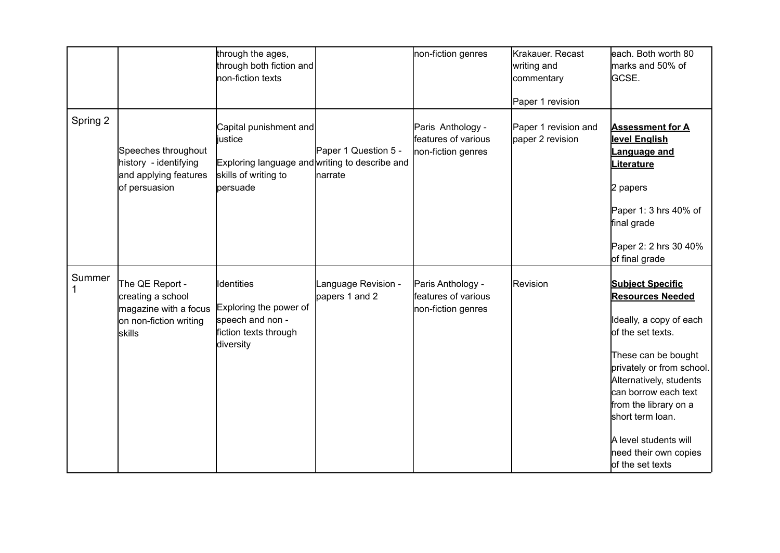|          |                                                                                                          | through the ages,<br>through both fiction and<br><b>I</b> non-fiction texts                                             |                                       | non-fiction genres                                             | Krakauer. Recast<br>writing and<br>commentary<br>Paper 1 revision | each. Both worth 80<br>marks and 50% of<br>GCSE.                                                                                                                                                                                                                                                                             |
|----------|----------------------------------------------------------------------------------------------------------|-------------------------------------------------------------------------------------------------------------------------|---------------------------------------|----------------------------------------------------------------|-------------------------------------------------------------------|------------------------------------------------------------------------------------------------------------------------------------------------------------------------------------------------------------------------------------------------------------------------------------------------------------------------------|
| Spring 2 | Speeches throughout<br>history - identifying<br>and applying features<br>of persuasion                   | Capital punishment and<br>justice<br>Exploring language and writing to describe and<br>skills of writing to<br>persuade | Paper 1 Question 5 -<br>narrate       | Paris Anthology -<br>features of various<br>non-fiction genres | Paper 1 revision and<br>paper 2 revision                          | <b>Assessment for A</b><br>level English<br>Language and<br><b>Literature</b><br>2 papers<br>Paper 1: 3 hrs 40% of<br>final grade<br>Paper 2: 2 hrs 30 40%<br>of final grade                                                                                                                                                 |
| Summer   | The QE Report -<br>creating a school<br>magazine with a focus<br>on non-fiction writing<br><b>skills</b> | <b>Identities</b><br>Exploring the power of<br>speech and non -<br>fiction texts through<br>diversity                   | Language Revision -<br>papers 1 and 2 | Paris Anthology -<br>features of various<br>non-fiction genres | Revision                                                          | <b>Subject Specific</b><br><b>Resources Needed</b><br>Ideally, a copy of each<br>of the set texts.<br>These can be bought<br>privately or from school.<br>Alternatively, students<br>can borrow each text<br>from the library on a<br>short term loan.<br>A level students will<br>need their own copies<br>of the set texts |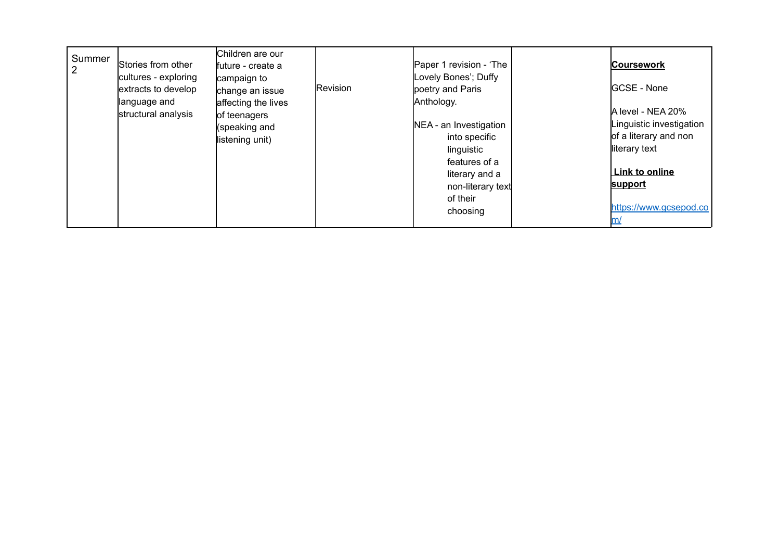| Summer | Stories from other<br>cultures - exploring<br>extracts to develop<br>language and<br>structural analysis | Children are our<br>lfuture - create a<br>campaign to<br>change an issue<br>affecting the lives<br>of teenagers<br>(speaking and<br>listening unit) | Revision | Paper 1 revision - 'The<br>Lovely Bones'; Duffy<br>poetry and Paris<br>Anthology.<br>NEA - an Investigation<br>into specific<br>linguistic | <b>Coursework</b><br><b>IGCSE - None</b><br>A level - NEA 20%<br>Linguistic investigation<br>of a literary and non<br>literary text |
|--------|----------------------------------------------------------------------------------------------------------|-----------------------------------------------------------------------------------------------------------------------------------------------------|----------|--------------------------------------------------------------------------------------------------------------------------------------------|-------------------------------------------------------------------------------------------------------------------------------------|
|        |                                                                                                          |                                                                                                                                                     |          | features of a<br>literary and a<br>non-literary text<br>of their<br>choosing                                                               | Link to online<br>support<br>https://www.gcsepod.co                                                                                 |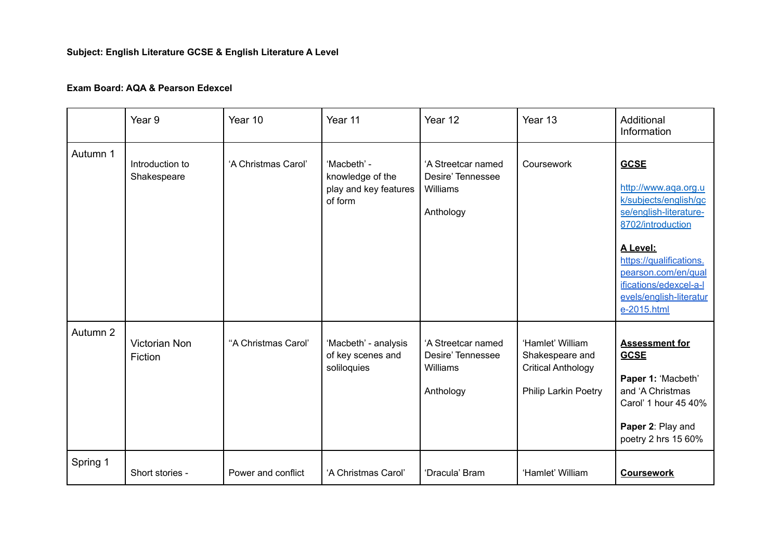# **Subject: English Literature GCSE & English Literature A Level**

#### **Exam Board: AQA & Pearson Edexcel**

|          | Year 9                          | Year 10             | Year 11                                                             | Year 12                                                          | Year 13                                                                                  | Additional<br>Information                                                                                                                                                                                                                     |
|----------|---------------------------------|---------------------|---------------------------------------------------------------------|------------------------------------------------------------------|------------------------------------------------------------------------------------------|-----------------------------------------------------------------------------------------------------------------------------------------------------------------------------------------------------------------------------------------------|
| Autumn 1 | Introduction to<br>Shakespeare  | 'A Christmas Carol' | 'Macbeth' -<br>knowledge of the<br>play and key features<br>of form | 'A Streetcar named<br>Desire' Tennessee<br>Williams<br>Anthology | Coursework                                                                               | <b>GCSE</b><br>http://www.aqa.org.u<br>k/subjects/english/gc<br>se/english-literature-<br>8702/introduction<br>A Level:<br>https://qualifications.<br>pearson.com/en/qual<br>ifications/edexcel-a-l<br>evels/english-literatur<br>e-2015.html |
| Autumn 2 | <b>Victorian Non</b><br>Fiction | "A Christmas Carol" | 'Macbeth' - analysis<br>of key scenes and<br>soliloquies            | 'A Streetcar named<br>Desire' Tennessee<br>Williams<br>Anthology | 'Hamlet' William<br>Shakespeare and<br><b>Critical Anthology</b><br>Philip Larkin Poetry | <b>Assessment for</b><br><b>GCSE</b><br>Paper 1: 'Macbeth'<br>and 'A Christmas<br>Carol' 1 hour 45 40%<br>Paper 2: Play and<br>poetry 2 hrs 15 60%                                                                                            |
| Spring 1 | Short stories -                 | Power and conflict  | 'A Christmas Carol'                                                 | 'Dracula' Bram                                                   | 'Hamlet' William                                                                         | <b>Coursework</b>                                                                                                                                                                                                                             |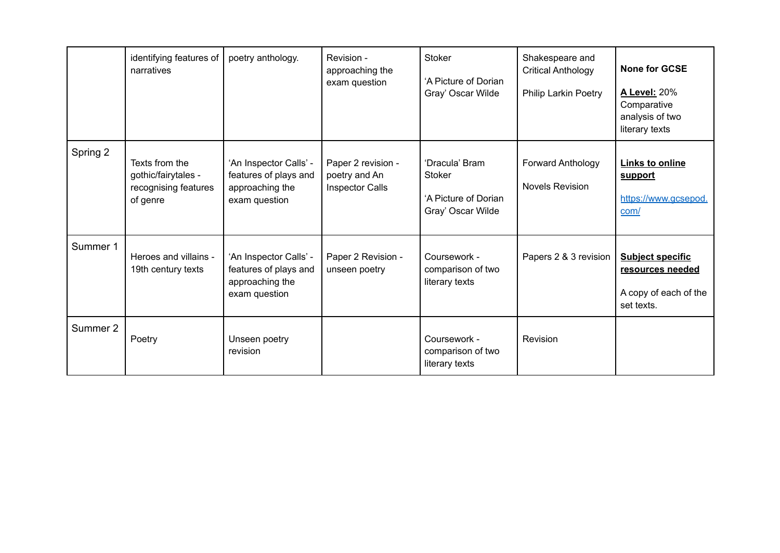|          | identifying features of<br>narratives                                     | poetry anthology.                                                                   | Revision -<br>approaching the<br>exam question         | <b>Stoker</b><br>'A Picture of Dorian<br>Gray' Oscar Wilde                   | Shakespeare and<br><b>Critical Anthology</b><br>Philip Larkin Poetry | <b>None for GCSE</b><br><b>A Level: 20%</b><br>Comparative<br>analysis of two<br>literary texts |
|----------|---------------------------------------------------------------------------|-------------------------------------------------------------------------------------|--------------------------------------------------------|------------------------------------------------------------------------------|----------------------------------------------------------------------|-------------------------------------------------------------------------------------------------|
| Spring 2 | Texts from the<br>gothic/fairytales -<br>recognising features<br>of genre | 'An Inspector Calls' -<br>features of plays and<br>approaching the<br>exam question | Paper 2 revision -<br>poetry and An<br>Inspector Calls | 'Dracula' Bram<br><b>Stoker</b><br>'A Picture of Dorian<br>Gray' Oscar Wilde | Forward Anthology<br><b>Novels Revision</b>                          | <b>Links to online</b><br>support<br>https://www.gcsepod.<br>com/                               |
| Summer 1 | Heroes and villains -<br>19th century texts                               | 'An Inspector Calls' -<br>features of plays and<br>approaching the<br>exam question | Paper 2 Revision -<br>unseen poetry                    | Coursework -<br>comparison of two<br>literary texts                          | Papers 2 & 3 revision                                                | <b>Subject specific</b><br>resources needed<br>A copy of each of the<br>set texts.              |
| Summer 2 | Poetry                                                                    | Unseen poetry<br>revision                                                           |                                                        | Coursework -<br>comparison of two<br>literary texts                          | Revision                                                             |                                                                                                 |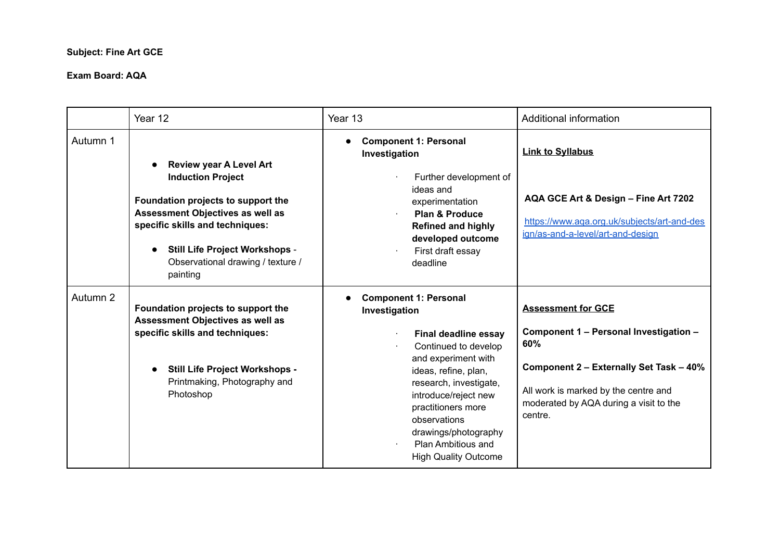#### **Subject: Fine Art GCE**

|          | Year 12                                                                                                                                                                                                                                                           | Year 13                                                                                                                                                                                                                                                                                                                  | Additional information                                                                                                                                                                                             |
|----------|-------------------------------------------------------------------------------------------------------------------------------------------------------------------------------------------------------------------------------------------------------------------|--------------------------------------------------------------------------------------------------------------------------------------------------------------------------------------------------------------------------------------------------------------------------------------------------------------------------|--------------------------------------------------------------------------------------------------------------------------------------------------------------------------------------------------------------------|
| Autumn 1 | <b>Review year A Level Art</b><br><b>Induction Project</b><br>Foundation projects to support the<br>Assessment Objectives as well as<br>specific skills and techniques:<br><b>Still Life Project Workshops -</b><br>Observational drawing / texture /<br>painting | <b>Component 1: Personal</b><br>Investigation<br>Further development of<br>ideas and<br>experimentation<br><b>Plan &amp; Produce</b><br><b>Refined and highly</b><br>developed outcome<br>First draft essay<br>deadline                                                                                                  | <b>Link to Syllabus</b><br>AQA GCE Art & Design - Fine Art 7202<br>https://www.aga.org.uk/subjects/art-and-des<br>ign/as-and-a-level/art-and-design                                                                |
| Autumn 2 | Foundation projects to support the<br>Assessment Objectives as well as<br>specific skills and techniques:<br>Still Life Project Workshops -<br>Printmaking, Photography and<br>Photoshop                                                                          | <b>Component 1: Personal</b><br>Investigation<br><b>Final deadline essay</b><br>Continued to develop<br>and experiment with<br>ideas, refine, plan,<br>research, investigate,<br>introduce/reject new<br>practitioners more<br>observations<br>drawings/photography<br>Plan Ambitious and<br><b>High Quality Outcome</b> | <b>Assessment for GCE</b><br>Component 1 - Personal Investigation -<br>60%<br>Component 2 - Externally Set Task - 40%<br>All work is marked by the centre and<br>moderated by AQA during a visit to the<br>centre. |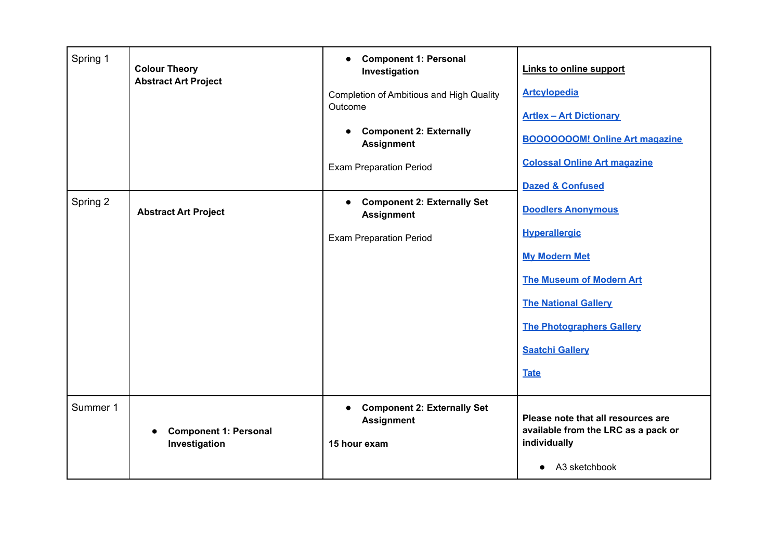| Spring 1 | <b>Colour Theory</b><br><b>Abstract Art Project</b> | <b>Component 1: Personal</b><br>$\bullet$<br>Investigation<br>Completion of Ambitious and High Quality<br>Outcome<br><b>Component 2: Externally</b><br>$\bullet$<br><b>Assignment</b><br><b>Exam Preparation Period</b> | Links to online support<br><b>Artcylopedia</b><br><b>Artlex - Art Dictionary</b><br><b>BOOOOOOOM! Online Art magazine</b><br><b>Colossal Online Art magazine</b><br><b>Dazed &amp; Confused</b>                          |
|----------|-----------------------------------------------------|-------------------------------------------------------------------------------------------------------------------------------------------------------------------------------------------------------------------------|--------------------------------------------------------------------------------------------------------------------------------------------------------------------------------------------------------------------------|
| Spring 2 | <b>Abstract Art Project</b>                         | <b>Component 2: Externally Set</b><br>$\bullet$<br><b>Assignment</b><br><b>Exam Preparation Period</b>                                                                                                                  | <b>Doodlers Anonymous</b><br><b>Hyperallergic</b><br><b>My Modern Met</b><br><b>The Museum of Modern Art</b><br><b>The National Gallery</b><br><b>The Photographers Gallery</b><br><b>Saatchi Gallery</b><br><b>Tate</b> |
| Summer 1 | <b>Component 1: Personal</b><br>Investigation       | <b>Component 2: Externally Set</b><br>$\bullet$<br><b>Assignment</b><br>15 hour exam                                                                                                                                    | Please note that all resources are<br>available from the LRC as a pack or<br>individually<br>A3 sketchbook                                                                                                               |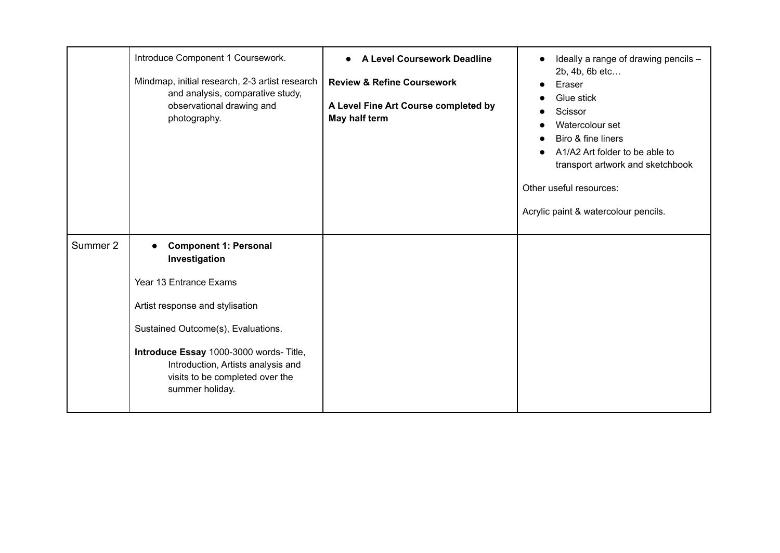|          | Introduce Component 1 Coursework.<br>Mindmap, initial research, 2-3 artist research<br>and analysis, comparative study,<br>observational drawing and<br>photography.                                                                                                                    | A Level Coursework Deadline<br>$\bullet$<br><b>Review &amp; Refine Coursework</b><br>A Level Fine Art Course completed by<br>May half term | Ideally a range of drawing pencils -<br>2b, 4b, 6b etc<br>Eraser<br>Glue stick<br>$\bullet$<br>Scissor<br>Watercolour set<br>Biro & fine liners<br>A1/A2 Art folder to be able to<br>transport artwork and sketchbook<br>Other useful resources:<br>Acrylic paint & watercolour pencils. |
|----------|-----------------------------------------------------------------------------------------------------------------------------------------------------------------------------------------------------------------------------------------------------------------------------------------|--------------------------------------------------------------------------------------------------------------------------------------------|------------------------------------------------------------------------------------------------------------------------------------------------------------------------------------------------------------------------------------------------------------------------------------------|
| Summer 2 | <b>Component 1: Personal</b><br>Investigation<br>Year 13 Entrance Exams<br>Artist response and stylisation<br>Sustained Outcome(s), Evaluations.<br>Introduce Essay 1000-3000 words- Title,<br>Introduction, Artists analysis and<br>visits to be completed over the<br>summer holiday. |                                                                                                                                            |                                                                                                                                                                                                                                                                                          |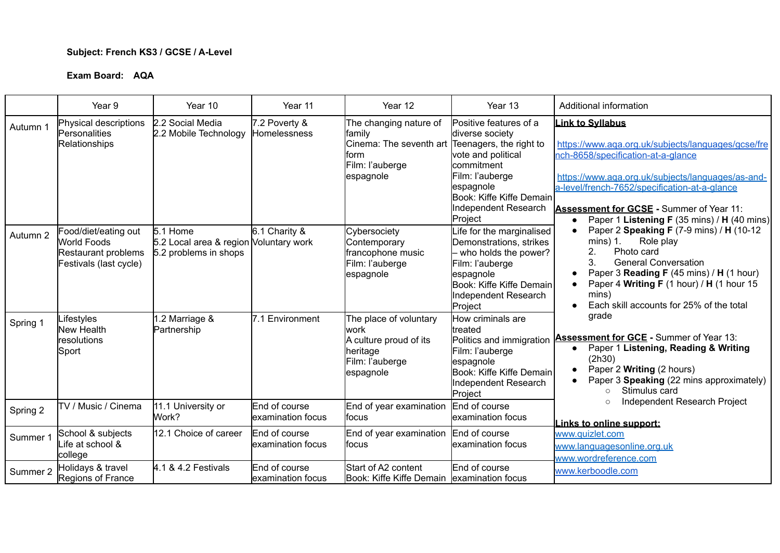#### **Subject: French KS3 / GCSE / A-Level**

|          | Year 9                                                                               | Year 10                                                                     | Year 11                                   | Year 12                                                                                                     | Year 13                                                                                                                                                                                                        | Additional information                                                                                                                                                                                                                                                                                                                                                                                                                                                                 |
|----------|--------------------------------------------------------------------------------------|-----------------------------------------------------------------------------|-------------------------------------------|-------------------------------------------------------------------------------------------------------------|----------------------------------------------------------------------------------------------------------------------------------------------------------------------------------------------------------------|----------------------------------------------------------------------------------------------------------------------------------------------------------------------------------------------------------------------------------------------------------------------------------------------------------------------------------------------------------------------------------------------------------------------------------------------------------------------------------------|
| Autumn 1 | Physical descriptions<br><b>Personalities</b><br><b>Relationships</b>                | 2.2 Social Media<br>2.2 Mobile Technology                                   | 7.2 Poverty &<br>Homelessness             | The changing nature of<br>family<br>Cinema: The seventh art<br>lform<br>Film: l'auberge<br>espagnole        | Positive features of a<br>diverse society<br>Teenagers, the right to<br>vote and political<br><b>commitment</b><br>Film: l'auberge<br>espagnole<br>Book: Kiffe Kiffe Demain<br>Independent Research<br>Project | <u>ink to Syllabus</u><br>https://www.aqa.org.uk/subjects/languages/gcse/fre<br>nch-8658/specification-at-a-glance<br>https://www.aga.org.uk/subjects/languages/as-and-<br>a-level/french-7652/specification-at-a-glance<br>Assessment for GCSE - Summer of Year 11:<br>Paper 1 Listening F (35 mins) / H (40 mins)                                                                                                                                                                    |
| Autumn 2 | Food/diet/eating out<br>World Foods<br>Restaurant problems<br>Festivals (last cycle) | 5.1 Home<br>5.2 Local area & region Voluntary work<br>5.2 problems in shops | 6.1 Charity &                             | Cybersociety<br>Contemporary<br>francophone music<br>Film: l'auberge<br>espagnole                           | Life for the marginalised<br>Demonstrations, strikes<br>- who holds the power?<br>Film: l'auberge<br>espagnole<br>Book: Kiffe Kiffe Demain<br>Independent Research<br>Project                                  | Paper 2 Speaking F (7-9 mins) / H (10-12<br>Role play<br>$mins)$ 1.<br>Photo card<br>2.<br>3.<br><b>General Conversation</b><br>Paper 3 Reading F (45 mins) / H (1 hour)<br>Paper 4 Writing F (1 hour) / H (1 hour 15<br>mins)<br>Each skill accounts for 25% of the total<br>grade<br>Assessment for GCE - Summer of Year 13:<br>Paper 1 Listening, Reading & Writing<br>(2h30)<br>Paper 2 Writing (2 hours)<br>Paper 3 Speaking (22 mins approximately)<br>Stimulus card<br>$\Omega$ |
| Spring 1 | _ifestyles<br>New Health<br>resolutions<br>Sport                                     | .2 Marriage &<br>Partnership                                                | 7.1 Environment                           | The place of voluntary<br><b>work</b><br>A culture proud of its<br>heritage<br>Film: l'auberge<br>espagnole | How criminals are<br>treated<br>Politics and immigration<br>Film: l'auberge<br>espagnole<br>Book: Kiffe Kiffe Demain<br>Independent Research<br>Project                                                        |                                                                                                                                                                                                                                                                                                                                                                                                                                                                                        |
| Spring 2 | TV / Music / Cinema                                                                  | 11.1 University or<br>Work?                                                 | End of course<br>examination focus        | End of year examination<br>lfocus                                                                           | End of course<br>examination focus                                                                                                                                                                             | Independent Research Project<br>$\Omega$<br>Links to online support:                                                                                                                                                                                                                                                                                                                                                                                                                   |
| Summer 1 | School & subjects<br>life at school &<br>college                                     | 12.1 Choice of career                                                       | End of course<br>lexamination focus       | End of year examination End of course<br>lfocus                                                             | examination focus                                                                                                                                                                                              | www.quizlet.com<br>www.languagesonline.org.uk<br>www.wordreference.com                                                                                                                                                                                                                                                                                                                                                                                                                 |
| Summer 2 | Holidays & travel<br>Regions of France                                               | 4.1 & 4.2 Festivals                                                         | <b>End of course</b><br>examination focus | Start of A2 content<br>Book: Kiffe Kiffe Demain lexamination focus                                          | End of course                                                                                                                                                                                                  | www.kerboodle.com                                                                                                                                                                                                                                                                                                                                                                                                                                                                      |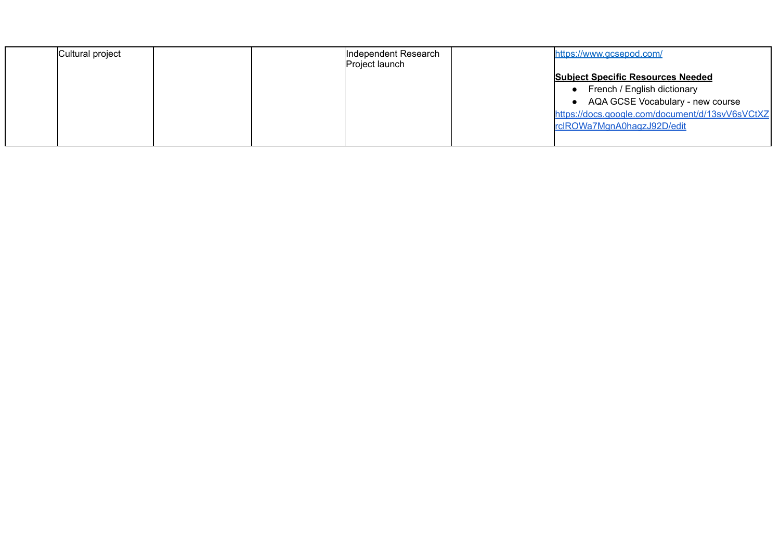| Cultural project |  | Independent Research<br>Project launch | https://www.gcsepod.com/                        |
|------------------|--|----------------------------------------|-------------------------------------------------|
|                  |  |                                        | <b>Subject Specific Resources Needed</b>        |
|                  |  |                                        | French / English dictionary                     |
|                  |  |                                        | AQA GCSE Vocabulary - new course                |
|                  |  |                                        | https://docs.google.com/document/d/13svV6sVCtXZ |
|                  |  |                                        | rclROWa7MgnA0hagzJ92D/edit                      |
|                  |  |                                        |                                                 |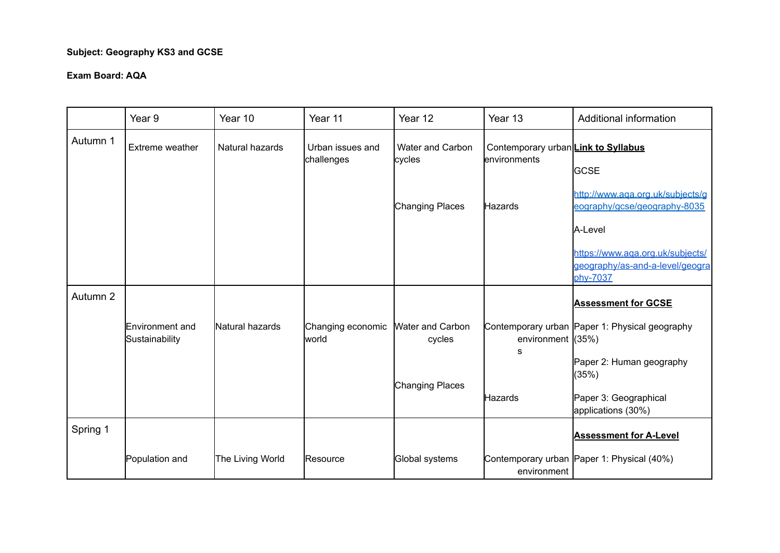## **Subject: Geography KS3 and GCSE**

|          | Year <sub>9</sub>                 | Year 10          | Year 11                        | Year 12                           | Year 13                                             | Additional information                                                              |
|----------|-----------------------------------|------------------|--------------------------------|-----------------------------------|-----------------------------------------------------|-------------------------------------------------------------------------------------|
| Autumn 1 | Extreme weather                   | Natural hazards  | Urban issues and<br>challenges | <b>Water and Carbon</b><br>cycles | Contemporary urban Link to Syllabus<br>environments | <b>GCSE</b>                                                                         |
|          |                                   |                  |                                | Changing Places                   | Hazards                                             | http://www.aqa.org.uk/subjects/g<br>eography/gcse/geography-8035<br>A-Level         |
|          |                                   |                  |                                |                                   |                                                     | https://www.aga.org.uk/subjects/<br>geography/as-and-a-level/geogra<br>phv-7037     |
| Autumn 2 |                                   |                  |                                |                                   |                                                     | <b>Assessment for GCSE</b>                                                          |
|          | Environment and<br>Sustainability | Natural hazards  | Changing economic<br>lworld    | <b>Water and Carbon</b><br>cycles | environment $(35%)$<br>s                            | Contemporary urban Paper 1: Physical geography<br>Paper 2: Human geography<br>(35%) |
|          |                                   |                  |                                | Changing Places                   | Hazards                                             | Paper 3: Geographical<br>applications (30%)                                         |
| Spring 1 |                                   |                  |                                |                                   |                                                     | <b>Assessment for A-Level</b>                                                       |
|          | Population and                    | The Living World | Resource                       | Global systems                    | environment                                         | Contemporary urban Paper 1: Physical (40%)                                          |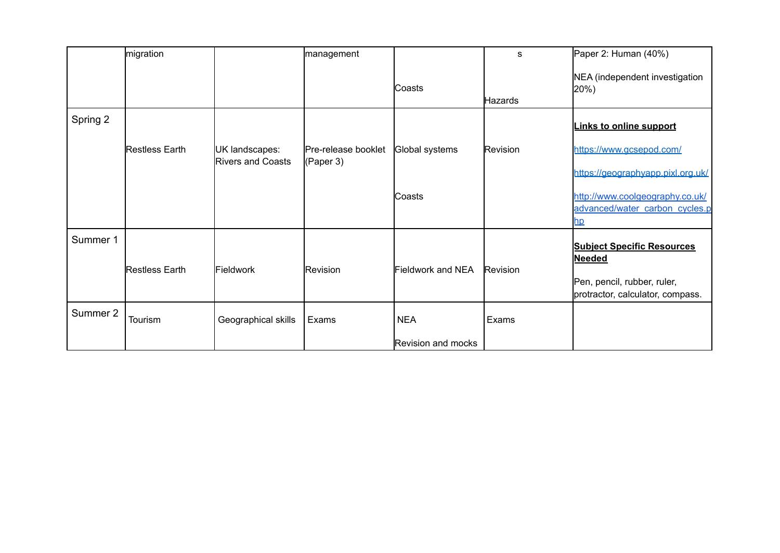|          | migration      |                                            | management                       |                    | s        | Paper 2: Human (40%)                                              |
|----------|----------------|--------------------------------------------|----------------------------------|--------------------|----------|-------------------------------------------------------------------|
|          |                |                                            |                                  | lCoasts            | Hazards  | NEA (independent investigation<br>$ 20\%$                         |
| Spring 2 |                |                                            |                                  |                    |          | <b>Links to online support</b>                                    |
|          | Restless Earth | UK landscapes:<br><b>Rivers and Coasts</b> | Pre-release booklet<br>(Paper 3) | Global systems     | Revision | https://www.gcsepod.com/                                          |
|          |                |                                            |                                  |                    |          | https://geographyapp.pixl.org.uk/                                 |
|          |                |                                            |                                  | Coasts             |          | http://www.coolgeography.co.uk/<br>advanced/water carbon cycles.p |
|          |                |                                            |                                  |                    |          | <u>np</u>                                                         |
| Summer 1 | Restless Earth | Fieldwork                                  | Revision                         | Fieldwork and NEA  | Revision | <b>Subject Specific Resources</b><br><b>Needed</b>                |
|          |                |                                            |                                  |                    |          | Pen, pencil, rubber, ruler,<br>protractor, calculator, compass.   |
| Summer 2 | Tourism        | Geographical skills                        | Exams                            | <b>NEA</b>         | Exams    |                                                                   |
|          |                |                                            |                                  | Revision and mocks |          |                                                                   |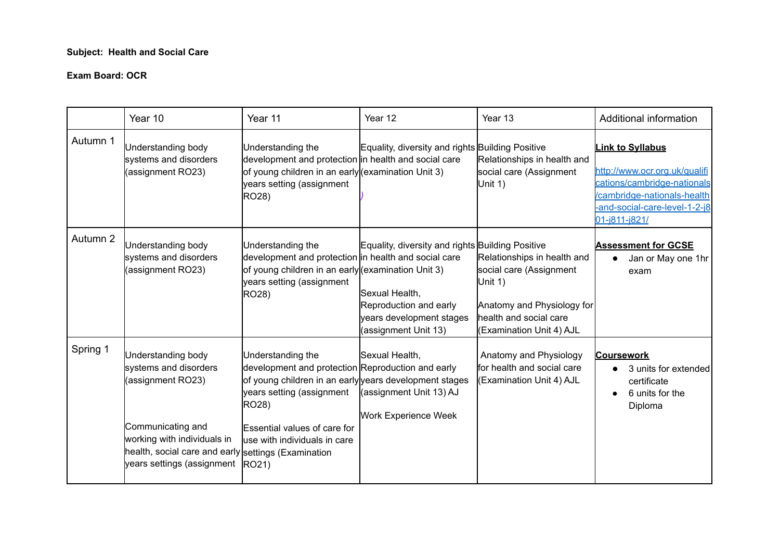## **Subject: Health and Social Care**

#### **Exam Board: OCR**

|          | Year 10                                                                                                                                                                                                   | Year 11                                                                                                                                                                                                                                                         | Year 12                                                                                                                                          | Year 13                                                                                                                                               | Additional information                                                                                                                                                   |
|----------|-----------------------------------------------------------------------------------------------------------------------------------------------------------------------------------------------------------|-----------------------------------------------------------------------------------------------------------------------------------------------------------------------------------------------------------------------------------------------------------------|--------------------------------------------------------------------------------------------------------------------------------------------------|-------------------------------------------------------------------------------------------------------------------------------------------------------|--------------------------------------------------------------------------------------------------------------------------------------------------------------------------|
| Autumn 1 | Understanding body<br>systems and disorders<br>(assignment RO23)                                                                                                                                          | Understanding the<br>development and protection in health and social care<br>of young children in an early (examination Unit 3)<br>years setting (assignment<br>RO28)                                                                                           | Equality, diversity and rights Building Positive                                                                                                 | Relationships in health and<br>social care (Assignment<br>Unit 1)                                                                                     | <b>Link to Syllabus</b><br>http://www.ocr.org.uk/qualifi<br>cations/cambridge-nationals<br>/cambridge-nationals-health<br>-and-social-care-level-1-2-j8<br>01-j811-j821/ |
| Autumn 2 | Understanding body<br>systems and disorders<br>(assignment RO23)                                                                                                                                          | Understanding the<br>development and protection in health and social care<br>of young children in an early (examination Unit 3)<br>years setting (assignment<br>RO28)                                                                                           | Equality, diversity and rights Building Positive<br>Sexual Health,<br>Reproduction and early<br>years development stages<br>(assignment Unit 13) | Relationships in health and<br>social care (Assignment<br>Unit 1)<br>Anatomy and Physiology for<br>health and social care<br>(Examination Unit 4) AJL | <b>Assessment for GCSE</b><br>Jan or May one 1hr<br>exam                                                                                                                 |
| Spring 1 | Understanding body<br>systems and disorders<br>(assignment RO23)<br>Communicating and<br>working with individuals in<br>health, social care and early settings (Examination<br>years settings (assignment | Understanding the<br>development and protection Reproduction and early<br>of young children in an early years development stages<br>years setting (assignment<br>RO28)<br><b>Essential values of care for</b><br>luse with individuals in care<br><b>RO21</b> ) | Sexual Health,<br>(assignment Unit 13) AJ<br><b>Work Experience Week</b>                                                                         | Anatomy and Physiology<br>ffor health and social care<br>(Examination Unit 4) AJL                                                                     | <b>Coursework</b><br>3 units for extended<br>certificate<br>6 units for the<br>Diploma                                                                                   |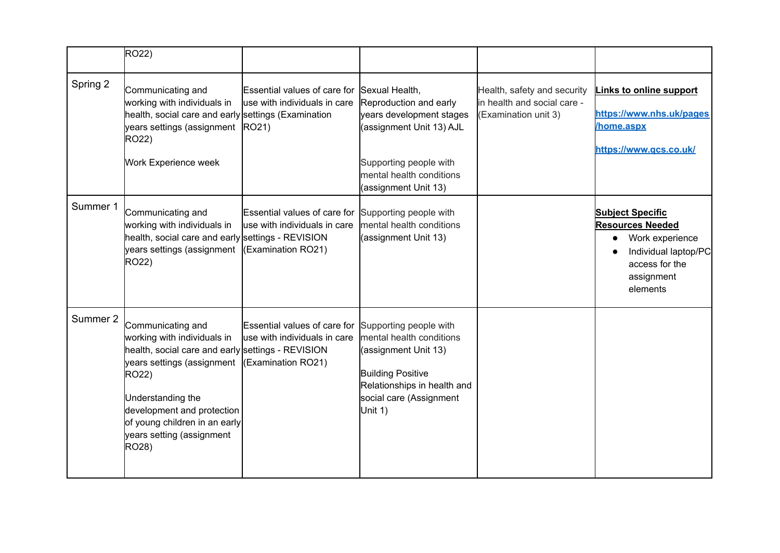|          | RO22)                                                                                                                                                                                                                                                                                     |                                                                                    |                                                                                                                                                                                |                                                                                     |                                                                                                                                                        |
|----------|-------------------------------------------------------------------------------------------------------------------------------------------------------------------------------------------------------------------------------------------------------------------------------------------|------------------------------------------------------------------------------------|--------------------------------------------------------------------------------------------------------------------------------------------------------------------------------|-------------------------------------------------------------------------------------|--------------------------------------------------------------------------------------------------------------------------------------------------------|
| Spring 2 | Communicating and<br>working with individuals in<br>health, social care and early settings (Examination<br>years settings (assignment RO21)<br>RO22)<br>Work Experience week                                                                                                              | Essential values of care for<br>use with individuals in care                       | Sexual Health,<br>Reproduction and early<br>years development stages<br>(assignment Unit 13) AJL<br>Supporting people with<br>mental health conditions<br>(assignment Unit 13) | Health, safety and security<br>lin health and social care -<br>(Examination unit 3) | <b>Links to online support</b><br>https://www.nhs.uk/pages<br>home.aspx<br>https://www.gcs.co.uk/                                                      |
| Summer 1 | Communicating and<br>working with individuals in<br>health, social care and early settings - REVISION<br>years settings (assignment<br>RO22)                                                                                                                                              | Essential values of care for<br>use with individuals in care<br>(Examination RO21) | Supporting people with<br>mental health conditions<br>(assignment Unit 13)                                                                                                     |                                                                                     | <b>Subject Specific</b><br><b>Resources Needed</b><br>Work experience<br>$\bullet$<br>Individual laptop/PC<br>access for the<br>assignment<br>elements |
| Summer 2 | Communicating and<br>working with individuals in<br>health, social care and early settings - REVISION<br>years settings (assignment (Examination RO21)<br>RO22)<br>Understanding the<br>development and protection<br>of young children in an early<br>years setting (assignment<br>RO28) | Essential values of care for<br>use with individuals in care                       | Supporting people with<br>mental health conditions<br>(assignment Unit 13)<br><b>Building Positive</b><br>Relationships in health and<br>social care (Assignment<br>Unit 1)    |                                                                                     |                                                                                                                                                        |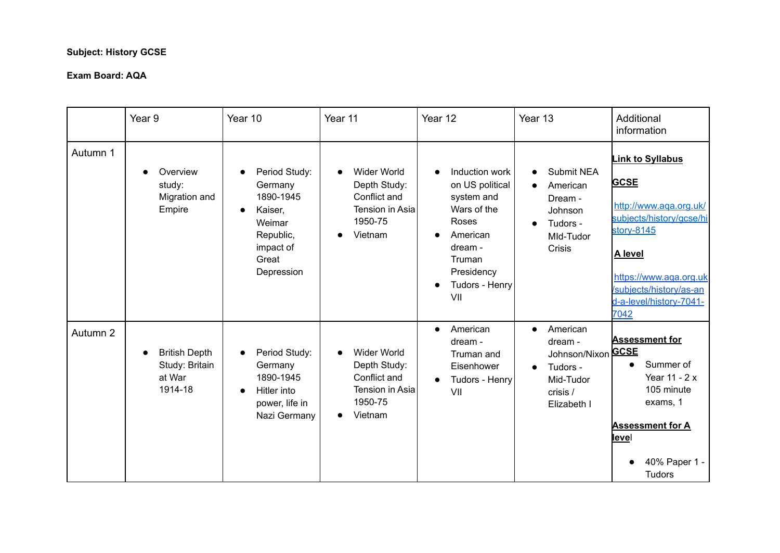## **Subject: History GCSE**

|          | Year <sub>9</sub>                                           | Year 10                                                                                                                  | Year 11                                                                                     | Year 12                                                                                                                                         | Year 13                                                                                                                 | Additional<br>information                                                                                                                                                                                    |
|----------|-------------------------------------------------------------|--------------------------------------------------------------------------------------------------------------------------|---------------------------------------------------------------------------------------------|-------------------------------------------------------------------------------------------------------------------------------------------------|-------------------------------------------------------------------------------------------------------------------------|--------------------------------------------------------------------------------------------------------------------------------------------------------------------------------------------------------------|
| Autumn 1 | Overview<br>study:<br>Migration and<br>Empire               | Period Study:<br>Germany<br>1890-1945<br>Kaiser,<br>$\bullet$<br>Weimar<br>Republic,<br>impact of<br>Great<br>Depression | <b>Wider World</b><br>Depth Study:<br>Conflict and<br>Tension in Asia<br>1950-75<br>Vietnam | Induction work<br>on US political<br>system and<br>Wars of the<br>Roses<br>American<br>dream -<br>Truman<br>Presidency<br>Tudors - Henry<br>VII | <b>Submit NEA</b><br>American<br>Dream -<br>Johnson<br>Tudors -<br>$\bullet$<br>MId-Tudor<br>Crisis                     | <b>Link to Syllabus</b><br><b>GCSE</b><br>http://www.aga.org.uk/<br>subjects/history/gcse/hi<br>story-8145<br>A level<br>https://www.aqa.org.uk<br>subjects/history/as-an<br>d-a-level/history-7041-<br>7042 |
| Autumn 2 | <b>British Depth</b><br>Study: Britain<br>at War<br>1914-18 | Period Study:<br>Germany<br>1890-1945<br>Hitler into<br>$\bullet$<br>power, life in<br>Nazi Germany                      | <b>Wider World</b><br>Depth Study:<br>Conflict and<br>Tension in Asia<br>1950-75<br>Vietnam | American<br>$\bullet$<br>dream -<br>Truman and<br>Eisenhower<br>Tudors - Henry<br>$\bullet$<br>VII                                              | American<br>$\bullet$<br>dream -<br>Johnson/Nixon GCSE<br>Tudors -<br>$\bullet$<br>Mid-Tudor<br>crisis /<br>Elizabeth I | <b>Assessment for</b><br>Summer of<br>Year 11 - 2 x<br>105 minute<br>exams, 1<br><b>Assessment for A</b><br><u>level</u><br>40% Paper 1 -<br><b>Tudors</b>                                                   |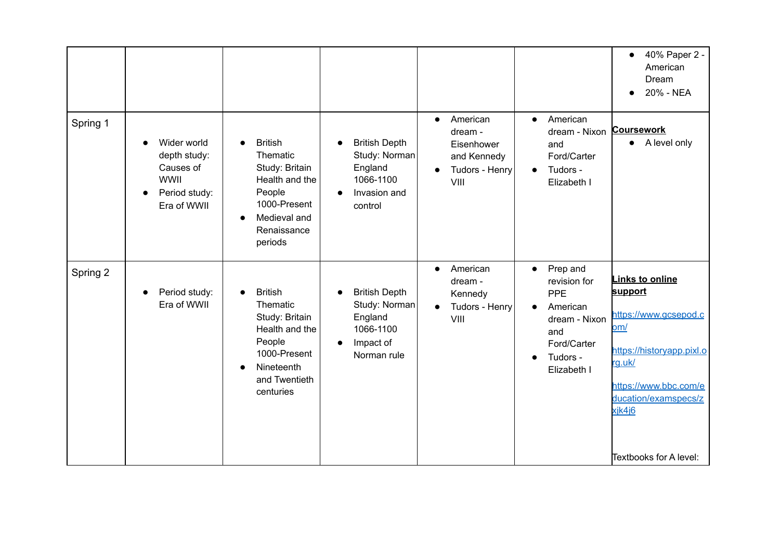|          |                                                                                         |                                                                                                                                                              |                                                                                           |                                                                                         |                                                                                                                                                      | 40% Paper 2 -<br>$\bullet$<br>American<br>Dream<br>20% - NEA<br>$\bullet$                                                                                                                     |
|----------|-----------------------------------------------------------------------------------------|--------------------------------------------------------------------------------------------------------------------------------------------------------------|-------------------------------------------------------------------------------------------|-----------------------------------------------------------------------------------------|------------------------------------------------------------------------------------------------------------------------------------------------------|-----------------------------------------------------------------------------------------------------------------------------------------------------------------------------------------------|
| Spring 1 | Wider world<br>depth study:<br>Causes of<br><b>WWII</b><br>Period study:<br>Era of WWII | <b>British</b><br>$\bullet$<br>Thematic<br>Study: Britain<br>Health and the<br>People<br>1000-Present<br>Medieval and<br>$\bullet$<br>Renaissance<br>periods | <b>British Depth</b><br>Study: Norman<br>England<br>1066-1100<br>Invasion and<br>control  | American<br>$\bullet$<br>dream -<br>Eisenhower<br>and Kennedy<br>Tudors - Henry<br>VIII | American<br>$\bullet$<br>dream - Nixon<br>and<br>Ford/Carter<br>Tudors -<br>$\bullet$<br>Elizabeth I                                                 | <b>Coursework</b><br>A level only<br>$\bullet$                                                                                                                                                |
| Spring 2 | Period study:<br>Era of WWII                                                            | <b>British</b><br>Thematic<br>Study: Britain<br>Health and the<br>People<br>1000-Present<br>Nineteenth<br>$\bullet$<br>and Twentieth<br>centuries            | <b>British Depth</b><br>Study: Norman<br>England<br>1066-1100<br>Impact of<br>Norman rule | American<br>$\bullet$<br>dream -<br>Kennedy<br>Tudors - Henry<br>$\bullet$<br>VIII      | Prep and<br>$\bullet$<br>revision for<br>PPE<br>American<br>$\bullet$<br>dream - Nixon<br>and<br>Ford/Carter<br>Tudors -<br>$\bullet$<br>Elizabeth I | <b>Links to online</b><br>support<br>https://www.gcsepod.c<br>om/<br>https://historyapp.pixl.o<br>rg.uk/<br>https://www.bbc.com/e<br>ducation/examspecs/z<br>xjk4j6<br>Textbooks for A level: |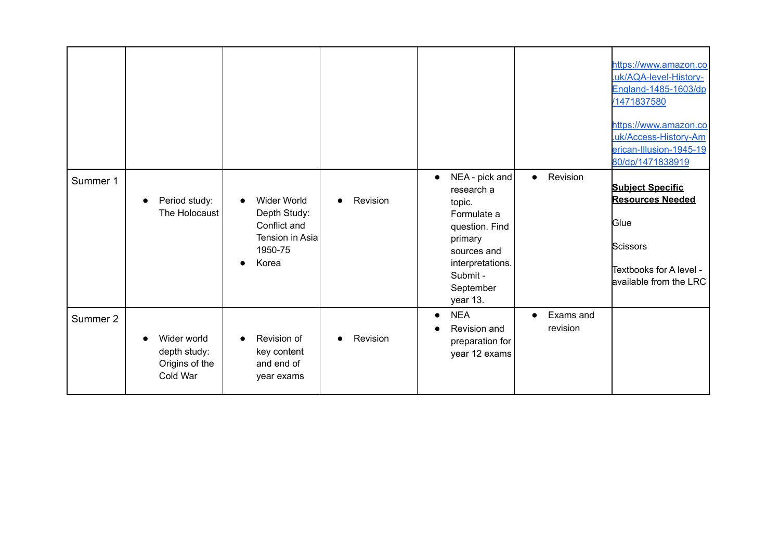|          |                                                           |                                                                                                        |          |                                                                                                                                                                         |                                    | https://www.amazon.co<br>.uk/AQA-level-History-<br>England-1485-1603/dp<br>/1471837580<br>https://www.amazon.co<br>.uk/Access-History-Am<br>erican-Illusion-1945-19<br>80/dp/1471838919 |
|----------|-----------------------------------------------------------|--------------------------------------------------------------------------------------------------------|----------|-------------------------------------------------------------------------------------------------------------------------------------------------------------------------|------------------------------------|-----------------------------------------------------------------------------------------------------------------------------------------------------------------------------------------|
| Summer 1 | Period study:<br>The Holocaust                            | <b>Wider World</b><br>$\bullet$<br>Depth Study:<br>Conflict and<br>Tension in Asia<br>1950-75<br>Korea | Revision | NEA - pick and<br>$\bullet$<br>research a<br>topic.<br>Formulate a<br>question. Find<br>primary<br>sources and<br>interpretations.<br>Submit -<br>September<br>year 13. | Revision<br>$\bullet$              | <b>Subject Specific</b><br><b>Resources Needed</b><br>Glue<br><b>Scissors</b><br>Textbooks for A level -<br>available from the LRC                                                      |
| Summer 2 | Wider world<br>depth study:<br>Origins of the<br>Cold War | Revision of<br>$\bullet$<br>key content<br>and end of<br>year exams                                    | Revision | <b>NEA</b><br>$\bullet$<br>Revision and<br>preparation for<br>year 12 exams                                                                                             | Exams and<br>$\bullet$<br>revision |                                                                                                                                                                                         |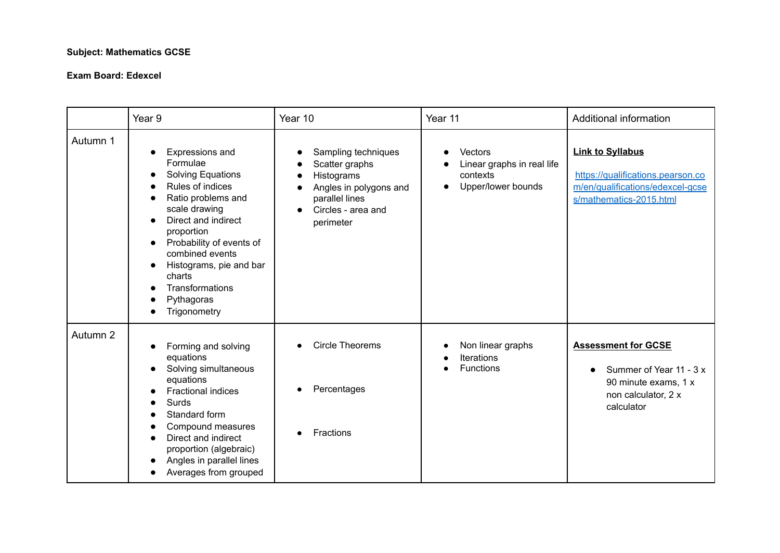## **Subject: Mathematics GCSE**

#### **Exam Board: Edexcel**

|          | Year <sub>9</sub>                                                                                                                                                                                                                                                                                                                          | Year 10                                                                                                                            | Year 11                                                                              | Additional information                                                                                                          |
|----------|--------------------------------------------------------------------------------------------------------------------------------------------------------------------------------------------------------------------------------------------------------------------------------------------------------------------------------------------|------------------------------------------------------------------------------------------------------------------------------------|--------------------------------------------------------------------------------------|---------------------------------------------------------------------------------------------------------------------------------|
| Autumn 1 | Expressions and<br>Formulae<br><b>Solving Equations</b><br>Rules of indices<br>Ratio problems and<br>scale drawing<br>Direct and indirect<br>$\bullet$<br>proportion<br>Probability of events of<br>$\bullet$<br>combined events<br>Histograms, pie and bar<br>$\bullet$<br>charts<br><b>Transformations</b><br>Pythagoras<br>Trigonometry | Sampling techniques<br>Scatter graphs<br>Histograms<br>Angles in polygons and<br>parallel lines<br>Circles - area and<br>perimeter | Vectors<br>Linear graphs in real life<br>contexts<br>Upper/lower bounds<br>$\bullet$ | <b>Link to Syllabus</b><br>https://qualifications.pearson.co<br>m/en/qualifications/edexcel-gcse<br>s/mathematics-2015.html     |
| Autumn 2 | Forming and solving<br>$\bullet$<br>equations<br>Solving simultaneous<br>$\bullet$<br>equations<br><b>Fractional indices</b><br>Surds<br>Standard form<br>Compound measures<br>Direct and indirect<br>proportion (algebraic)<br>Angles in parallel lines<br>Averages from grouped                                                          | <b>Circle Theorems</b><br>Percentages<br>Fractions                                                                                 | Non linear graphs<br><b>Iterations</b><br><b>Functions</b>                           | <b>Assessment for GCSE</b><br>Summer of Year 11 - 3 x<br>$\bullet$<br>90 minute exams, 1 x<br>non calculator, 2 x<br>calculator |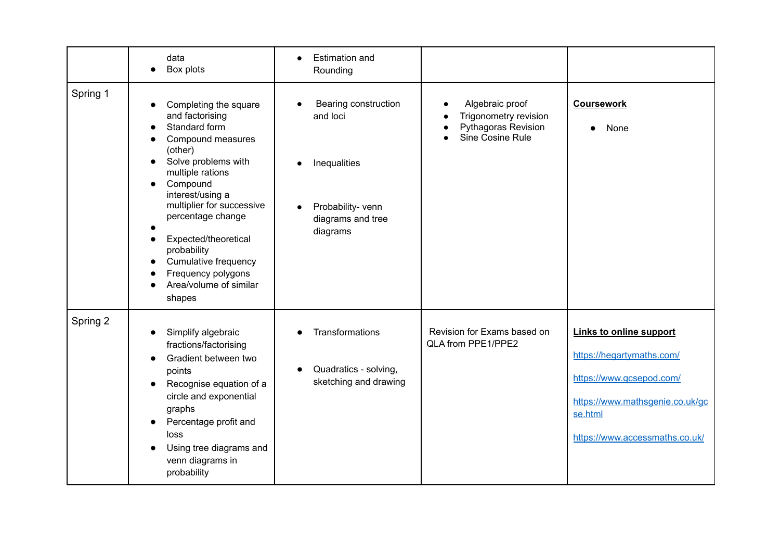|          | data<br>Box plots                                                                                                                                                                                                                                                                                                                               | <b>Estimation and</b><br>$\bullet$<br>Rounding                                                                      |                                                                                     |                                                                                                                                                                         |
|----------|-------------------------------------------------------------------------------------------------------------------------------------------------------------------------------------------------------------------------------------------------------------------------------------------------------------------------------------------------|---------------------------------------------------------------------------------------------------------------------|-------------------------------------------------------------------------------------|-------------------------------------------------------------------------------------------------------------------------------------------------------------------------|
| Spring 1 | Completing the square<br>and factorising<br>Standard form<br>Compound measures<br>(other)<br>Solve problems with<br>multiple rations<br>Compound<br>interest/using a<br>multiplier for successive<br>percentage change<br>Expected/theoretical<br>probability<br>Cumulative frequency<br>Frequency polygons<br>Area/volume of similar<br>shapes | Bearing construction<br>and loci<br>Inequalities<br>Probability- venn<br>$\bullet$<br>diagrams and tree<br>diagrams | Algebraic proof<br>Trigonometry revision<br>Pythagoras Revision<br>Sine Cosine Rule | <b>Coursework</b><br>None<br>$\bullet$                                                                                                                                  |
| Spring 2 | Simplify algebraic<br>fractions/factorising<br>Gradient between two<br>points<br>Recognise equation of a<br>circle and exponential<br>graphs<br>Percentage profit and<br>loss<br>Using tree diagrams and<br>venn diagrams in<br>probability                                                                                                     | <b>Transformations</b><br>Quadratics - solving,<br>sketching and drawing                                            | Revision for Exams based on<br>QLA from PPE1/PPE2                                   | <b>Links to online support</b><br>https://hegartymaths.com/<br>https://www.gcsepod.com/<br>https://www.mathsgenie.co.uk/gc<br>se.html<br>https://www.accessmaths.co.uk/ |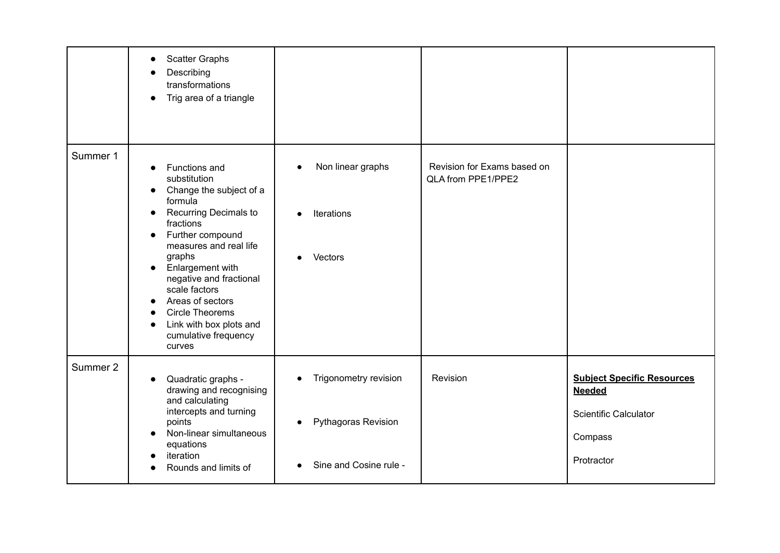|          | <b>Scatter Graphs</b><br>Describing<br>transformations<br>Trig area of a triangle                                                                                                                                                                                                                                                                                                                |                                                                                                         |                                                   |                                                                                                             |
|----------|--------------------------------------------------------------------------------------------------------------------------------------------------------------------------------------------------------------------------------------------------------------------------------------------------------------------------------------------------------------------------------------------------|---------------------------------------------------------------------------------------------------------|---------------------------------------------------|-------------------------------------------------------------------------------------------------------------|
| Summer 1 | Functions and<br>substitution<br>Change the subject of a<br>formula<br>Recurring Decimals to<br>$\bullet$<br>fractions<br>Further compound<br>$\bullet$<br>measures and real life<br>graphs<br>Enlargement with<br>$\bullet$<br>negative and fractional<br>scale factors<br>Areas of sectors<br><b>Circle Theorems</b><br>Link with box plots and<br>$\bullet$<br>cumulative frequency<br>curves | Non linear graphs<br>$\bullet$<br><b>Iterations</b><br>$\bullet$<br>Vectors<br>$\bullet$                | Revision for Exams based on<br>QLA from PPE1/PPE2 |                                                                                                             |
| Summer 2 | Quadratic graphs -<br>drawing and recognising<br>and calculating<br>intercepts and turning<br>points<br>Non-linear simultaneous<br>equations<br>iteration<br>Rounds and limits of                                                                                                                                                                                                                | Trigonometry revision<br>$\bullet$<br><b>Pythagoras Revision</b><br>$\bullet$<br>Sine and Cosine rule - | Revision                                          | <b>Subject Specific Resources</b><br><b>Needed</b><br><b>Scientific Calculator</b><br>Compass<br>Protractor |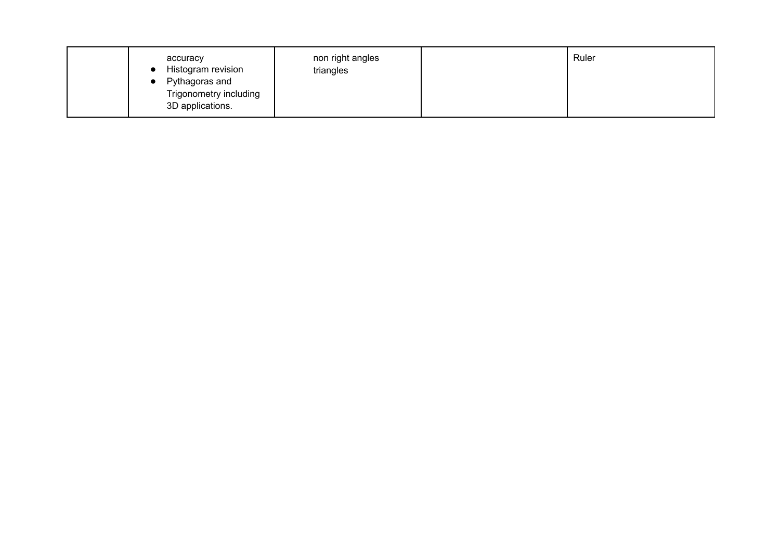| Pythagoras and<br>Trigonometry including<br>3D applications. |  | accuracy<br>Histogram revision | non right angles<br>triangles |  | Ruler |  |
|--------------------------------------------------------------|--|--------------------------------|-------------------------------|--|-------|--|
|--------------------------------------------------------------|--|--------------------------------|-------------------------------|--|-------|--|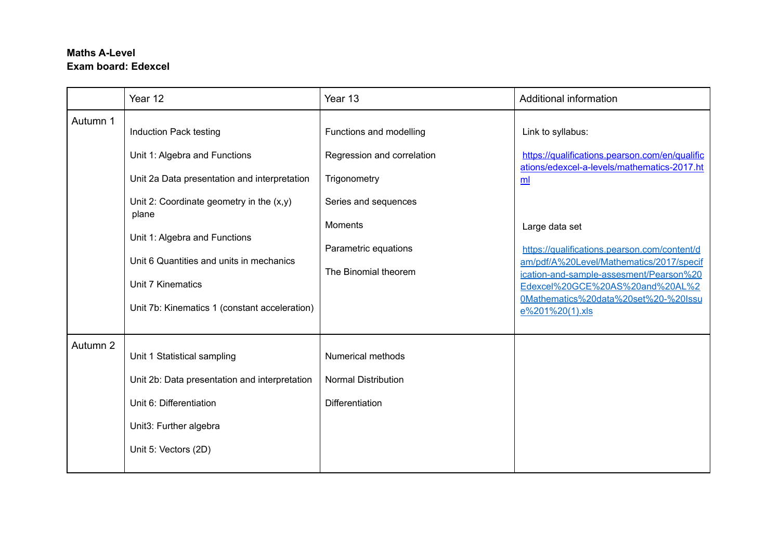# **Maths A-Level Exam board: Edexcel**

|          | Year 12                                                                                                                                                   | Year 13                                                                                       | Additional information                                                                                                                                                                                                                              |
|----------|-----------------------------------------------------------------------------------------------------------------------------------------------------------|-----------------------------------------------------------------------------------------------|-----------------------------------------------------------------------------------------------------------------------------------------------------------------------------------------------------------------------------------------------------|
| Autumn 1 | Induction Pack testing<br>Unit 1: Algebra and Functions<br>Unit 2a Data presentation and interpretation<br>Unit 2: Coordinate geometry in the $(x,y)$     | Functions and modelling<br>Regression and correlation<br>Trigonometry<br>Series and sequences | Link to syllabus:<br>https://qualifications.pearson.com/en/qualific<br>ations/edexcel-a-levels/mathematics-2017.ht<br>m                                                                                                                             |
|          | plane<br>Unit 1: Algebra and Functions<br>Unit 6 Quantities and units in mechanics<br>Unit 7 Kinematics<br>Unit 7b: Kinematics 1 (constant acceleration)  | <b>Moments</b><br>Parametric equations<br>The Binomial theorem                                | Large data set<br>https://qualifications.pearson.com/content/d<br>am/pdf/A%20Level/Mathematics/2017/specif<br>ication-and-sample-assesment/Pearson%20<br>Edexcel%20GCE%20AS%20and%20AL%2<br>0Mathematics%20data%20set%20-%20Issu<br>e%201%20(1).xls |
| Autumn 2 | Unit 1 Statistical sampling<br>Unit 2b: Data presentation and interpretation<br>Unit 6: Differentiation<br>Unit3: Further algebra<br>Unit 5: Vectors (2D) | <b>Numerical methods</b><br><b>Normal Distribution</b><br>Differentiation                     |                                                                                                                                                                                                                                                     |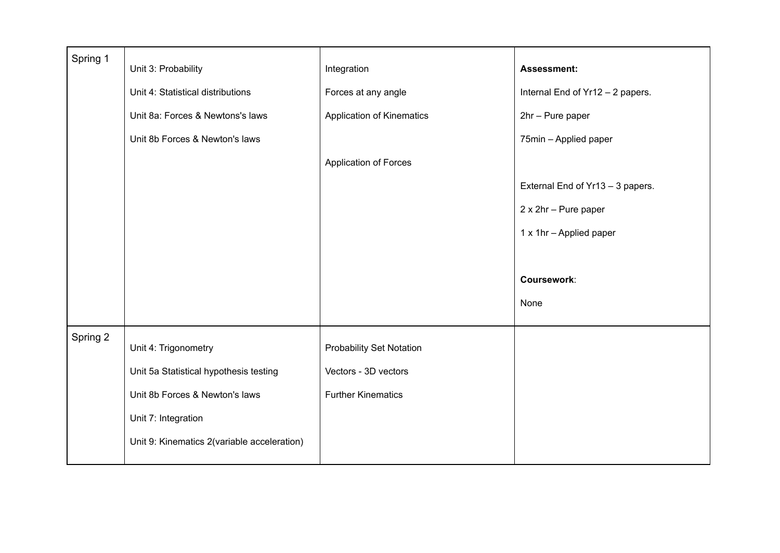| Spring 1 |                                             |                                 |                                  |
|----------|---------------------------------------------|---------------------------------|----------------------------------|
|          | Unit 3: Probability                         | Integration                     | <b>Assessment:</b>               |
|          | Unit 4: Statistical distributions           | Forces at any angle             | Internal End of Yr12 - 2 papers. |
|          | Unit 8a: Forces & Newtons's laws            | Application of Kinematics       | 2hr - Pure paper                 |
|          | Unit 8b Forces & Newton's laws              |                                 | 75min - Applied paper            |
|          |                                             | Application of Forces           |                                  |
|          |                                             |                                 | External End of Yr13 - 3 papers. |
|          |                                             |                                 | 2 x 2hr - Pure paper             |
|          |                                             |                                 | 1 x 1hr - Applied paper          |
|          |                                             |                                 |                                  |
|          |                                             |                                 | Coursework:                      |
|          |                                             |                                 | None                             |
|          |                                             |                                 |                                  |
| Spring 2 | Unit 4: Trigonometry                        | <b>Probability Set Notation</b> |                                  |
|          | Unit 5a Statistical hypothesis testing      | Vectors - 3D vectors            |                                  |
|          | Unit 8b Forces & Newton's laws              | <b>Further Kinematics</b>       |                                  |
|          | Unit 7: Integration                         |                                 |                                  |
|          | Unit 9: Kinematics 2(variable acceleration) |                                 |                                  |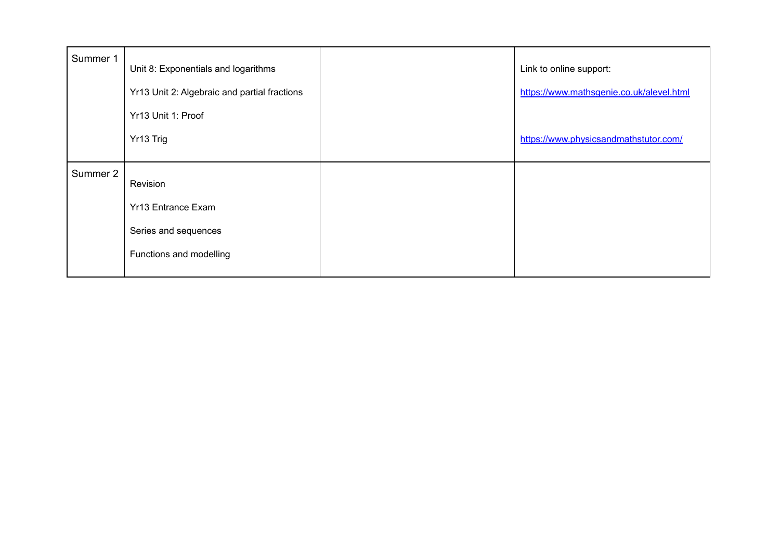| Summer 1 | Unit 8: Exponentials and logarithms<br>Yr13 Unit 2: Algebraic and partial fractions<br>Yr13 Unit 1: Proof | Link to online support:<br>https://www.mathsgenie.co.uk/alevel.html |
|----------|-----------------------------------------------------------------------------------------------------------|---------------------------------------------------------------------|
|          | Yr13 Trig                                                                                                 | https://www.physicsandmathstutor.com/                               |
| Summer 2 | Revision                                                                                                  |                                                                     |
|          | <b>Yr13 Entrance Exam</b>                                                                                 |                                                                     |
|          | Series and sequences                                                                                      |                                                                     |
|          | Functions and modelling                                                                                   |                                                                     |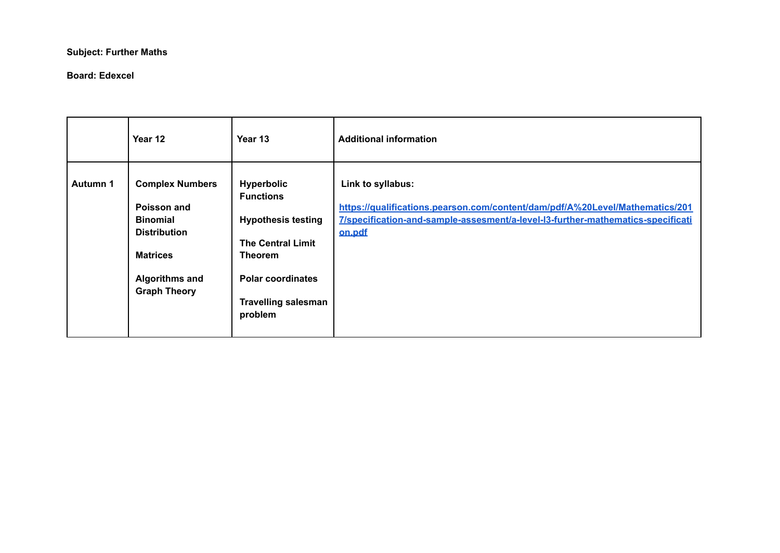## **Subject: Further Maths**

#### **Board: Edexcel**

|                 | Year 12                                                                                                                                            | Year 13                                                                                                                                                                        | <b>Additional information</b>                                                                                                                                                                  |
|-----------------|----------------------------------------------------------------------------------------------------------------------------------------------------|--------------------------------------------------------------------------------------------------------------------------------------------------------------------------------|------------------------------------------------------------------------------------------------------------------------------------------------------------------------------------------------|
| <b>Autumn 1</b> | <b>Complex Numbers</b><br>Poisson and<br><b>Binomial</b><br><b>Distribution</b><br><b>Matrices</b><br><b>Algorithms and</b><br><b>Graph Theory</b> | <b>Hyperbolic</b><br><b>Functions</b><br><b>Hypothesis testing</b><br><b>The Central Limit</b><br>Theorem<br><b>Polar coordinates</b><br><b>Travelling salesman</b><br>problem | Link to syllabus:<br>https://qualifications.pearson.com/content/dam/pdf/A%20Level/Mathematics/201<br>7/specification-and-sample-assesment/a-level-I3-further-mathematics-specificati<br>on.pdf |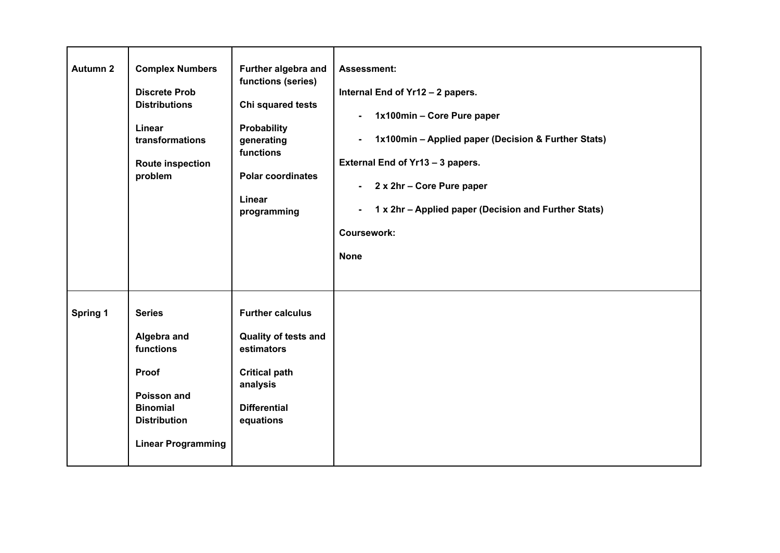| <b>Autumn 2</b> | <b>Complex Numbers</b><br><b>Discrete Prob</b><br><b>Distributions</b><br>Linear<br>transformations<br><b>Route inspection</b><br>problem | Further algebra and<br>functions (series)<br>Chi squared tests<br><b>Probability</b><br>generating<br>functions<br><b>Polar coordinates</b><br>Linear<br>programming | <b>Assessment:</b><br>Internal End of Yr12 - 2 papers.<br>1x100min - Core Pure paper<br>$\blacksquare$<br>1x100min - Applied paper (Decision & Further Stats)<br>$\blacksquare$<br>External End of Yr13 - 3 papers.<br>2 x 2hr - Core Pure paper<br>$\blacksquare$<br>1 x 2hr - Applied paper (Decision and Further Stats)<br>٠<br><b>Coursework:</b><br><b>None</b> |
|-----------------|-------------------------------------------------------------------------------------------------------------------------------------------|----------------------------------------------------------------------------------------------------------------------------------------------------------------------|----------------------------------------------------------------------------------------------------------------------------------------------------------------------------------------------------------------------------------------------------------------------------------------------------------------------------------------------------------------------|
| <b>Spring 1</b> | <b>Series</b><br>Algebra and<br>functions<br>Proof<br>Poisson and<br><b>Binomial</b><br><b>Distribution</b><br><b>Linear Programming</b>  | <b>Further calculus</b><br><b>Quality of tests and</b><br>estimators<br><b>Critical path</b><br>analysis<br><b>Differential</b><br>equations                         |                                                                                                                                                                                                                                                                                                                                                                      |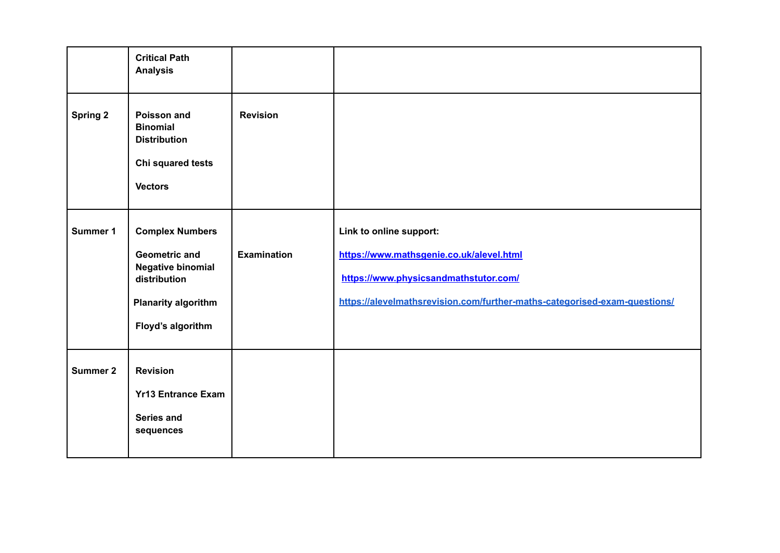|                 | <b>Critical Path</b><br><b>Analysis</b>                                                                                                       |                    |                                                                                                                                                                                           |
|-----------------|-----------------------------------------------------------------------------------------------------------------------------------------------|--------------------|-------------------------------------------------------------------------------------------------------------------------------------------------------------------------------------------|
| <b>Spring 2</b> | Poisson and<br><b>Binomial</b><br><b>Distribution</b><br>Chi squared tests<br><b>Vectors</b>                                                  | <b>Revision</b>    |                                                                                                                                                                                           |
| Summer 1        | <b>Complex Numbers</b><br><b>Geometric and</b><br><b>Negative binomial</b><br>distribution<br><b>Planarity algorithm</b><br>Floyd's algorithm | <b>Examination</b> | Link to online support:<br>https://www.mathsgenie.co.uk/alevel.html<br>https://www.physicsandmathstutor.com/<br>https://alevelmathsrevision.com/further-maths-categorised-exam-questions/ |
| <b>Summer 2</b> | <b>Revision</b><br><b>Yr13 Entrance Exam</b><br><b>Series and</b><br>sequences                                                                |                    |                                                                                                                                                                                           |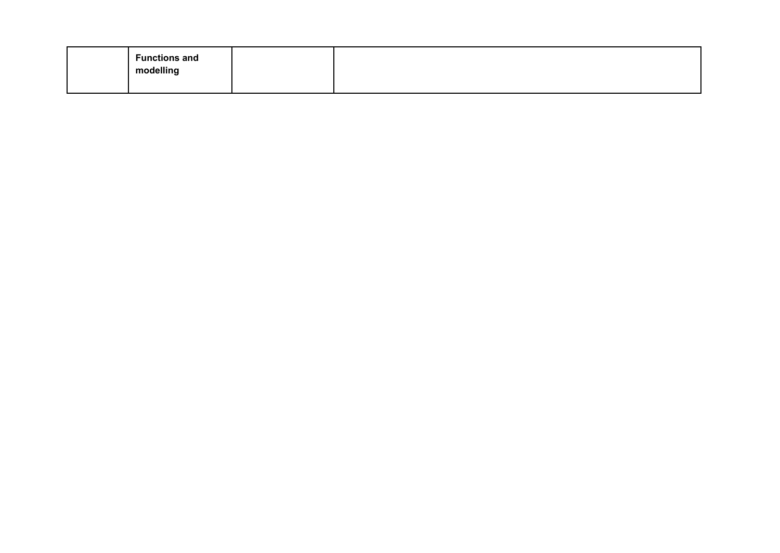| <b>Functions and</b><br>modelling |  |
|-----------------------------------|--|
|                                   |  |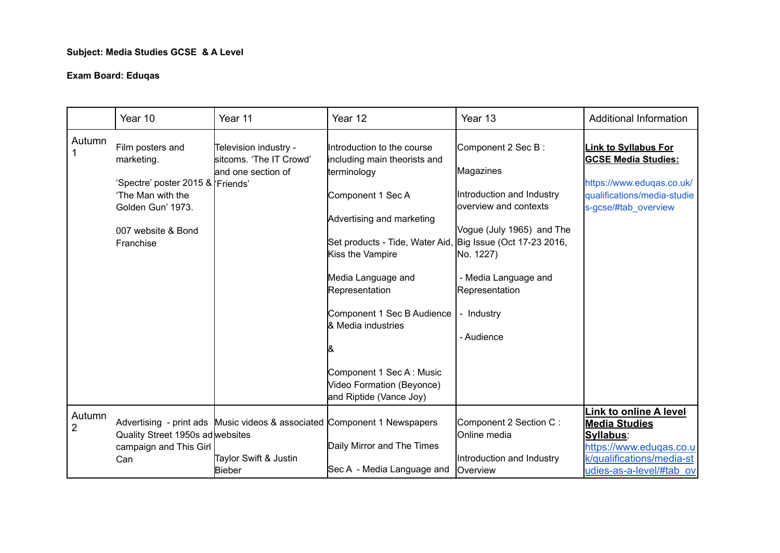## **Subject: Media Studies GCSE & A Level**

## **Exam Board: Eduqas**

|                          | Year 10                                                                                                                                         | Year 11                                                                                                            | Year 12                                                                                                                                                                                                                                                                                                                                                                                       | Year 13                                                                                                                                                                                                | <b>Additional Information</b>                                                                                                                   |
|--------------------------|-------------------------------------------------------------------------------------------------------------------------------------------------|--------------------------------------------------------------------------------------------------------------------|-----------------------------------------------------------------------------------------------------------------------------------------------------------------------------------------------------------------------------------------------------------------------------------------------------------------------------------------------------------------------------------------------|--------------------------------------------------------------------------------------------------------------------------------------------------------------------------------------------------------|-------------------------------------------------------------------------------------------------------------------------------------------------|
| Autumn                   | Film posters and<br>marketing.<br>'Spectre' poster 2015 & Friends'<br>'The Man with the<br>Golden Gun' 1973.<br>007 website & Bond<br>Franchise | Television industry -<br>sitcoms. 'The IT Crowd'<br>and one section of                                             | Introduction to the course<br>including main theorists and<br>terminology<br>Component 1 Sec A<br>Advertising and marketing<br>Set products - Tide, Water Aid, Big Issue (Oct 17-23 2016,<br>Kiss the Vampire<br>Media Language and<br>Representation<br>Component 1 Sec B Audience<br>& Media industries<br>Component 1 Sec A: Music<br>Video Formation (Beyonce)<br>and Riptide (Vance Joy) | Component 2 Sec B:<br>Magazines<br>Introduction and Industry<br>loverview and contexts<br>Vogue (July 1965) and The<br>No. 1227)<br>- Media Language and<br>Representation<br>- Industry<br>- Audience | <b>Link to Syllabus For</b><br><b>GCSE Media Studies:</b><br>https://www.eduqas.co.uk/<br>qualifications/media-studie<br>s-gcse/#tab_overview   |
| Autumn<br>$\overline{2}$ | Quality Street 1950s ad websites<br>campaign and This Girl<br>Can                                                                               | Advertising - print ads Music videos & associated Component 1 Newspapers<br>Taylor Swift & Justin<br><b>Bieber</b> | Daily Mirror and The Times<br>Sec A - Media Language and                                                                                                                                                                                                                                                                                                                                      | Component 2 Section C:<br><b>I</b> Online media<br>Introduction and Industry<br>Overview                                                                                                               | Link to online A level<br><b>Media Studies</b><br>Syllabus:<br>https://www.edugas.co.u<br>k/qualifications/media-st<br>udies-as-a-level/#tab ov |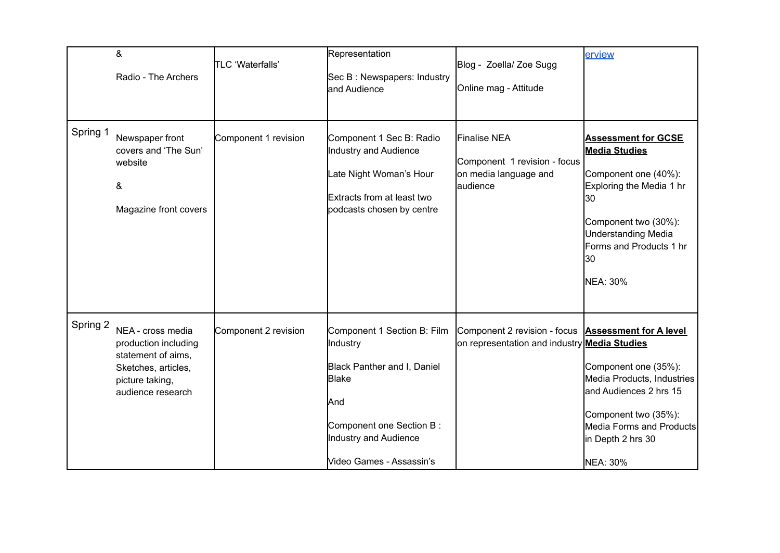|          | &<br>Radio - The Archers                                                                                                       | <b>TLC</b> 'Waterfalls' | Representation<br>Sec B: Newspapers: Industry<br>and Audience                                                                                                                           | Blog - Zoella/ Zoe Sugg<br>Online mag - Attitude                                                           | erview                                                                                                                                                                                                   |
|----------|--------------------------------------------------------------------------------------------------------------------------------|-------------------------|-----------------------------------------------------------------------------------------------------------------------------------------------------------------------------------------|------------------------------------------------------------------------------------------------------------|----------------------------------------------------------------------------------------------------------------------------------------------------------------------------------------------------------|
| Spring 1 | Newspaper front<br>covers and 'The Sun'<br>website<br>&<br>Magazine front covers                                               | Component 1 revision    | Component 1 Sec B: Radio<br>Industry and Audience<br>Late Night Woman's Hour<br>Extracts from at least two<br>podcasts chosen by centre                                                 | Finalise NEA<br>Component 1 revision - focus<br>on media language and<br>audience                          | <b>Assessment for GCSE</b><br><b>Media Studies</b><br>Component one (40%):<br>Exploring the Media 1 hr<br>30<br>Component two (30%):<br>Understanding Media<br>Forms and Products 1 hr<br>30<br>NEA: 30% |
| Spring 2 | NEA - cross media<br>production including<br>statement of aims,<br>Sketches, articles,<br>picture taking,<br>audience research | Component 2 revision    | Component 1 Section B: Film<br>Industry<br>Black Panther and I, Daniel<br><b>Blake</b><br><b>J</b> And<br>Component one Section B:<br>Industry and Audience<br>Video Games - Assassin's | Component 2 revision - focus Assessment for A level<br>on representation and industry <b>Media Studies</b> | Component one (35%):<br>Media Products, Industries<br>land Audiences 2 hrs 15<br>Component two (35%):<br>Media Forms and Products<br>in Depth 2 hrs 30<br><b>NEA: 30%</b>                                |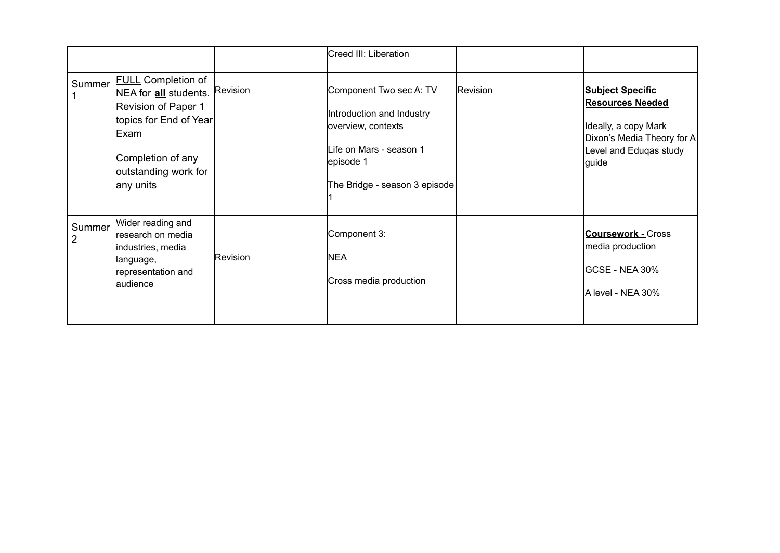|             |                                                                                                                                                                       |                 | Creed III: Liberation                                                                                                                               |          |                                                                                                                                             |
|-------------|-----------------------------------------------------------------------------------------------------------------------------------------------------------------------|-----------------|-----------------------------------------------------------------------------------------------------------------------------------------------------|----------|---------------------------------------------------------------------------------------------------------------------------------------------|
| Summer      | <b>FULL Completion of</b><br>NEA for all students.<br>Revision of Paper 1<br>topics for End of Year<br>Exam<br>Completion of any<br>outstanding work for<br>any units | Revision        | Component Two sec A: TV<br>Introduction and Industry<br>overview, contexts<br>Life on Mars - season 1<br>episode 1<br>The Bridge - season 3 episode | Revision | <b>Subject Specific</b><br><b>Resources Needed</b><br>Ideally, a copy Mark<br>Dixon's Media Theory for A<br>Level and Eduqas study<br>guide |
| Summer<br>2 | Wider reading and<br>research on media<br>industries, media<br>language,<br>representation and<br>audience                                                            | <b>Revision</b> | Component 3:<br>NEA<br>Cross media production                                                                                                       |          | <b>Coursework - Cross</b><br>media production<br>GCSE - NEA 30%<br>A level - NEA 30%                                                        |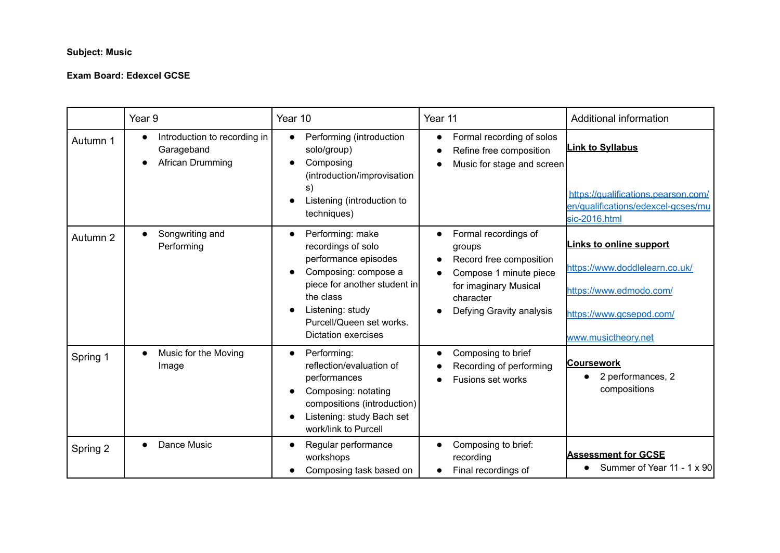## **Subject: Music**

## **Exam Board: Edexcel GCSE**

|          | Year 9                                                                      | Year 10                                                                                                                                                                                                    | Year 11                                                                                                                                               | Additional information                                                                                                                         |
|----------|-----------------------------------------------------------------------------|------------------------------------------------------------------------------------------------------------------------------------------------------------------------------------------------------------|-------------------------------------------------------------------------------------------------------------------------------------------------------|------------------------------------------------------------------------------------------------------------------------------------------------|
| Autumn 1 | Introduction to recording in<br>$\bullet$<br>Garageband<br>African Drumming | Performing (introduction<br>solo/group)<br>Composing<br>(introduction/improvisation<br>s)<br>Listening (introduction to<br>techniques)                                                                     | Formal recording of solos<br>$\bullet$<br>Refine free composition<br>Music for stage and screen                                                       | <b>Link to Syllabus</b><br>https://qualifications.pearson.com/<br>en/qualifications/edexcel-gcses/mu<br>sic-2016.html                          |
| Autumn 2 | Songwriting and<br>$\bullet$<br>Performing                                  | Performing: make<br>recordings of solo<br>performance episodes<br>Composing: compose a<br>piece for another student in<br>the class<br>Listening: study<br>Purcell/Queen set works.<br>Dictation exercises | Formal recordings of<br>groups<br>Record free composition<br>Compose 1 minute piece<br>for imaginary Musical<br>character<br>Defying Gravity analysis | <b>Links to online support</b><br>https://www.doddlelearn.co.uk/<br>https://www.edmodo.com/<br>https://www.gcsepod.com/<br>www.musictheory.net |
| Spring 1 | Music for the Moving<br>$\bullet$<br>Image                                  | Performing:<br>$\bullet$<br>reflection/evaluation of<br>performances<br>Composing: notating<br>compositions (introduction)<br>Listening: study Bach set<br>work/link to Purcell                            | Composing to brief<br>$\bullet$<br>Recording of performing<br>Fusions set works                                                                       | Coursework<br>2 performances, 2<br>compositions                                                                                                |
| Spring 2 | Dance Music<br>$\bullet$                                                    | Regular performance<br>workshops<br>Composing task based on                                                                                                                                                | Composing to brief:<br>recording<br>Final recordings of                                                                                               | <b>Assessment for GCSE</b><br>Summer of Year 11 - 1 x 90                                                                                       |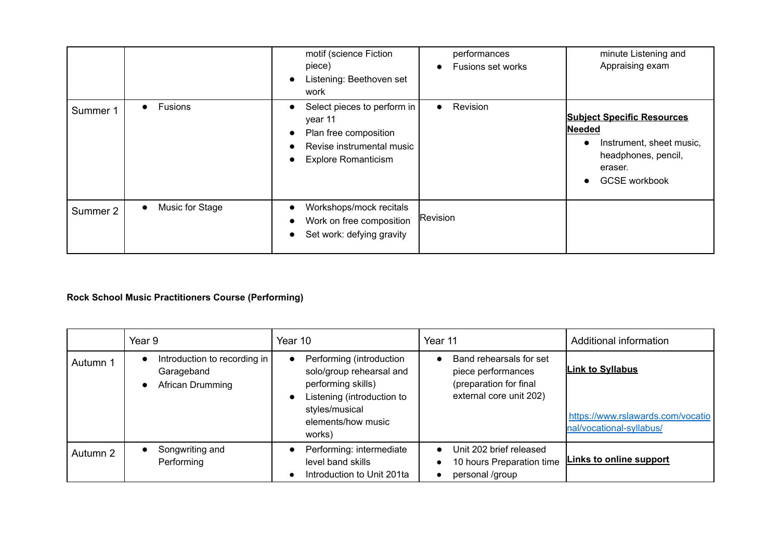|          |                              | motif (science Fiction<br>piece)<br>Listening: Beethoven set<br>work                                                       | performances<br>Fusions set works | minute Listening and<br>Appraising exam                                                                                           |
|----------|------------------------------|----------------------------------------------------------------------------------------------------------------------------|-----------------------------------|-----------------------------------------------------------------------------------------------------------------------------------|
| Summer 1 | Fusions<br>$\bullet$         | Select pieces to perform in<br>year 11<br>Plan free composition<br>Revise instrumental music<br><b>Explore Romanticism</b> | Revision<br>$\bullet$             | <b>Subject Specific Resources</b><br>Needed<br>Instrument, sheet music,<br>headphones, pencil,<br>eraser.<br><b>GCSE</b> workbook |
| Summer 2 | Music for Stage<br>$\bullet$ | Workshops/mock recitals<br>Work on free composition<br>Set work: defying gravity                                           | Revision                          |                                                                                                                                   |

## **Rock School Music Practitioners Course (Performing)**

|          | Year 9                                                           | Year 10                                                                                                                                                    | Year 11                                                                                            | Additional information                                                                   |
|----------|------------------------------------------------------------------|------------------------------------------------------------------------------------------------------------------------------------------------------------|----------------------------------------------------------------------------------------------------|------------------------------------------------------------------------------------------|
| Autumn 1 | Introduction to recording in  <br>Garageband<br>African Drumming | Performing (introduction<br>solo/group rehearsal and<br>performing skills)<br>Listening (introduction to<br>styles/musical<br>elements/how music<br>works) | Band rehearsals for set<br>piece performances<br>(preparation for final<br>external core unit 202) | <b>Link to Syllabus</b><br>https://www.rslawards.com/vocatio<br>nal/vocational-syllabus/ |
| Autumn 2 | Songwriting and<br>Performing                                    | Performing: intermediate<br>level band skills<br>Introduction to Unit 201ta                                                                                | Unit 202 brief released<br>10 hours Preparation time<br>personal /group                            | Links to online support                                                                  |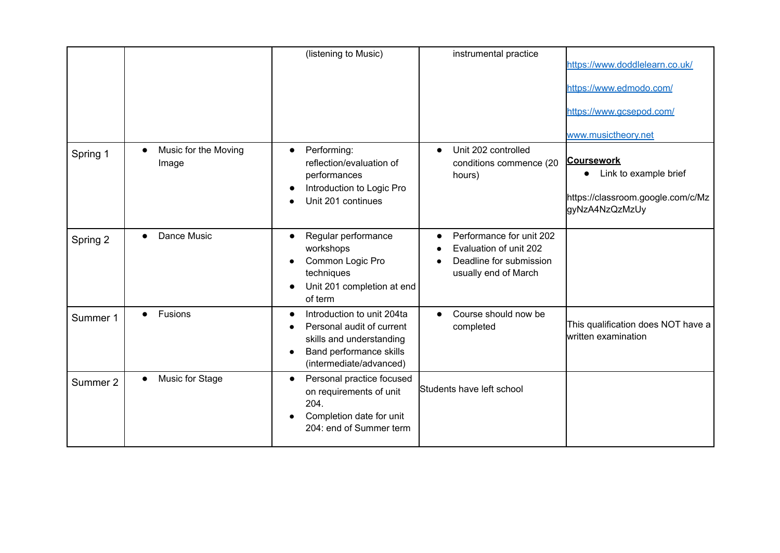|          |                                            | (listening to Music)                                                                                                                      | instrumental practice                                                                                 | https://www.doddlelearn.co.uk/<br>https://www.edmodo.com/<br>https://www.gcsepod.com/<br>www.musictheory.net |
|----------|--------------------------------------------|-------------------------------------------------------------------------------------------------------------------------------------------|-------------------------------------------------------------------------------------------------------|--------------------------------------------------------------------------------------------------------------|
| Spring 1 | Music for the Moving<br>$\bullet$<br>Image | Performing:<br>$\bullet$<br>reflection/evaluation of<br>performances<br>Introduction to Logic Pro<br>Unit 201 continues                   | Unit 202 controlled<br>$\bullet$<br>conditions commence (20<br>hours)                                 | <b>Coursework</b><br>Link to example brief<br>https://classroom.google.com/c/Mz<br>gyNzA4NzQzMzUy            |
| Spring 2 | Dance Music<br>$\bullet$                   | Regular performance<br>$\bullet$<br>workshops<br>Common Logic Pro<br>techniques<br>Unit 201 completion at end<br>of term                  | Performance for unit 202<br>Evaluation of unit 202<br>Deadline for submission<br>usually end of March |                                                                                                              |
| Summer 1 | Fusions<br>$\bullet$                       | Introduction to unit 204ta<br>Personal audit of current<br>skills and understanding<br>Band performance skills<br>(intermediate/advanced) | Course should now be<br>completed                                                                     | This qualification does NOT have a<br>written examination                                                    |
| Summer 2 | Music for Stage<br>$\bullet$               | Personal practice focused<br>on requirements of unit<br>204.<br>Completion date for unit<br>204: end of Summer term                       | Students have left school                                                                             |                                                                                                              |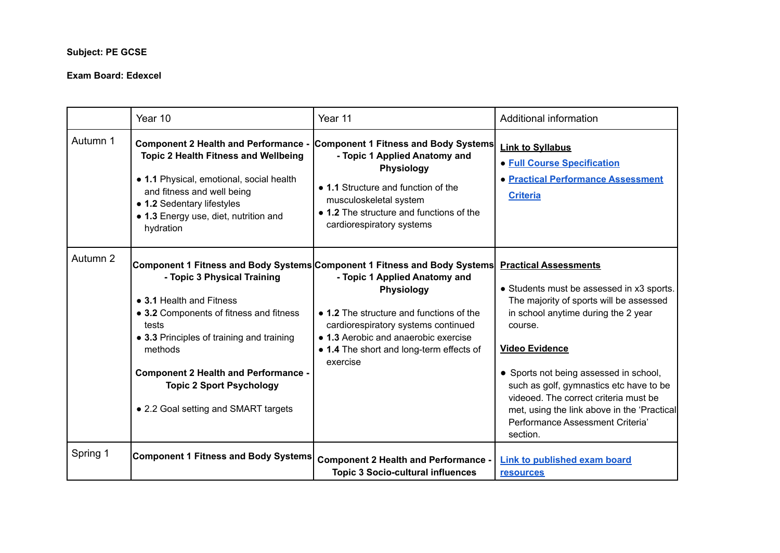## **Subject: PE GCSE**

#### **Exam Board: Edexcel**

|          | Year 10                                                                                                                                                                                                                                                                                       | Year 11                                                                                                                                                                                                                                                                                                            | Additional information                                                                                                                                                                                                                                                                                                                                                                                                       |
|----------|-----------------------------------------------------------------------------------------------------------------------------------------------------------------------------------------------------------------------------------------------------------------------------------------------|--------------------------------------------------------------------------------------------------------------------------------------------------------------------------------------------------------------------------------------------------------------------------------------------------------------------|------------------------------------------------------------------------------------------------------------------------------------------------------------------------------------------------------------------------------------------------------------------------------------------------------------------------------------------------------------------------------------------------------------------------------|
| Autumn 1 | <b>Component 2 Health and Performance -</b><br><b>Topic 2 Health Fitness and Wellbeing</b><br>• 1.1 Physical, emotional, social health<br>and fitness and well being<br>• 1.2 Sedentary lifestyles<br>• 1.3 Energy use, diet, nutrition and<br>hydration                                      | <b>Component 1 Fitness and Body Systems</b><br>- Topic 1 Applied Anatomy and<br><b>Physiology</b><br>• 1.1 Structure and function of the<br>musculoskeletal system<br>• 1.2 The structure and functions of the<br>cardiorespiratory systems                                                                        | <b>Link to Syllabus</b><br><b>• Full Course Specification</b><br>• Practical Performance Assessment<br><b>Criteria</b>                                                                                                                                                                                                                                                                                                       |
| Autumn 2 | - Topic 3 Physical Training<br>• 3.1 Health and Fitness<br>• 3.2 Components of fitness and fitness<br>tests<br>• 3.3 Principles of training and training<br>methods<br><b>Component 2 Health and Performance -</b><br><b>Topic 2 Sport Psychology</b><br>• 2.2 Goal setting and SMART targets | Component 1 Fitness and Body Systems Component 1 Fitness and Body Systems<br>- Topic 1 Applied Anatomy and<br><b>Physiology</b><br>• 1.2 The structure and functions of the<br>cardiorespiratory systems continued<br>• 1.3 Aerobic and anaerobic exercise<br>• 1.4 The short and long-term effects of<br>exercise | <b>Practical Assessments</b><br>• Students must be assessed in x3 sports.<br>The majority of sports will be assessed<br>in school anytime during the 2 year<br>course.<br><b>Video Evidence</b><br>• Sports not being assessed in school,<br>such as golf, gymnastics etc have to be<br>videoed. The correct criteria must be<br>met, using the link above in the 'Practical<br>Performance Assessment Criteria'<br>section. |
| Spring 1 | <b>Component 1 Fitness and Body Systems</b>                                                                                                                                                                                                                                                   | <b>Component 2 Health and Performance -</b><br><b>Topic 3 Socio-cultural influences</b>                                                                                                                                                                                                                            | <b>Link to published exam board</b><br><b>resources</b>                                                                                                                                                                                                                                                                                                                                                                      |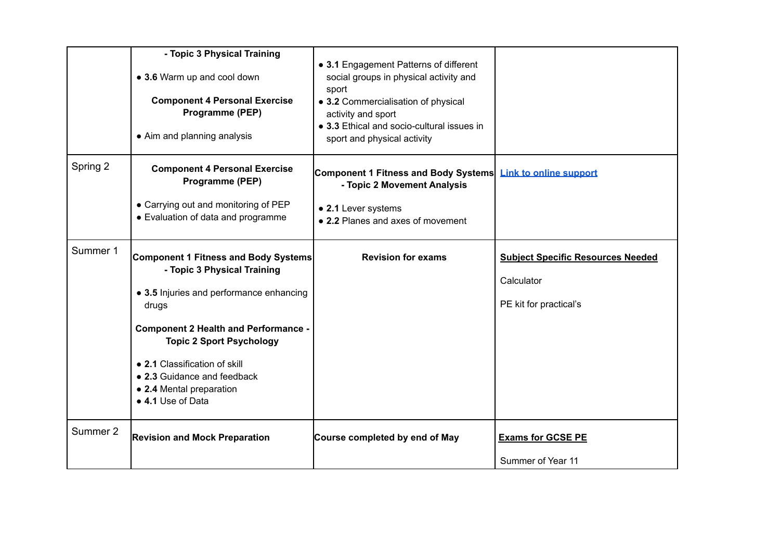|          | - Topic 3 Physical Training<br>• 3.6 Warm up and cool down<br><b>Component 4 Personal Exercise</b><br>Programme (PEP)<br>• Aim and planning analysis                                                                                                                                                                               | • 3.1 Engagement Patterns of different<br>social groups in physical activity and<br>sport<br>• 3.2 Commercialisation of physical<br>activity and sport<br>• 3.3 Ethical and socio-cultural issues in<br>sport and physical activity |                                                                                  |
|----------|------------------------------------------------------------------------------------------------------------------------------------------------------------------------------------------------------------------------------------------------------------------------------------------------------------------------------------|-------------------------------------------------------------------------------------------------------------------------------------------------------------------------------------------------------------------------------------|----------------------------------------------------------------------------------|
| Spring 2 | <b>Component 4 Personal Exercise</b><br>Programme (PEP)<br>• Carrying out and monitoring of PEP<br>• Evaluation of data and programme                                                                                                                                                                                              | Component 1 Fitness and Body Systems<br>- Topic 2 Movement Analysis<br>• 2.1 Lever systems<br>• 2.2 Planes and axes of movement                                                                                                     | <b>Link to online support</b>                                                    |
| Summer 1 | <b>Component 1 Fitness and Body Systems</b><br>- Topic 3 Physical Training<br>• 3.5 Injuries and performance enhancing<br>drugs<br><b>Component 2 Health and Performance -</b><br><b>Topic 2 Sport Psychology</b><br>• 2.1 Classification of skill<br>• 2.3 Guidance and feedback<br>• 2.4 Mental preparation<br>• 4.1 Use of Data | <b>Revision for exams</b>                                                                                                                                                                                                           | <b>Subject Specific Resources Needed</b><br>Calculator<br>PE kit for practical's |
| Summer 2 | <b>Revision and Mock Preparation</b>                                                                                                                                                                                                                                                                                               | Course completed by end of May                                                                                                                                                                                                      | <b>Exams for GCSE PE</b><br>Summer of Year 11                                    |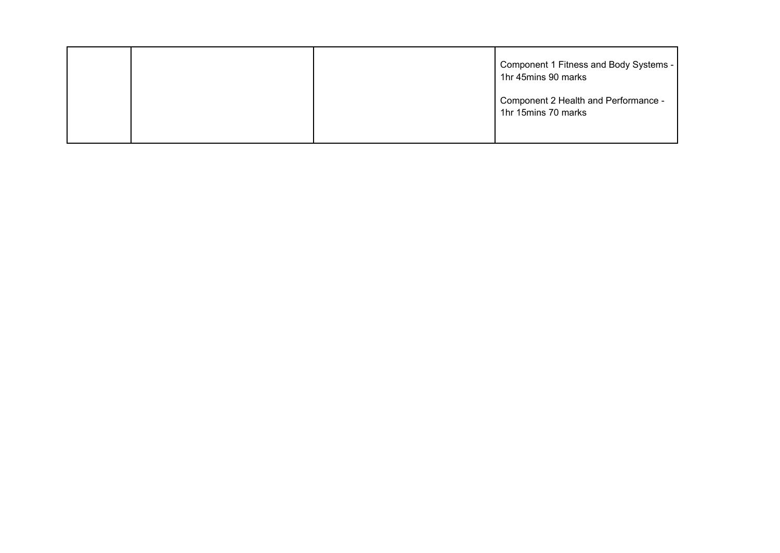|  | Component 1 Fitness and Body Systems -<br>1hr 45mins 90 marks |
|--|---------------------------------------------------------------|
|  | Component 2 Health and Performance -<br>1hr 15mins 70 marks   |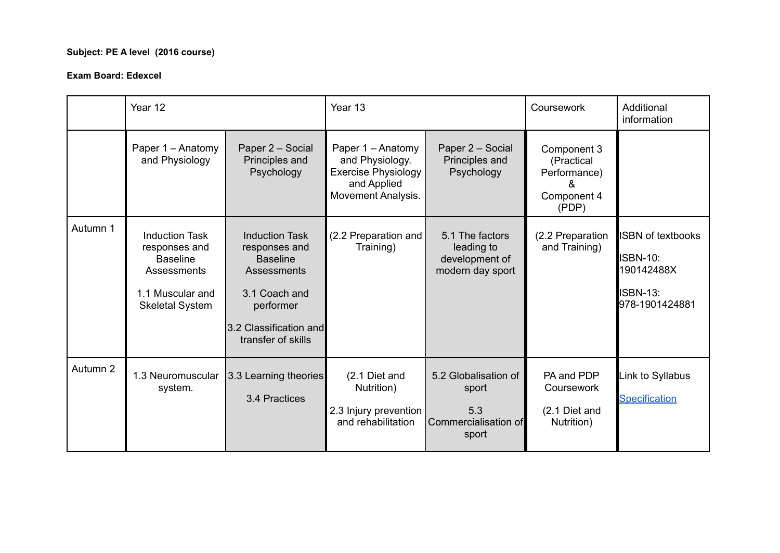## **Subject: PE A level (2016 course)**

#### **Exam Board: Edexcel**

|          | Year 12                                                                                                                |                                                                                                                                                        | Year 13                                                                                                 |                                                                       | Coursework                                                        | Additional<br>information                                                                      |
|----------|------------------------------------------------------------------------------------------------------------------------|--------------------------------------------------------------------------------------------------------------------------------------------------------|---------------------------------------------------------------------------------------------------------|-----------------------------------------------------------------------|-------------------------------------------------------------------|------------------------------------------------------------------------------------------------|
|          | Paper 1 - Anatomy<br>and Physiology                                                                                    | Paper 2 - Social<br>Principles and<br>Psychology                                                                                                       | Paper 1 - Anatomy<br>and Physiology.<br><b>Exercise Physiology</b><br>and Applied<br>Movement Analysis. | Paper 2 - Social<br>Principles and<br>Psychology                      | Component 3<br>(Practical<br>Performance)<br>Component 4<br>(PDP) |                                                                                                |
| Autumn 1 | <b>Induction Task</b><br>responses and<br><b>Baseline</b><br>Assessments<br>1.1 Muscular and<br><b>Skeletal System</b> | <b>Induction Task</b><br>responses and<br><b>Baseline</b><br>Assessments<br>3.1 Coach and<br>performer<br>3.2 Classification and<br>transfer of skills | (2.2 Preparation and<br>Training)                                                                       | 5.1 The factors<br>leading to<br>development of<br>modern day sport   | (2.2 Preparation<br>and Training)                                 | <b>ISBN of textbooks</b><br><b>ISBN-10:</b><br>190142488X<br><b>ISBN-13:</b><br>978-1901424881 |
| Autumn 2 | 1.3 Neuromuscular<br>system.                                                                                           | 3.3 Learning theories<br>3.4 Practices                                                                                                                 | (2.1 Diet and<br>Nutrition)<br>2.3 Injury prevention<br>and rehabilitation                              | 5.2 Globalisation of<br>sport<br>5.3<br>Commercialisation of<br>sport | PA and PDP<br>Coursework<br>(2.1 Diet and<br>Nutrition)           | Link to Syllabus<br><b>Specification</b>                                                       |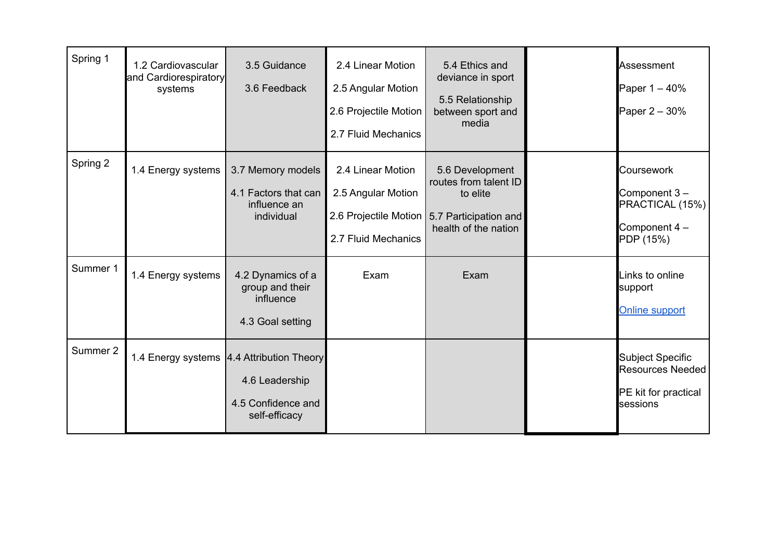| Spring 1 | 1.2 Cardiovascular<br>and Cardiorespiratory<br>systems | 3.5 Guidance<br>3.6 Feedback                                                                         | 2.4 Linear Motion<br>2.5 Angular Motion<br>2.6 Projectile Motion<br>2.7 Fluid Mechanics | 5.4 Ethics and<br>deviance in sport<br>5.5 Relationship<br>between sport and<br>media                                         | Assessment<br>Paper 1 - 40%<br>Paper 2 - 30%                                    |
|----------|--------------------------------------------------------|------------------------------------------------------------------------------------------------------|-----------------------------------------------------------------------------------------|-------------------------------------------------------------------------------------------------------------------------------|---------------------------------------------------------------------------------|
| Spring 2 | 1.4 Energy systems                                     | 3.7 Memory models<br>4.1 Factors that can<br>influence an<br>individual                              | 2.4 Linear Motion<br>2.5 Angular Motion<br>2.7 Fluid Mechanics                          | 5.6 Development<br>routes from talent ID<br>to elite<br>2.6 Projectile Motion   5.7 Participation and<br>health of the nation | Coursework<br>Component 3-<br>PRACTICAL (15%)<br>Component 4 -<br>PDP (15%)     |
| Summer 1 | 1.4 Energy systems                                     | 4.2 Dynamics of a<br>group and their<br>influence<br>4.3 Goal setting                                | Exam                                                                                    | Exam                                                                                                                          | Links to online<br>support<br><b>Online support</b>                             |
| Summer 2 |                                                        | 1.4 Energy systems   4.4 Attribution Theory<br>4.6 Leadership<br>4.5 Confidence and<br>self-efficacy |                                                                                         |                                                                                                                               | <b>Subject Specific</b><br>Resources Needed<br>PE kit for practical<br>sessions |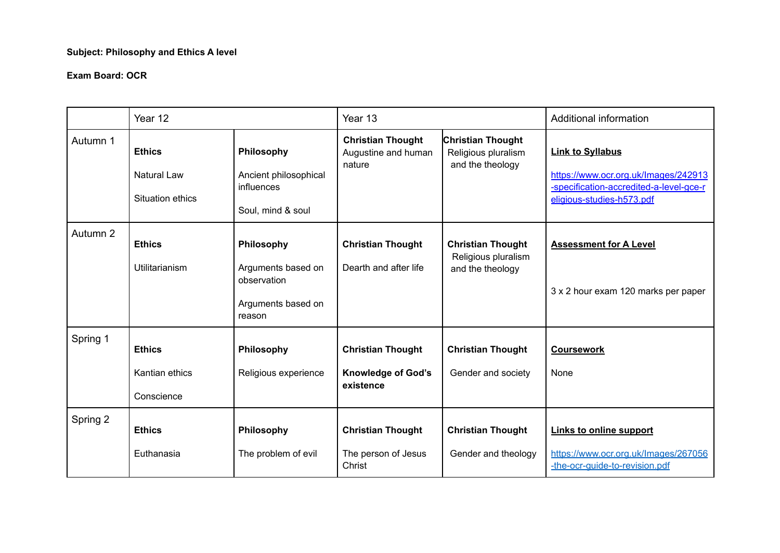## **Subject: Philosophy and Ethics A level**

#### **Exam Board: OCR**

|          | Year 12                                                 |                                                                                 | Year 13                                                            |                                                                     | Additional information                                                                                                                  |
|----------|---------------------------------------------------------|---------------------------------------------------------------------------------|--------------------------------------------------------------------|---------------------------------------------------------------------|-----------------------------------------------------------------------------------------------------------------------------------------|
| Autumn 1 | <b>Ethics</b><br><b>Natural Law</b><br>Situation ethics | Philosophy<br>Ancient philosophical<br>influences<br>Soul, mind & soul          | <b>Christian Thought</b><br>Augustine and human<br>nature          | <b>Christian Thought</b><br>Religious pluralism<br>and the theology | <b>Link to Syllabus</b><br>https://www.ocr.org.uk/Images/242913<br>-specification-accredited-a-level-gce-r<br>eligious-studies-h573.pdf |
| Autumn 2 | <b>Ethics</b><br><b>Utilitarianism</b>                  | Philosophy<br>Arguments based on<br>observation<br>Arguments based on<br>reason | <b>Christian Thought</b><br>Dearth and after life                  | <b>Christian Thought</b><br>Religious pluralism<br>and the theology | <b>Assessment for A Level</b><br>3 x 2 hour exam 120 marks per paper                                                                    |
| Spring 1 | <b>Ethics</b><br>Kantian ethics<br>Conscience           | Philosophy<br>Religious experience                                              | <b>Christian Thought</b><br><b>Knowledge of God's</b><br>existence | <b>Christian Thought</b><br>Gender and society                      | <b>Coursework</b><br><b>None</b>                                                                                                        |
| Spring 2 | <b>Ethics</b><br>Euthanasia                             | Philosophy<br>The problem of evil                                               | <b>Christian Thought</b><br>The person of Jesus<br>Christ          | <b>Christian Thought</b><br>Gender and theology                     | <b>Links to online support</b><br>https://www.ocr.org.uk/Images/267056<br>-the-ocr-guide-to-revision.pdf                                |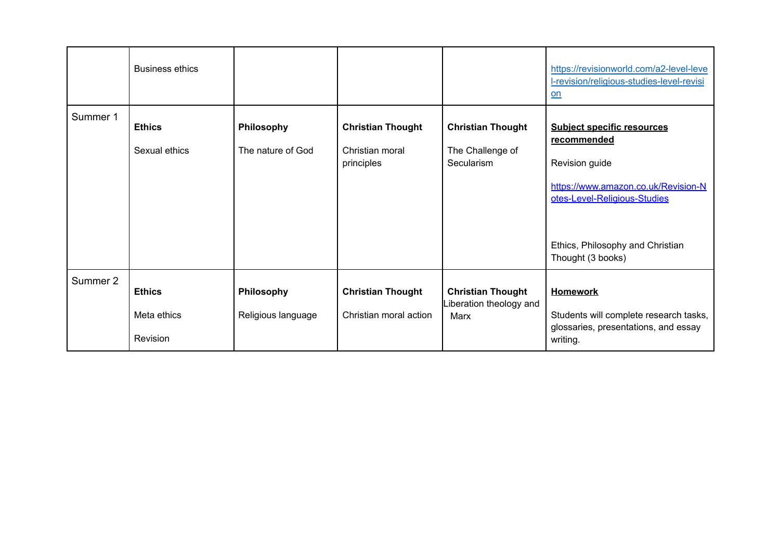|          | <b>Business ethics</b>                   |                                  |                                                           |                                                            | https://revisionworld.com/a2-level-leve<br>I-revision/religious-studies-level-revisi<br><u>on</u>                                                                                                  |
|----------|------------------------------------------|----------------------------------|-----------------------------------------------------------|------------------------------------------------------------|----------------------------------------------------------------------------------------------------------------------------------------------------------------------------------------------------|
| Summer 1 | <b>Ethics</b><br>Sexual ethics           | Philosophy<br>The nature of God  | <b>Christian Thought</b><br>Christian moral<br>principles | <b>Christian Thought</b><br>The Challenge of<br>Secularism | <b>Subject specific resources</b><br>recommended<br>Revision guide<br>https://www.amazon.co.uk/Revision-N<br>otes-Level-Religious-Studies<br>Ethics, Philosophy and Christian<br>Thought (3 books) |
| Summer 2 | <b>Ethics</b><br>Meta ethics<br>Revision | Philosophy<br>Religious language | <b>Christian Thought</b><br>Christian moral action        | <b>Christian Thought</b><br>iberation theology and<br>Marx | <b>Homework</b><br>Students will complete research tasks,<br>glossaries, presentations, and essay<br>writing.                                                                                      |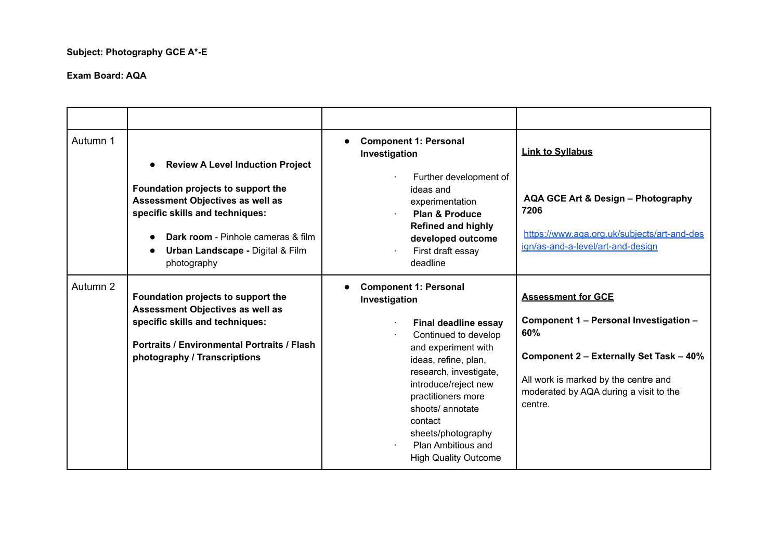## **Subject: Photography GCE A\*-E**

| Autumn 1 | <b>Review A Level Induction Project</b><br>Foundation projects to support the<br>Assessment Objectives as well as<br>specific skills and techniques:<br><b>Dark room</b> - Pinhole cameras & film<br><b>Urban Landscape - Digital &amp; Film</b><br>photography | <b>Component 1: Personal</b><br>Investigation<br>Further development of<br>ideas and<br>experimentation<br><b>Plan &amp; Produce</b><br><b>Refined and highly</b><br>developed outcome<br>First draft essay<br>deadline                                                                                                                      | <b>Link to Syllabus</b><br>AQA GCE Art & Design - Photography<br>7206<br>https://www.aga.org.uk/subjects/art-and-des<br>ign/as-and-a-level/art-and-design                                                          |
|----------|-----------------------------------------------------------------------------------------------------------------------------------------------------------------------------------------------------------------------------------------------------------------|----------------------------------------------------------------------------------------------------------------------------------------------------------------------------------------------------------------------------------------------------------------------------------------------------------------------------------------------|--------------------------------------------------------------------------------------------------------------------------------------------------------------------------------------------------------------------|
| Autumn 2 | Foundation projects to support the<br>Assessment Objectives as well as<br>specific skills and techniques:<br><b>Portraits / Environmental Portraits / Flash</b><br>photography / Transcriptions                                                                 | <b>Component 1: Personal</b><br>Investigation<br><b>Final deadline essay</b><br>Continued to develop<br>and experiment with<br>ideas, refine, plan,<br>research, investigate,<br>introduce/reject new<br>practitioners more<br>shoots/ annotate<br>contact<br>sheets/photography<br><b>Plan Ambitious and</b><br><b>High Quality Outcome</b> | <b>Assessment for GCE</b><br>Component 1 - Personal Investigation -<br>60%<br>Component 2 - Externally Set Task - 40%<br>All work is marked by the centre and<br>moderated by AQA during a visit to the<br>centre. |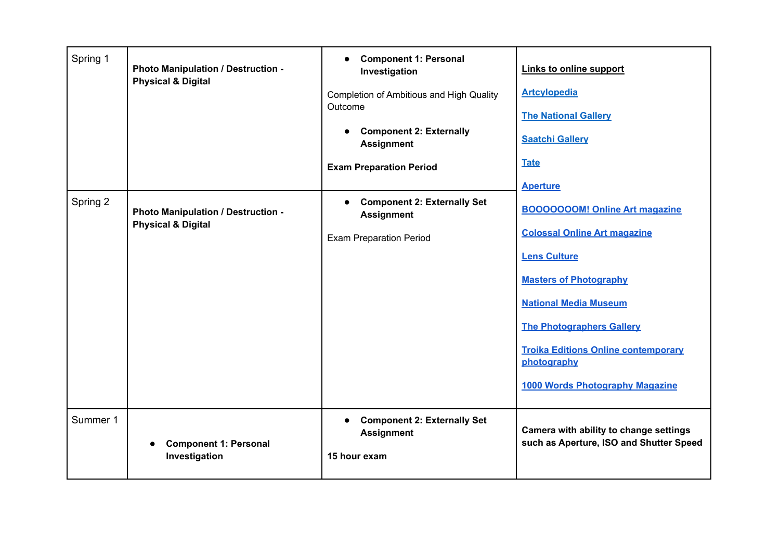| Spring 1 | Photo Manipulation / Destruction -<br><b>Physical &amp; Digital</b>        | <b>Component 1: Personal</b><br>$\bullet$<br>Investigation<br>Completion of Ambitious and High Quality<br>Outcome<br><b>Component 2: Externally</b><br><b>Assignment</b><br><b>Exam Preparation Period</b> | Links to online support<br><b>Artcylopedia</b><br><b>The National Gallery</b><br><b>Saatchi Gallery</b><br><b>Tate</b><br><b>Aperture</b>                                                                                                                                                                       |
|----------|----------------------------------------------------------------------------|------------------------------------------------------------------------------------------------------------------------------------------------------------------------------------------------------------|-----------------------------------------------------------------------------------------------------------------------------------------------------------------------------------------------------------------------------------------------------------------------------------------------------------------|
| Spring 2 | <b>Photo Manipulation / Destruction -</b><br><b>Physical &amp; Digital</b> | <b>Component 2: Externally Set</b><br>$\bullet$<br><b>Assignment</b><br><b>Exam Preparation Period</b>                                                                                                     | <b>BOOOOOOOM! Online Art magazine</b><br><b>Colossal Online Art magazine</b><br><b>Lens Culture</b><br><b>Masters of Photography</b><br><b>National Media Museum</b><br><b>The Photographers Gallery</b><br><b>Troika Editions Online contemporary</b><br>photography<br><b>1000 Words Photography Magazine</b> |
| Summer 1 | <b>Component 1: Personal</b><br>Investigation                              | <b>Component 2: Externally Set</b><br>$\bullet$<br><b>Assignment</b><br>15 hour exam                                                                                                                       | Camera with ability to change settings<br>such as Aperture, ISO and Shutter Speed                                                                                                                                                                                                                               |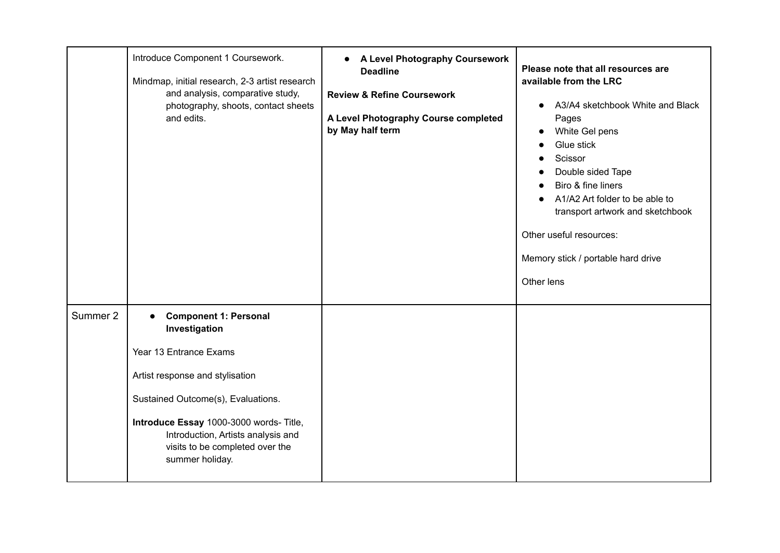|          | Introduce Component 1 Coursework.<br>Mindmap, initial research, 2-3 artist research<br>and analysis, comparative study,<br>photography, shoots, contact sheets<br>and edits.                                                                                                                         | A Level Photography Coursework<br>$\bullet$<br><b>Deadline</b><br><b>Review &amp; Refine Coursework</b><br>A Level Photography Course completed<br>by May half term | Please note that all resources are<br>available from the LRC<br>A3/A4 sketchbook White and Black<br>$\bullet$<br>Pages<br>White Gel pens<br>$\bullet$<br>Glue stick<br>$\bullet$<br>Scissor<br>Double sided Tape<br>Biro & fine liners<br>A1/A2 Art folder to be able to<br>transport artwork and sketchbook<br>Other useful resources:<br>Memory stick / portable hard drive<br>Other lens |
|----------|------------------------------------------------------------------------------------------------------------------------------------------------------------------------------------------------------------------------------------------------------------------------------------------------------|---------------------------------------------------------------------------------------------------------------------------------------------------------------------|---------------------------------------------------------------------------------------------------------------------------------------------------------------------------------------------------------------------------------------------------------------------------------------------------------------------------------------------------------------------------------------------|
| Summer 2 | <b>Component 1: Personal</b><br>$\bullet$<br>Investigation<br>Year 13 Entrance Exams<br>Artist response and stylisation<br>Sustained Outcome(s), Evaluations.<br>Introduce Essay 1000-3000 words- Title,<br>Introduction, Artists analysis and<br>visits to be completed over the<br>summer holiday. |                                                                                                                                                                     |                                                                                                                                                                                                                                                                                                                                                                                             |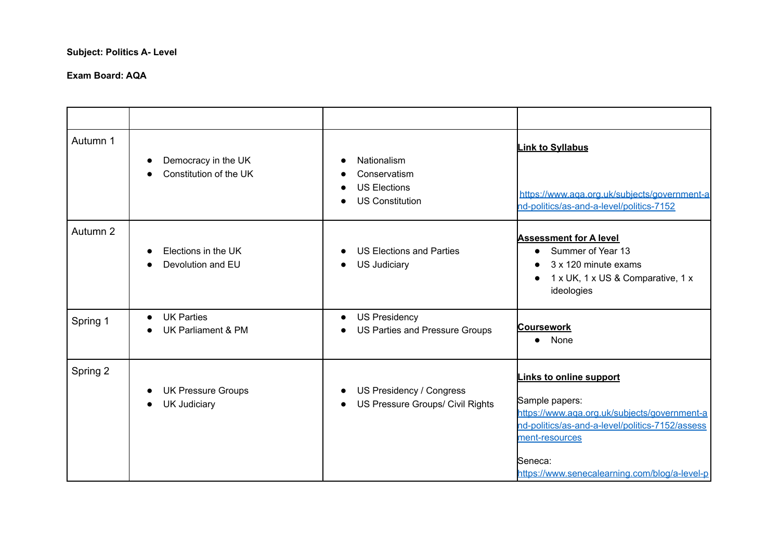## **Subject: Politics A- Level**

| Autumn 1 | Democracy in the UK<br>Constitution of the UK                              | Nationalism<br>Conservatism<br><b>US Elections</b><br><b>US Constitution</b> | <b>Link to Syllabus</b><br>https://www.aga.org.uk/subiects/government-a<br>nd-politics/as-and-a-level/politics-7152                                                                                                        |
|----------|----------------------------------------------------------------------------|------------------------------------------------------------------------------|----------------------------------------------------------------------------------------------------------------------------------------------------------------------------------------------------------------------------|
| Autumn 2 | Elections in the UK<br>Devolution and EU                                   | <b>US Elections and Parties</b><br><b>US Judiciary</b>                       | <b>Assessment for A level</b><br>Summer of Year 13<br>3 x 120 minute exams<br>1 x UK, 1 x US & Comparative, 1 x<br>$\bullet$<br>ideologies                                                                                 |
| Spring 1 | <b>UK Parties</b><br>$\bullet$<br>UK Parliament & PM                       | <b>US Presidency</b><br>US Parties and Pressure Groups                       | <b>Coursework</b><br>None<br>$\bullet$                                                                                                                                                                                     |
| Spring 2 | <b>UK Pressure Groups</b><br>$\bullet$<br><b>UK Judiciary</b><br>$\bullet$ | US Presidency / Congress<br>US Pressure Groups/ Civil Rights                 | Links to online support<br>Sample papers:<br>https://www.aga.org.uk/subjects/government-a<br>nd-politics/as-and-a-level/politics-7152/assess<br>ment-resources<br>Seneca:<br>https://www.senecalearning.com/blog/a-level-p |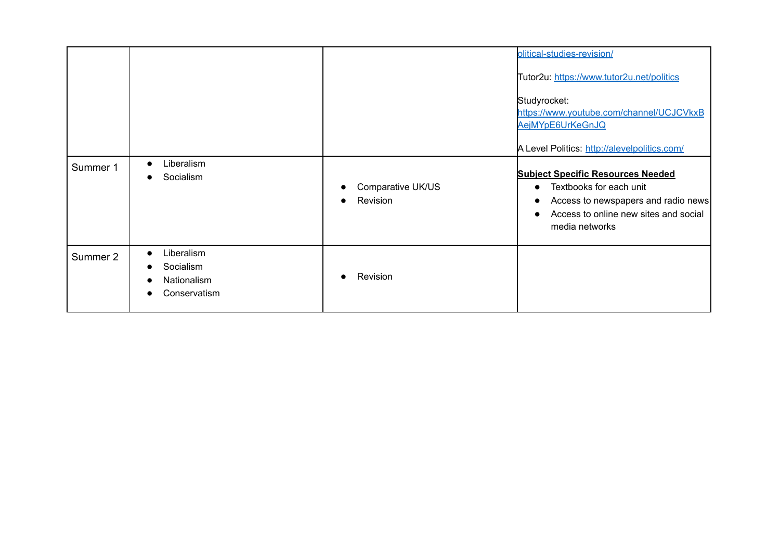|          |                                                                                                            |                               | olitical-studies-revision/<br>Tutor2u: https://www.tutor2u.net/politics<br>Studyrocket:<br>https://www.youtube.com/channel/UCJCVkxB<br>AejMYpE6UrKeGnJQ<br>A Level Politics: http://alevelpolitics.com/      |
|----------|------------------------------------------------------------------------------------------------------------|-------------------------------|--------------------------------------------------------------------------------------------------------------------------------------------------------------------------------------------------------------|
| Summer 1 | Liberalism<br>$\bullet$<br>Socialism<br>0                                                                  | Comparative UK/US<br>Revision | <b>Subject Specific Resources Needed</b><br>Textbooks for each unit<br>$\bullet$<br>Access to newspapers and radio news<br>$\bullet$<br>Access to online new sites and social<br>$\bullet$<br>media networks |
| Summer 2 | Liberalism<br>$\bullet$<br>Socialism<br>$\bullet$<br>Nationalism<br>$\bullet$<br>Conservatism<br>$\bullet$ | Revision                      |                                                                                                                                                                                                              |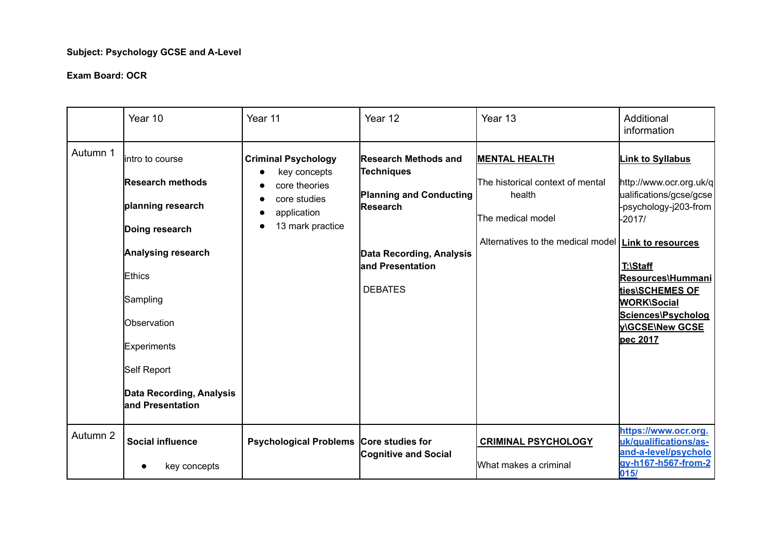# **Subject: Psychology GCSE and A-Level**

#### **Exam Board: OCR**

|          | Year 10                                                                                                                                                                                                                            | Year 11                                                                                                                     | Year 12                                                                                                                                                                  | Year 13                                                                                                                                          | Additional<br>information                                                                                                                                                                                                                                    |
|----------|------------------------------------------------------------------------------------------------------------------------------------------------------------------------------------------------------------------------------------|-----------------------------------------------------------------------------------------------------------------------------|--------------------------------------------------------------------------------------------------------------------------------------------------------------------------|--------------------------------------------------------------------------------------------------------------------------------------------------|--------------------------------------------------------------------------------------------------------------------------------------------------------------------------------------------------------------------------------------------------------------|
| Autumn 1 | lintro to course<br><b>Research methods</b><br>planning research<br>Doing research<br>Analysing research<br>Ethics<br>Sampling<br>Observation<br><b>Experiments</b><br>Self Report<br>Data Recording, Analysis<br>and Presentation | <b>Criminal Psychology</b><br>key concepts<br>$\bullet$<br>core theories<br>core studies<br>application<br>13 mark practice | <b>Research Methods and</b><br><b>Techniques</b><br><b>Planning and Conducting</b><br>Research<br><b>Data Recording, Analysis</b><br>land Presentation<br><b>DEBATES</b> | <b>MENTAL HEALTH</b><br>The historical context of mental<br>health<br>The medical model<br>Alternatives to the medical model   Link to resources | <b>Link to Syllabus</b><br>http://www.ocr.org.uk/q<br>ualifications/gcse/gcse<br>psychology-j203-from<br>-2017/<br>T:\Staff<br>Resources\Hummani<br><u>ties\SCHEMES OF</u><br><b>WORK\Social</b><br>Sciences\Psycholog<br><b>VIGCSEINew GCSE</b><br>pec 2017 |
| Autumn 2 | <b>Social influence</b><br>key concepts                                                                                                                                                                                            | <b>Psychological Problems</b>                                                                                               | Core studies for<br><b>Cognitive and Social</b>                                                                                                                          | <b>CRIMINAL PSYCHOLOGY</b><br>What makes a criminal                                                                                              | https://www.ocr.org.<br>uk/qualifications/as-<br>and-a-level/psycholo<br>gy-h167-h567-from-2<br>015/                                                                                                                                                         |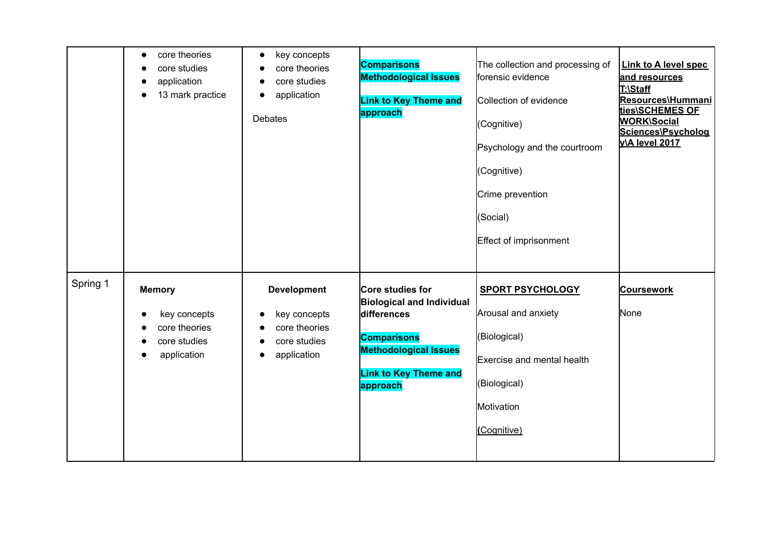|          | core theories<br>$\bullet$<br>core studies<br>$\bullet$<br>application<br>$\bullet$<br>13 mark practice<br>$\bullet$ | key concepts<br>$\bullet$<br>core theories<br>core studies<br>application<br>Debates | <b>Comparisons</b><br><b>Methodological Issues</b><br><b>Link to Key Theme and</b><br>approach                                                                        | The collection and processing of<br>forensic evidence<br>Collection of evidence<br>(Cognitive)<br>Psychology and the courtroom<br>(Cognitive)<br>Crime prevention<br>(Social)<br>Effect of imprisonment | <b>Link to A level spec</b><br>and resources<br>T:\Staff<br>Resources\Hummani<br>ties\SCHEMES OF<br><b>WORK\Social</b><br>Sciences\Psycholog<br><b>v\A level 2017</b> |
|----------|----------------------------------------------------------------------------------------------------------------------|--------------------------------------------------------------------------------------|-----------------------------------------------------------------------------------------------------------------------------------------------------------------------|---------------------------------------------------------------------------------------------------------------------------------------------------------------------------------------------------------|-----------------------------------------------------------------------------------------------------------------------------------------------------------------------|
| Spring 1 | <b>Memory</b><br>key concepts<br>core theories<br>core studies<br>application                                        | <b>Development</b><br>key concepts<br>core theories<br>core studies<br>application   | Core studies for<br><b>Biological and Individual</b><br>differences<br><b>Comparisons</b><br><b>Methodological Issues</b><br><b>Link to Key Theme and</b><br>approach | <b>SPORT PSYCHOLOGY</b><br>Arousal and anxiety<br>(Biological)<br><b>Exercise and mental health</b><br>(Biological)<br>Motivation<br>(Cognitive)                                                        | <b>Coursework</b><br>None                                                                                                                                             |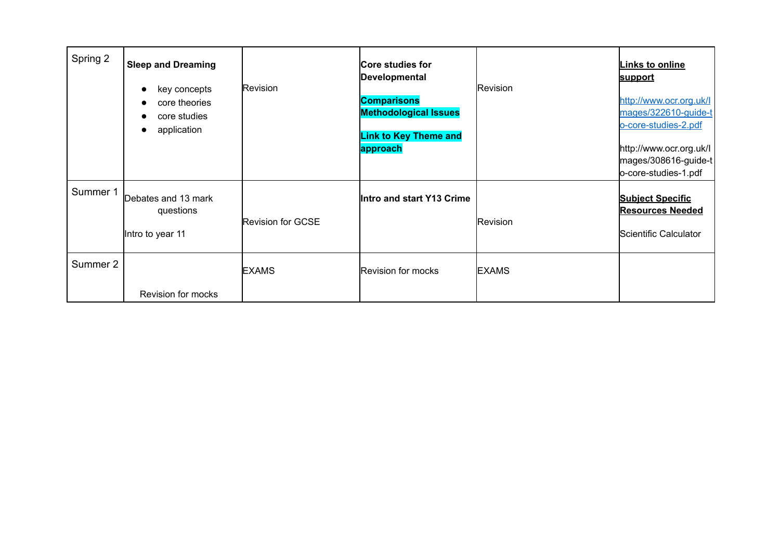| Spring 2 | <b>Sleep and Dreaming</b><br>key concepts<br>core theories<br>$\bullet$<br>core studies<br>application<br>$\bullet$ | Revision                 | Core studies for<br>Developmental<br><b>Comparisons</b><br><b>Methodological Issues</b><br><b>Link to Key Theme and</b><br>approach | Revision     | <b>Links to online</b><br>support<br>http://www.ocr.org.uk/l<br>mages/322610-guide-t<br>o-core-studies-2.pdf<br>http://www.ocr.org.uk/l<br>mages/308616-guide-t<br>o-core-studies-1.pdf |
|----------|---------------------------------------------------------------------------------------------------------------------|--------------------------|-------------------------------------------------------------------------------------------------------------------------------------|--------------|-----------------------------------------------------------------------------------------------------------------------------------------------------------------------------------------|
| Summer 1 | Debates and 13 mark<br>questions<br>Intro to year 11                                                                | <b>Revision for GCSE</b> | Intro and start Y13 Crime                                                                                                           | Revision     | <b>Subject Specific</b><br><b>Resources Needed</b><br>Scientific Calculator                                                                                                             |
| Summer 2 | Revision for mocks                                                                                                  | <b>EXAMS</b>             | Revision for mocks                                                                                                                  | <b>EXAMS</b> |                                                                                                                                                                                         |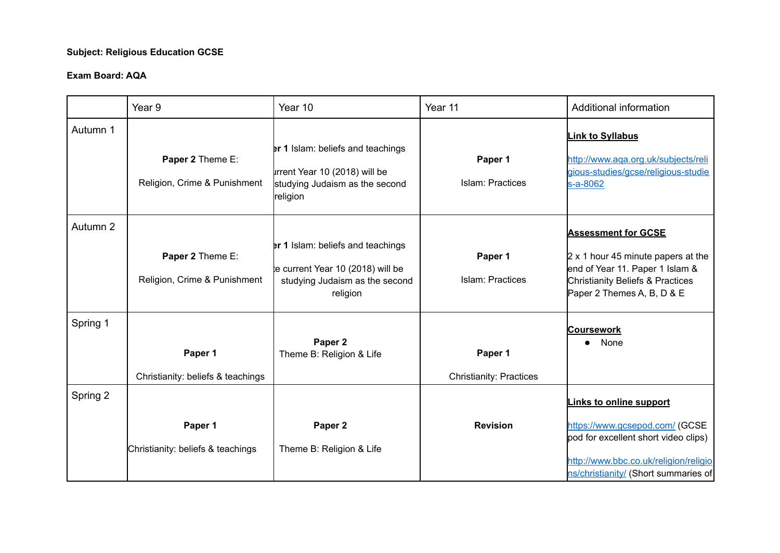## **Subject: Religious Education GCSE**

|          | Year <sub>9</sub>                                | Year 10                                                                                                                     | Year 11                                   | Additional information                                                                                                                                                       |
|----------|--------------------------------------------------|-----------------------------------------------------------------------------------------------------------------------------|-------------------------------------------|------------------------------------------------------------------------------------------------------------------------------------------------------------------------------|
| Autumn 1 | Paper 2 Theme E:<br>Religion, Crime & Punishment | <b>er 1 Islam: beliefs and teachings</b><br>Irrent Year 10 (2018) will be<br>studying Judaism as the second<br>religion     | Paper 1<br>Islam: Practices               | <b>Link to Syllabus</b><br>http://www.aqa.org.uk/subjects/reli<br>gious-studies/gcse/religious-studie<br>s-a-8062                                                            |
| Autumn 2 | Paper 2 Theme E:<br>Religion, Crime & Punishment | <b>er 1 Islam: beliefs and teachings</b><br>te current Year 10 (2018) will be<br>studying Judaism as the second<br>religion | Paper 1<br><b>Islam: Practices</b>        | <b>Assessment for GCSE</b><br>$2 \times 1$ hour 45 minute papers at the<br>end of Year 11. Paper 1 Islam &<br>Christianity Beliefs & Practices<br>Paper 2 Themes A, B, D & E |
| Spring 1 | Paper 1<br>Christianity: beliefs & teachings     | Paper 2<br>Theme B: Religion & Life                                                                                         | Paper 1<br><b>Christianity: Practices</b> | <b>Coursework</b><br>None                                                                                                                                                    |
| Spring 2 | Paper 1                                          | Paper <sub>2</sub>                                                                                                          | <b>Revision</b>                           | <b>Links to online support</b><br>https://www.gcsepod.com/ (GCSE                                                                                                             |
|          | Christianity: beliefs & teachings                | Theme B: Religion & Life                                                                                                    |                                           | pod for excellent short video clips)<br>http://www.bbc.co.uk/religion/religio<br>ns/christianity/ (Short summaries of                                                        |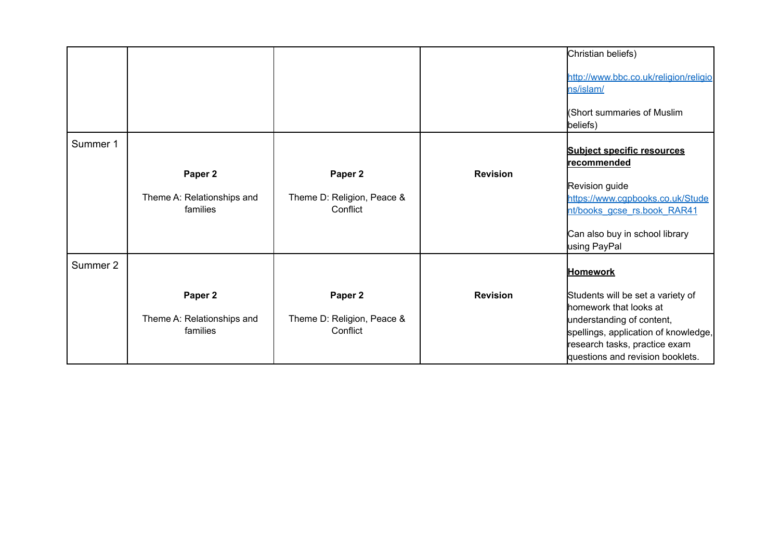|          |                                        |                                        |                 | Christian beliefs)                                                                                                                     |
|----------|----------------------------------------|----------------------------------------|-----------------|----------------------------------------------------------------------------------------------------------------------------------------|
|          |                                        |                                        |                 | http://www.bbc.co.uk/religion/religio<br>ns/islam/                                                                                     |
|          |                                        |                                        |                 | (Short summaries of Muslim<br>beliefs)                                                                                                 |
| Summer 1 |                                        |                                        |                 | <b>Subject specific resources</b><br> recommended                                                                                      |
|          | Paper 2                                | Paper 2                                | <b>Revision</b> |                                                                                                                                        |
|          | Theme A: Relationships and<br>families | Theme D: Religion, Peace &<br>Conflict |                 | Revision guide<br>https://www.cqpbooks.co.uk/Stude<br>nt/books gcse rs.book RAR41                                                      |
|          |                                        |                                        |                 | Can also buy in school library<br>using PayPal                                                                                         |
| Summer 2 |                                        |                                        |                 | <b>Homework</b>                                                                                                                        |
|          | Paper 2                                | Paper 2                                | <b>Revision</b> | Students will be set a variety of<br>homework that looks at                                                                            |
|          | Theme A: Relationships and<br>families | Theme D: Religion, Peace &<br>Conflict |                 | understanding of content,<br>spellings, application of knowledge,<br>research tasks, practice exam<br>questions and revision booklets. |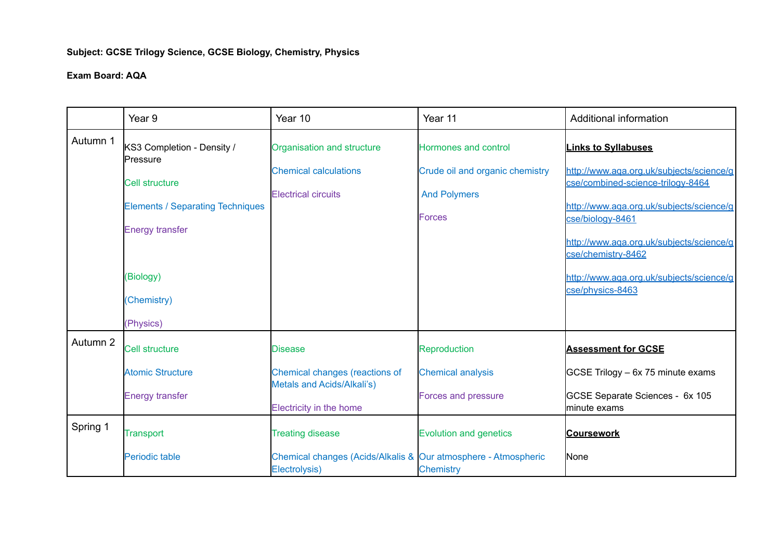# **Subject: GCSE Trilogy Science, GCSE Biology, Chemistry, Physics**

|          | Year 9                                                            | Year 10                                                                         | Year 11                                                | Additional information                                                        |
|----------|-------------------------------------------------------------------|---------------------------------------------------------------------------------|--------------------------------------------------------|-------------------------------------------------------------------------------|
| Autumn 1 | KS3 Completion - Density /<br>Pressure                            | Organisation and structure                                                      | Hormones and control                                   | <b>Links to Syllabuses</b>                                                    |
|          | <b>Cell structure</b>                                             | <b>Chemical calculations</b><br><b>Electrical circuits</b>                      | Crude oil and organic chemistry<br><b>And Polymers</b> | http://www.aqa.org.uk/subjects/science/g<br>cse/combined-science-trilogy-8464 |
|          | <b>Elements / Separating Techniques</b><br><b>Energy transfer</b> |                                                                                 | Forces                                                 | http://www.aqa.org.uk/subjects/science/g<br>cse/biology-8461                  |
|          |                                                                   |                                                                                 |                                                        | http://www.aqa.org.uk/subjects/science/g<br>cse/chemistry-8462                |
|          | (Biology)<br>(Chemistry)                                          |                                                                                 |                                                        | http://www.aga.org.uk/subiects/science/g<br>cse/physics-8463                  |
|          | (Physics)                                                         |                                                                                 |                                                        |                                                                               |
| Autumn 2 | <b>Cell structure</b>                                             | <b>Disease</b>                                                                  | Reproduction                                           | <b>Assessment for GCSE</b>                                                    |
|          | <b>Atomic Structure</b>                                           | Chemical changes (reactions of<br>Metals and Acids/Alkali's)                    | <b>Chemical analysis</b>                               | GCSE Trilogy - 6x 75 minute exams                                             |
|          | <b>Energy transfer</b>                                            | Electricity in the home                                                         | <b>Forces and pressure</b>                             | GCSE Separate Sciences - 6x 105<br>minute exams                               |
| Spring 1 | <b>Transport</b>                                                  | <b>Treating disease</b>                                                         | <b>Evolution and genetics</b>                          | <b>Coursework</b>                                                             |
|          | Periodic table                                                    | Chemical changes (Acids/Alkalis & Our atmosphere - Atmospheric<br>Electrolysis) | <b>Chemistry</b>                                       | None                                                                          |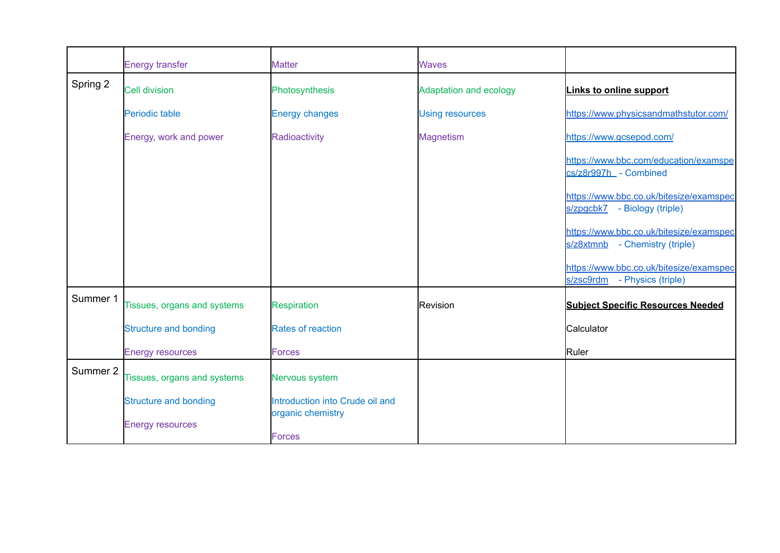|          | <b>Energy transfer</b>       | <b>Matter</b>                      | <b>Waves</b>                  |                                                                            |
|----------|------------------------------|------------------------------------|-------------------------------|----------------------------------------------------------------------------|
| Spring 2 | <b>Cell division</b>         | Photosynthesis                     | <b>Adaptation and ecology</b> | Links to online support                                                    |
|          | Periodic table               | <b>Energy changes</b>              | <b>Using resources</b>        | https://www.physicsandmathstutor.com/                                      |
|          | Energy, work and power       | Radioactivity                      | <b>Magnetism</b>              | https://www.gcsepod.com/                                                   |
|          |                              |                                    |                               | https://www.bbc.com/education/examspe<br>cs/z8r997h_ - Combined            |
|          |                              |                                    |                               | https://www.bbc.co.uk/bitesize/examspec<br>s/zpgcbk7 - Biology (triple)    |
|          |                              |                                    |                               | https://www.bbc.co.uk/bitesize/examspec<br>s/z8xtmnb - Chemistry (triple)  |
|          |                              |                                    |                               | https://www.bbc.co.uk/bitesize/examspec<br>s/zsc9rdm<br>- Physics (triple) |
| Summer 1 | Tissues, organs and systems  | <b>Respiration</b>                 | <b>Revision</b>               | <b>Subject Specific Resources Needed</b>                                   |
|          | <b>Structure and bonding</b> | <b>Rates of reaction</b>           |                               | Calculator                                                                 |
|          | <b>Energy resources</b>      | <b>Forces</b>                      |                               | Ruler                                                                      |
| Summer 2 | Tissues, organs and systems  | Nervous system                     |                               |                                                                            |
|          | <b>Structure and bonding</b> | Introduction into Crude oil and    |                               |                                                                            |
|          | <b>Energy resources</b>      | organic chemistry<br><b>Forces</b> |                               |                                                                            |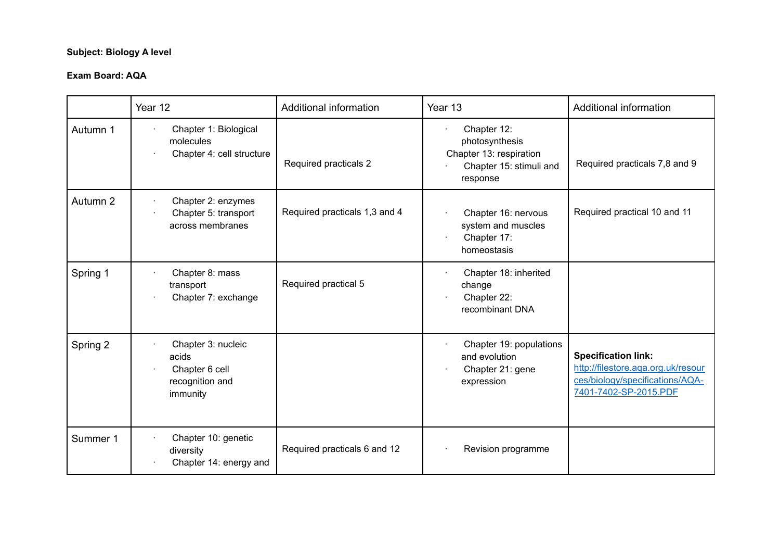# **Subject: Biology A level**

|          | Year 12                                                                      | Additional information        | Year 13                                                                                         | Additional information                                                                                                       |
|----------|------------------------------------------------------------------------------|-------------------------------|-------------------------------------------------------------------------------------------------|------------------------------------------------------------------------------------------------------------------------------|
| Autumn 1 | Chapter 1: Biological<br>molecules<br>Chapter 4: cell structure              | Required practicals 2         | Chapter 12:<br>photosynthesis<br>Chapter 13: respiration<br>Chapter 15: stimuli and<br>response | Required practicals 7,8 and 9                                                                                                |
| Autumn 2 | Chapter 2: enzymes<br>Chapter 5: transport<br>across membranes               | Required practicals 1,3 and 4 | Chapter 16: nervous<br>system and muscles<br>Chapter 17:<br>homeostasis                         | Required practical 10 and 11                                                                                                 |
| Spring 1 | Chapter 8: mass<br>transport<br>Chapter 7: exchange                          | Required practical 5          | Chapter 18: inherited<br>change<br>Chapter 22:<br>recombinant DNA                               |                                                                                                                              |
| Spring 2 | Chapter 3: nucleic<br>acids<br>Chapter 6 cell<br>recognition and<br>immunity |                               | Chapter 19: populations<br>and evolution<br>Chapter 21: gene<br>expression                      | <b>Specification link:</b><br>http://filestore.aga.org.uk/resour<br>ces/biology/specifications/AQA-<br>7401-7402-SP-2015.PDE |
| Summer 1 | Chapter 10: genetic<br>diversity<br>Chapter 14: energy and                   | Required practicals 6 and 12  | Revision programme                                                                              |                                                                                                                              |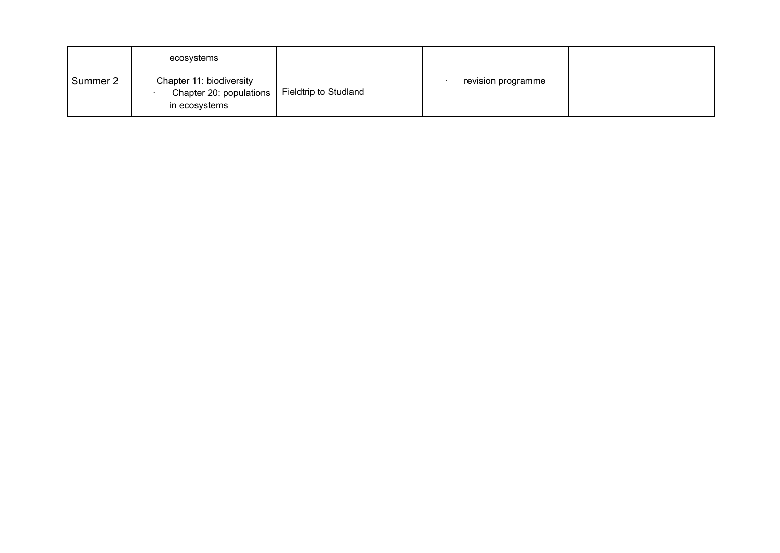|          | ecosystems                                                           |                              |                    |  |
|----------|----------------------------------------------------------------------|------------------------------|--------------------|--|
| Summer 2 | Chapter 11: biodiversity<br>Chapter 20: populations<br>in ecosystems | <b>Fieldtrip to Studland</b> | revision programme |  |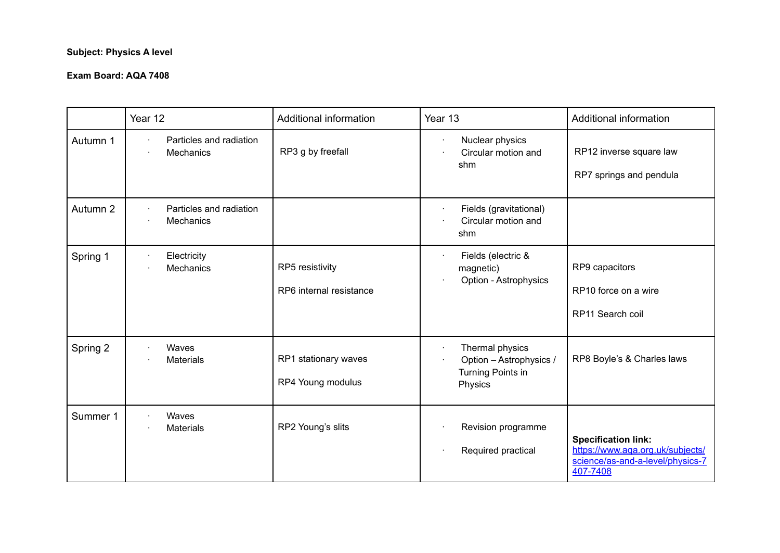# **Subject: Physics A level**

|          | Year 12                                     | Additional information                     | Year 13                                                                         | Additional information                                                                                         |
|----------|---------------------------------------------|--------------------------------------------|---------------------------------------------------------------------------------|----------------------------------------------------------------------------------------------------------------|
| Autumn 1 | Particles and radiation<br><b>Mechanics</b> | RP3 g by freefall                          | Nuclear physics<br>٠<br>Circular motion and<br>shm                              | RP12 inverse square law<br>RP7 springs and pendula                                                             |
| Autumn 2 | Particles and radiation<br>Mechanics        |                                            | Fields (gravitational)<br>٠<br>Circular motion and<br>shm                       |                                                                                                                |
| Spring 1 | Electricity<br><b>Mechanics</b><br>٠        | RP5 resistivity<br>RP6 internal resistance | Fields (electric &<br>magnetic)<br>Option - Astrophysics                        | RP9 capacitors<br>RP10 force on a wire<br>RP11 Search coil                                                     |
| Spring 2 | Waves<br><b>Materials</b>                   | RP1 stationary waves<br>RP4 Young modulus  | Thermal physics<br>٠<br>Option - Astrophysics /<br>Turning Points in<br>Physics | RP8 Boyle's & Charles laws                                                                                     |
| Summer 1 | Waves<br><b>Materials</b>                   | RP2 Young's slits                          | Revision programme<br>Required practical<br>٠                                   | <b>Specification link:</b><br>https://www.aga.org.uk/subjects/<br>science/as-and-a-level/physics-7<br>407-7408 |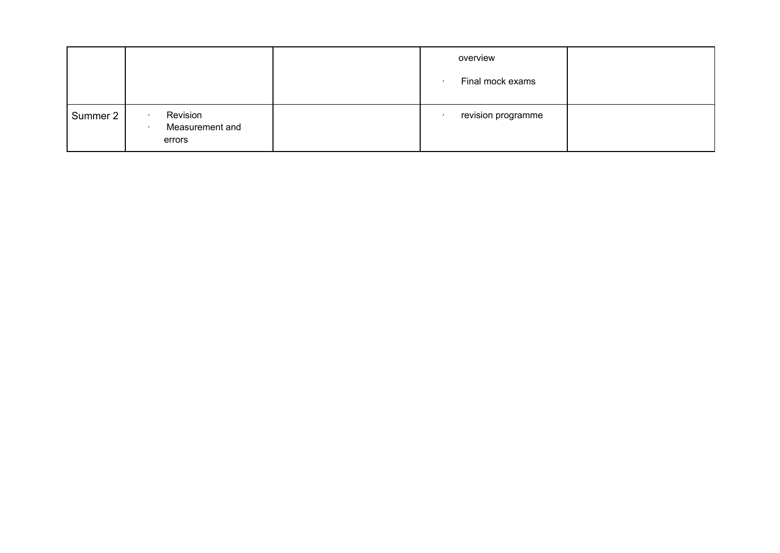|          |                                       | overview<br>Final mock exams |  |
|----------|---------------------------------------|------------------------------|--|
| Summer 2 | Revision<br>Measurement and<br>errors | revision programme           |  |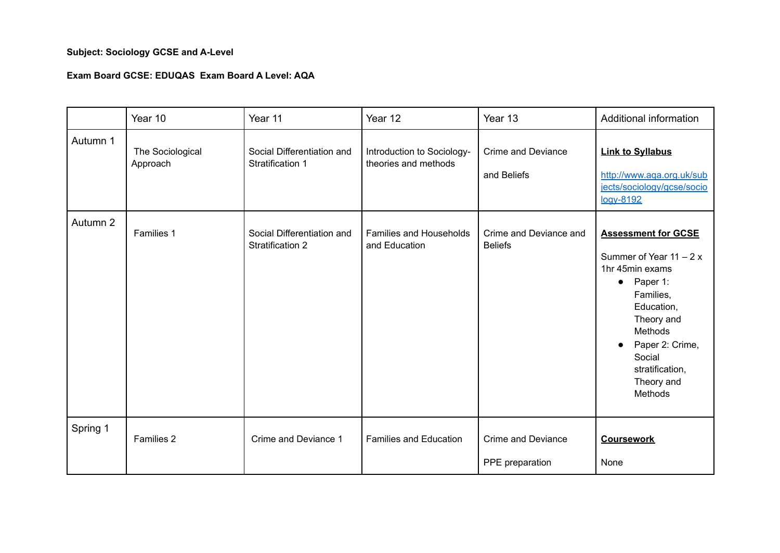# **Subject: Sociology GCSE and A-Level**

### **Exam Board GCSE: EDUQAS Exam Board A Level: AQA**

|          | Year 10                      | Year 11                                               | Year 12                                            | Year 13                                      | Additional information                                                                                                                                                                                                       |
|----------|------------------------------|-------------------------------------------------------|----------------------------------------------------|----------------------------------------------|------------------------------------------------------------------------------------------------------------------------------------------------------------------------------------------------------------------------------|
| Autumn 1 | The Sociological<br>Approach | Social Differentiation and<br>Stratification 1        | Introduction to Sociology-<br>theories and methods | <b>Crime and Deviance</b><br>and Beliefs     | <b>Link to Syllabus</b><br>http://www.aqa.org.uk/sub<br>jects/sociology/gcse/socio<br>logy-8192                                                                                                                              |
| Autumn 2 | Families 1                   | Social Differentiation and<br><b>Stratification 2</b> | Families and Households<br>and Education           | Crime and Deviance and<br><b>Beliefs</b>     | <b>Assessment for GCSE</b><br>Summer of Year $11 - 2x$<br>1hr 45min exams<br>$\bullet$ Paper 1:<br>Families,<br>Education,<br>Theory and<br>Methods<br>Paper 2: Crime,<br>Social<br>stratification,<br>Theory and<br>Methods |
| Spring 1 | Families 2                   | Crime and Deviance 1                                  | <b>Families and Education</b>                      | <b>Crime and Deviance</b><br>PPE preparation | <b>Coursework</b><br>None                                                                                                                                                                                                    |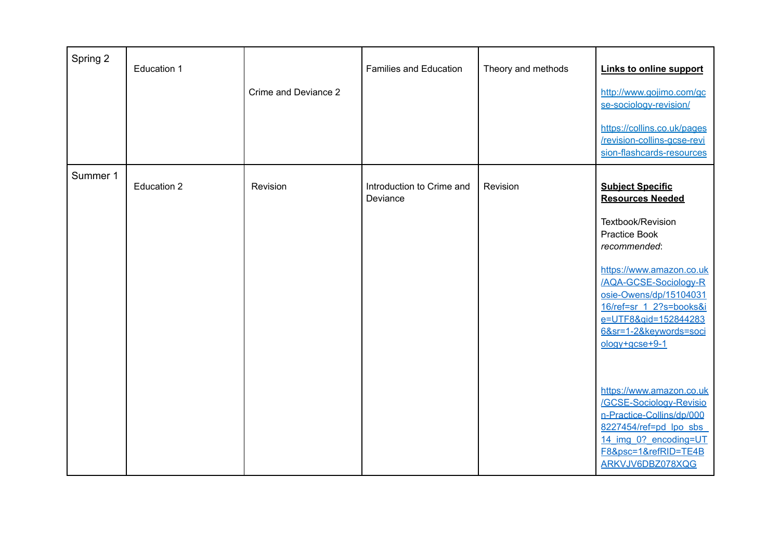| Spring 2 | Education 1 | Crime and Deviance 2 | <b>Families and Education</b>         | Theory and methods | <b>Links to online support</b><br>http://www.gojimo.com/gc<br>se-sociology-revision/<br>https://collins.co.uk/pages<br>/revision-collins-gcse-revi<br>sion-flashcards-resources                                                                                                                                                                                                                                                                                                    |
|----------|-------------|----------------------|---------------------------------------|--------------------|------------------------------------------------------------------------------------------------------------------------------------------------------------------------------------------------------------------------------------------------------------------------------------------------------------------------------------------------------------------------------------------------------------------------------------------------------------------------------------|
| Summer 1 | Education 2 | Revision             | Introduction to Crime and<br>Deviance | Revision           | <b>Subject Specific</b><br><b>Resources Needed</b><br>Textbook/Revision<br><b>Practice Book</b><br>recommended:<br>https://www.amazon.co.uk<br>/AQA-GCSE-Sociology-R<br>osie-Owens/dp/15104031<br>16/ref=sr 1 2?s=books&i<br>e=UTF8&gid=152844283<br>6&sr=1-2&keywords=soci<br>$ology+gcse+9-1$<br>https://www.amazon.co.uk<br>/GCSE-Sociology-Revisio<br>n-Practice-Collins/dp/000<br>8227454/ref=pd lpo sbs<br>14 img 0? encoding=UT<br>F8&psc=1&refRID=TE4B<br>ARKVJV6DBZ078XQG |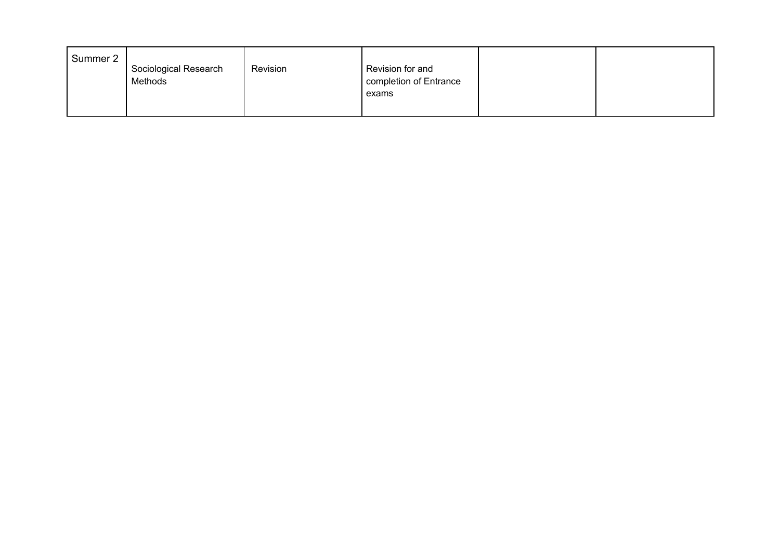| Summer 2 | Sociological Research<br>Methods | Revision | Revision for and<br>completion of Entrance<br>exams |  |
|----------|----------------------------------|----------|-----------------------------------------------------|--|
|          |                                  |          |                                                     |  |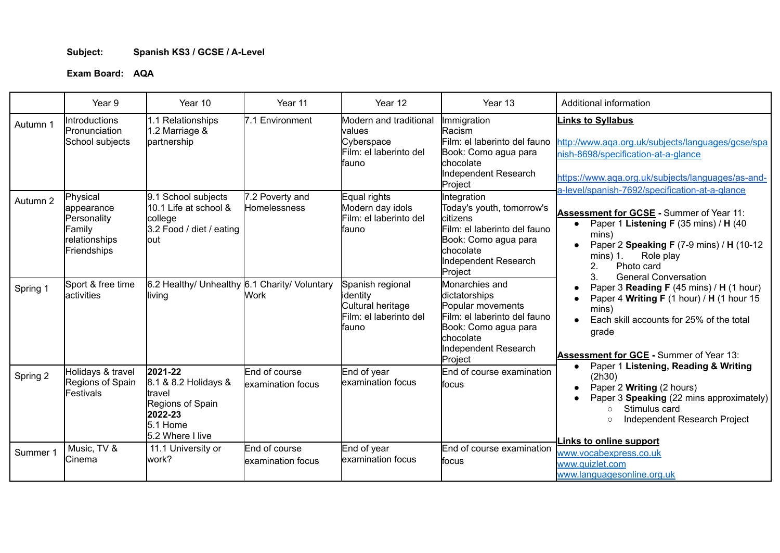## **Subject: Spanish KS3 / GCSE / A-Level**

|          | Year 9                                                                          | Year 10                                                                                                    | Year 11                            | Year 12                                                                               | Year 13                                                                                                                                                       | Additional information                                                                                                                                                                                                                     |
|----------|---------------------------------------------------------------------------------|------------------------------------------------------------------------------------------------------------|------------------------------------|---------------------------------------------------------------------------------------|---------------------------------------------------------------------------------------------------------------------------------------------------------------|--------------------------------------------------------------------------------------------------------------------------------------------------------------------------------------------------------------------------------------------|
| Autumn 1 | Introductions<br>Pronunciation<br>School subjects                               | 1.1 Relationships<br>1.2 Marriage &<br>partnership                                                         | 7.1 Environment                    | Modern and traditional<br>lvalues<br>Cyberspace<br>Film: el laberinto del<br>lfauno   | Immigration<br><b>Racism</b><br>Film: el laberinto del fauno<br>Book: Como agua para<br>chocolate<br>Independent Research<br>Project                          | inks to Syllabus<br>http://www.aga.org.uk/subjects/languages/gcse/spa<br>nish-8698/specification-at-a-glance<br>https://www.aga.org.uk/subjects/languages/as-and-<br>a-level/spanish-7692/specification-at-a-glance                        |
| Autumn 2 | Physical<br>appearance<br>Personality<br>Family<br>relationships<br>Friendships | 9.1 School subjects<br>10.1 Life at school &<br>college<br>3.2 Food / diet / eating<br>lout                | 7.2 Poverty and<br>Homelessness    | Equal rights<br>Modern day idols<br>Film: el laberinto del<br>lfauno                  | Integration<br>Today's youth, tomorrow's<br>citizens<br>Film: el laberinto del fauno<br>Book: Como agua para<br>lchocolate<br>Independent Research<br>Project | Assessment for GCSE - Summer of Year 11:<br>Paper 1 Listening F (35 mins) / H (40<br>$\bullet$<br>mins)<br>Paper 2 Speaking F (7-9 mins) / H (10-12<br>$mins)$ 1.<br>Role play<br>2.<br>Photo card<br>3.<br><b>General Conversation</b>    |
| Spring 1 | Sport & free time<br>activities                                                 | 6.2 Healthy/ Unhealthy 6.1 Charity/ Voluntary<br>living                                                    | Work.                              | Spanish regional<br>identity<br>Cultural heritage<br>Film: el laberinto del<br>lfauno | Monarchies and<br>dictatorships<br>Popular movements<br>Film: el laberinto del fauno<br>Book: Como agua para<br>Ichocolate<br>Independent Research<br>Project | Paper 3 Reading F (45 mins) / H (1 hour)<br>$\bullet$<br>Paper 4 Writing F (1 hour) / H (1 hour 15<br>mins)<br>Each skill accounts for 25% of the total<br>grade<br>Assessment for GCE - Summer of Year 13:                                |
| Spring 2 | Holidays & travel<br>Regions of Spain<br>Festivals                              | 2021-22<br>8.1 & 8.2 Holidays &<br>travel<br>Regions of Spain<br>2022-23<br>$5.1$ Home<br>5.2 Where I live | End of course<br>examination focus | End of year<br>lexamination focus                                                     | End of course examination<br>lfocus                                                                                                                           | Paper 1 Listening, Reading & Writing<br>$\bullet$<br>(2h30)<br>Paper 2 Writing (2 hours)<br>$\bullet$<br>Paper 3 Speaking (22 mins approximately)<br>Stimulus card<br>$\bigcap$<br>Independent Research Project<br>Links to online support |
| Summer 1 | Music, TV &<br>Cinema                                                           | 11.1 University or<br>lwork?                                                                               | End of course<br>examination focus | End of year<br>lexamination focus                                                     | End of course examination<br>focus                                                                                                                            | www.vocabexpress.co.uk<br>www.quizlet.com<br>www.languagesonline.org.uk                                                                                                                                                                    |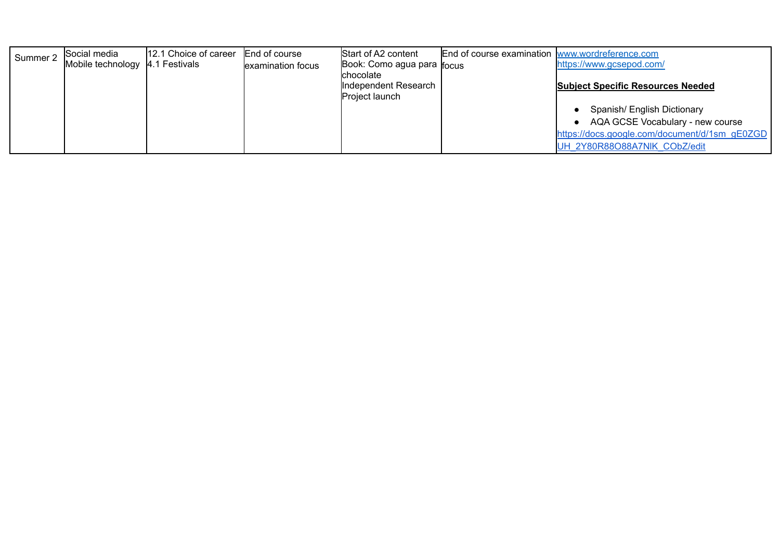| Summer 2 | Social media                      | 12.1 Choice of career | End of course     | Start of A2 content                    | End of course examination www.wordreference.com |                                               |
|----------|-----------------------------------|-----------------------|-------------------|----------------------------------------|-------------------------------------------------|-----------------------------------------------|
|          | Mobile technology   4.1 Festivals |                       | examination focus | Book: Como agua para r <sub>ocus</sub> |                                                 | https://www.gcsepod.com/                      |
|          |                                   |                       |                   | <b>chocolate</b>                       |                                                 |                                               |
|          |                                   |                       |                   | Independent Research                   |                                                 | <b>Subject Specific Resources Needed</b>      |
|          |                                   |                       |                   | Project launch                         |                                                 |                                               |
|          |                                   |                       |                   |                                        |                                                 | Spanish/ English Dictionary                   |
|          |                                   |                       |                   |                                        |                                                 | AQA GCSE Vocabulary - new course              |
|          |                                   |                       |                   |                                        |                                                 | https://docs.google.com/document/d/1sm_gE0ZGD |
|          |                                   |                       |                   |                                        |                                                 | UH 2Y80R88O88A7NIK CObZ/edit                  |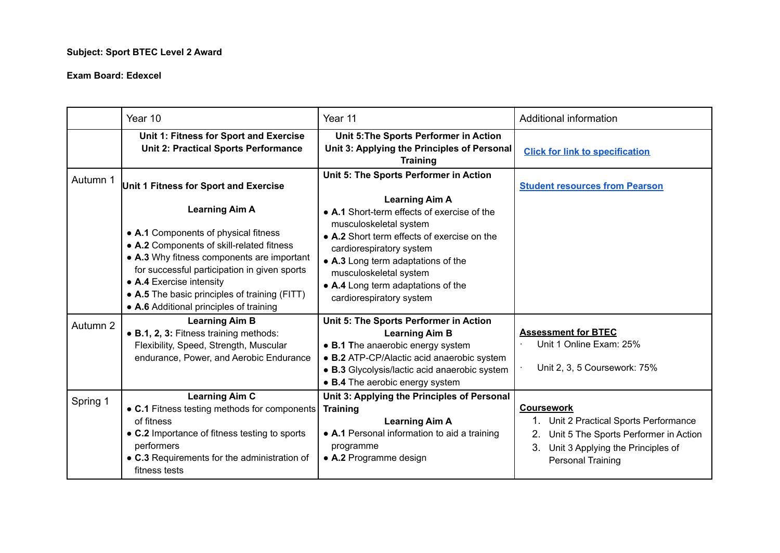## **Subject: Sport BTEC Level 2 Award**

|          | Year 10                                                                                                                                                                                                                                                                                                                          | Year 11                                                                                                                                                                                                                                                                            | <b>Additional information</b>                                                                                                                                               |
|----------|----------------------------------------------------------------------------------------------------------------------------------------------------------------------------------------------------------------------------------------------------------------------------------------------------------------------------------|------------------------------------------------------------------------------------------------------------------------------------------------------------------------------------------------------------------------------------------------------------------------------------|-----------------------------------------------------------------------------------------------------------------------------------------------------------------------------|
|          | Unit 1: Fitness for Sport and Exercise<br><b>Unit 2: Practical Sports Performance</b>                                                                                                                                                                                                                                            | Unit 5: The Sports Performer in Action<br>Unit 3: Applying the Principles of Personal<br><b>Training</b>                                                                                                                                                                           | <b>Click for link to specification</b>                                                                                                                                      |
| Autumn 1 | Unit 1 Fitness for Sport and Exercise                                                                                                                                                                                                                                                                                            | Unit 5: The Sports Performer in Action<br><b>Learning Aim A</b>                                                                                                                                                                                                                    | <b>Student resources from Pearson</b>                                                                                                                                       |
|          | <b>Learning Aim A</b><br>• A.1 Components of physical fitness<br>• A.2 Components of skill-related fitness<br>• A.3 Why fitness components are important<br>for successful participation in given sports<br>• A.4 Exercise intensity<br>• A.5 The basic principles of training (FITT)<br>• A.6 Additional principles of training | • A.1 Short-term effects of exercise of the<br>musculoskeletal system<br>• A.2 Short term effects of exercise on the<br>cardiorespiratory system<br>• A.3 Long term adaptations of the<br>musculoskeletal system<br>• A.4 Long term adaptations of the<br>cardiorespiratory system |                                                                                                                                                                             |
| Autumn 2 | <b>Learning Aim B</b><br>• B.1, 2, 3: Fitness training methods:<br>Flexibility, Speed, Strength, Muscular<br>endurance, Power, and Aerobic Endurance                                                                                                                                                                             | Unit 5: The Sports Performer in Action<br><b>Learning Aim B</b><br>• B.1 The anaerobic energy system<br>• B.2 ATP-CP/Alactic acid anaerobic system<br>• B.3 Glycolysis/lactic acid anaerobic system<br>• B.4 The aerobic energy system                                             | <b>Assessment for BTEC</b><br>Unit 1 Online Exam: 25%<br>Unit 2, 3, 5 Coursework: 75%                                                                                       |
| Spring 1 | <b>Learning Aim C</b><br>• C.1 Fitness testing methods for components<br>of fitness<br>• C.2 Importance of fitness testing to sports<br>performers<br>• C.3 Requirements for the administration of<br>fitness tests                                                                                                              | Unit 3: Applying the Principles of Personal<br><b>Training</b><br><b>Learning Aim A</b><br>• A.1 Personal information to aid a training<br>programme<br>• A.2 Programme design                                                                                                     | <b>Coursework</b><br>1. Unit 2 Practical Sports Performance<br>Unit 5 The Sports Performer in Action<br>Unit 3 Applying the Principles of<br>3.<br><b>Personal Training</b> |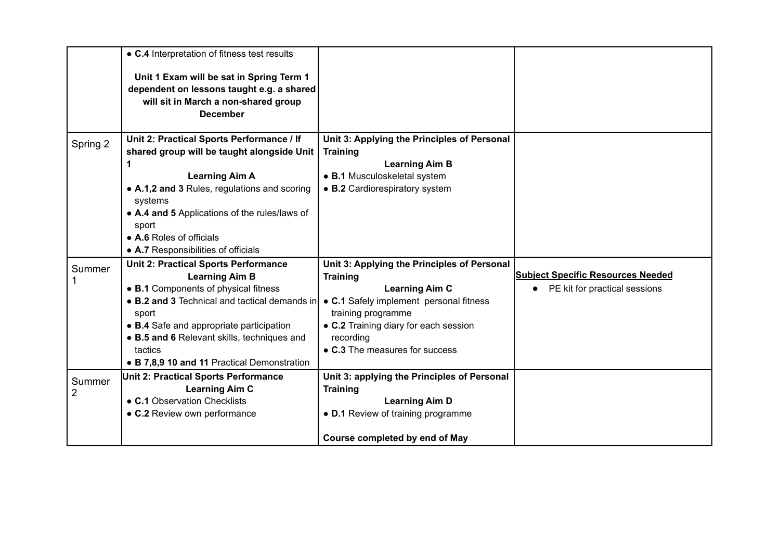|          | • C.4 Interpretation of fitness test results            |                                             |                                          |
|----------|---------------------------------------------------------|---------------------------------------------|------------------------------------------|
|          | Unit 1 Exam will be sat in Spring Term 1                |                                             |                                          |
|          | dependent on lessons taught e.g. a shared               |                                             |                                          |
|          | will sit in March a non-shared group                    |                                             |                                          |
|          | <b>December</b>                                         |                                             |                                          |
|          |                                                         |                                             |                                          |
| Spring 2 | Unit 2: Practical Sports Performance / If               | Unit 3: Applying the Principles of Personal |                                          |
|          | shared group will be taught alongside Unit              | <b>Training</b>                             |                                          |
|          | 1                                                       | <b>Learning Aim B</b>                       |                                          |
|          | <b>Learning Aim A</b>                                   | • B.1 Musculoskeletal system                |                                          |
|          | • A.1,2 and 3 Rules, regulations and scoring<br>systems | • B.2 Cardiorespiratory system              |                                          |
|          | • A.4 and 5 Applications of the rules/laws of           |                                             |                                          |
|          | sport                                                   |                                             |                                          |
|          | • A.6 Roles of officials                                |                                             |                                          |
|          | • A.7 Responsibilities of officials                     |                                             |                                          |
| Summer   | <b>Unit 2: Practical Sports Performance</b>             | Unit 3: Applying the Principles of Personal |                                          |
|          | <b>Learning Aim B</b>                                   | <b>Training</b>                             | <b>Subject Specific Resources Needed</b> |
|          | • B.1 Components of physical fitness                    | <b>Learning Aim C</b>                       | • PE kit for practical sessions          |
|          | • B.2 and 3 Technical and tactical demands in           | • C.1 Safely implement personal fitness     |                                          |
|          | sport                                                   | training programme                          |                                          |
|          | • B.4 Safe and appropriate participation                | • C.2 Training diary for each session       |                                          |
|          | • B.5 and 6 Relevant skills, techniques and             | recording                                   |                                          |
|          | tactics                                                 | • C.3 The measures for success              |                                          |
|          | • B 7,8,9 10 and 11 Practical Demonstration             |                                             |                                          |
| Summer   | Unit 2: Practical Sports Performance                    | Unit 3: applying the Principles of Personal |                                          |
| 2        | <b>Learning Aim C</b>                                   | <b>Training</b>                             |                                          |
|          | • C.1 Observation Checklists                            | <b>Learning Aim D</b>                       |                                          |
|          | • C.2 Review own performance                            | • D.1 Review of training programme          |                                          |
|          |                                                         | Course completed by end of May              |                                          |
|          |                                                         |                                             |                                          |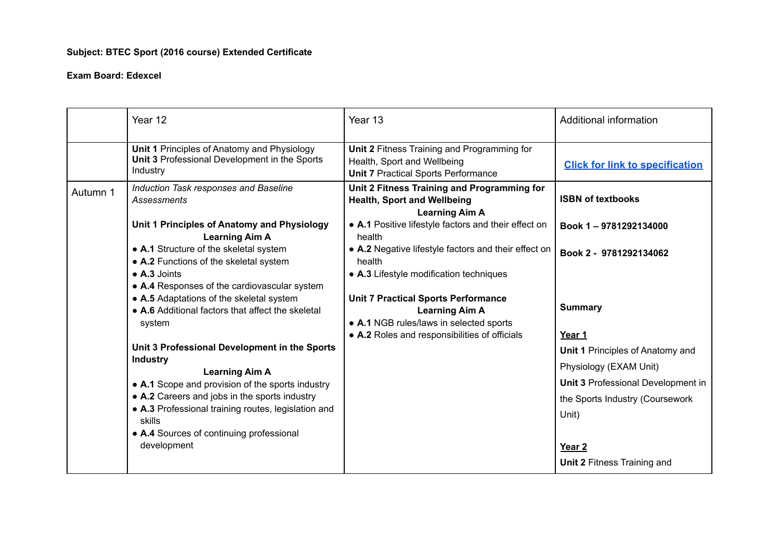# **Subject: BTEC Sport (2016 course) Extended Certificate**

|          | Year 12                                                                                                  | Year 13                                                                                                                  | Additional information                    |
|----------|----------------------------------------------------------------------------------------------------------|--------------------------------------------------------------------------------------------------------------------------|-------------------------------------------|
|          | Unit 1 Principles of Anatomy and Physiology<br>Unit 3 Professional Development in the Sports<br>Industry | Unit 2 Fitness Training and Programming for<br>Health, Sport and Wellbeing<br><b>Unit 7 Practical Sports Performance</b> | <b>Click for link to specification</b>    |
| Autumn 1 | Induction Task responses and Baseline<br><b>Assessments</b>                                              | Unit 2 Fitness Training and Programming for<br><b>Health, Sport and Wellbeing</b><br><b>Learning Aim A</b>               | <b>ISBN of textbooks</b>                  |
|          | Unit 1 Principles of Anatomy and Physiology<br><b>Learning Aim A</b>                                     | • A.1 Positive lifestyle factors and their effect on<br>health                                                           | Book 1-9781292134000                      |
|          | • A.1 Structure of the skeletal system<br>• A.2 Functions of the skeletal system                         | • A.2 Negative lifestyle factors and their effect on<br>health                                                           | Book 2 - 9781292134062                    |
|          | $\bullet$ A.3 Joints<br>• A.4 Responses of the cardiovascular system                                     | • A.3 Lifestyle modification techniques                                                                                  |                                           |
|          | • A.5 Adaptations of the skeletal system<br>• A.6 Additional factors that affect the skeletal<br>system  | <b>Unit 7 Practical Sports Performance</b><br><b>Learning Aim A</b><br>• A.1 NGB rules/laws in selected sports           | <b>Summary</b>                            |
|          |                                                                                                          | • A.2 Roles and responsibilities of officials                                                                            | Year 1                                    |
|          | Unit 3 Professional Development in the Sports                                                            |                                                                                                                          | Unit 1 Principles of Anatomy and          |
|          | <b>Industry</b><br><b>Learning Aim A</b>                                                                 |                                                                                                                          | Physiology (EXAM Unit)                    |
|          | • A.1 Scope and provision of the sports industry                                                         |                                                                                                                          | <b>Unit 3 Professional Development in</b> |
|          | • A.2 Careers and jobs in the sports industry                                                            |                                                                                                                          | the Sports Industry (Coursework           |
|          | • A.3 Professional training routes, legislation and                                                      |                                                                                                                          | Unit)                                     |
|          | skills<br>• A.4 Sources of continuing professional                                                       |                                                                                                                          |                                           |
|          | development                                                                                              |                                                                                                                          | Year <sub>2</sub>                         |
|          |                                                                                                          |                                                                                                                          | <b>Unit 2 Fitness Training and</b>        |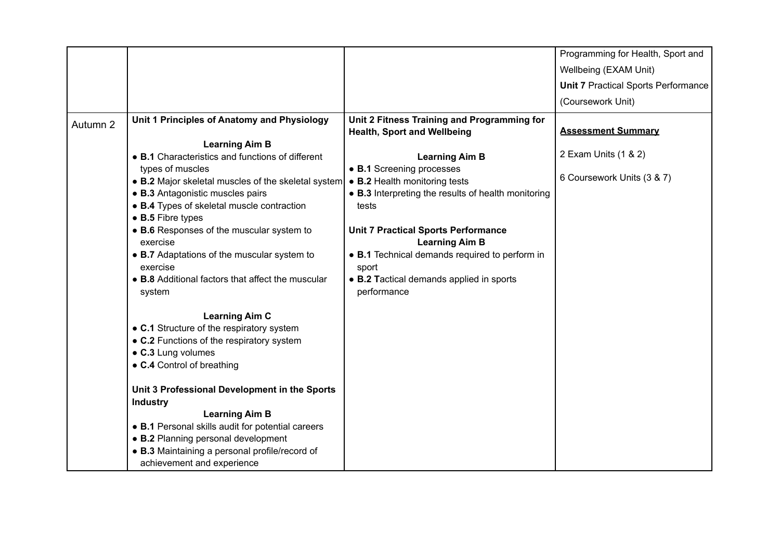|          |                                                                         |                                                            | Programming for Health, Sport and          |
|----------|-------------------------------------------------------------------------|------------------------------------------------------------|--------------------------------------------|
|          |                                                                         |                                                            | Wellbeing (EXAM Unit)                      |
|          |                                                                         |                                                            | <b>Unit 7 Practical Sports Performance</b> |
|          |                                                                         |                                                            | (Coursework Unit)                          |
| Autumn 2 | Unit 1 Principles of Anatomy and Physiology                             | Unit 2 Fitness Training and Programming for                |                                            |
|          |                                                                         | <b>Health, Sport and Wellbeing</b>                         | <b>Assessment Summary</b>                  |
|          | <b>Learning Aim B</b>                                                   |                                                            | 2 Exam Units (1 & 2)                       |
|          | • B.1 Characteristics and functions of different                        | <b>Learning Aim B</b>                                      |                                            |
|          | types of muscles<br>• B.2 Major skeletal muscles of the skeletal system | • B.1 Screening processes<br>• B.2 Health monitoring tests | 6 Coursework Units (3 & 7)                 |
|          | • B.3 Antagonistic muscles pairs                                        | • B.3 Interpreting the results of health monitoring        |                                            |
|          | • B.4 Types of skeletal muscle contraction                              | tests                                                      |                                            |
|          | • B.5 Fibre types                                                       |                                                            |                                            |
|          | • B.6 Responses of the muscular system to                               | <b>Unit 7 Practical Sports Performance</b>                 |                                            |
|          | exercise                                                                | <b>Learning Aim B</b>                                      |                                            |
|          | • B.7 Adaptations of the muscular system to<br>exercise                 | • B.1 Technical demands required to perform in<br>sport    |                                            |
|          | • B.8 Additional factors that affect the muscular<br>system             | • B.2 Tactical demands applied in sports<br>performance    |                                            |
|          | <b>Learning Aim C</b>                                                   |                                                            |                                            |
|          | • C.1 Structure of the respiratory system                               |                                                            |                                            |
|          | • C.2 Functions of the respiratory system                               |                                                            |                                            |
|          | • C.3 Lung volumes                                                      |                                                            |                                            |
|          | • C.4 Control of breathing                                              |                                                            |                                            |
|          | Unit 3 Professional Development in the Sports<br><b>Industry</b>        |                                                            |                                            |
|          | <b>Learning Aim B</b>                                                   |                                                            |                                            |
|          | • B.1 Personal skills audit for potential careers                       |                                                            |                                            |
|          | • B.2 Planning personal development                                     |                                                            |                                            |
|          | • B.3 Maintaining a personal profile/record of                          |                                                            |                                            |
|          | achievement and experience                                              |                                                            |                                            |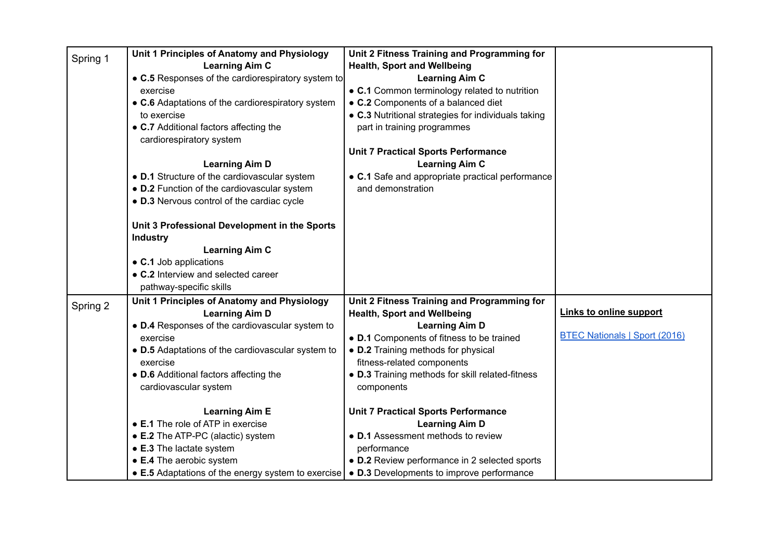| Spring 1 | Unit 1 Principles of Anatomy and Physiology                        | Unit 2 Fitness Training and Programming for         |                                      |
|----------|--------------------------------------------------------------------|-----------------------------------------------------|--------------------------------------|
|          | <b>Learning Aim C</b>                                              | <b>Health, Sport and Wellbeing</b>                  |                                      |
|          | • C.5 Responses of the cardiorespiratory system to                 | <b>Learning Aim C</b>                               |                                      |
|          | exercise                                                           | • C.1 Common terminology related to nutrition       |                                      |
|          | • C.6 Adaptations of the cardiorespiratory system                  | • C.2 Components of a balanced diet                 |                                      |
|          | to exercise                                                        | • C.3 Nutritional strategies for individuals taking |                                      |
|          | • C.7 Additional factors affecting the<br>cardiorespiratory system | part in training programmes                         |                                      |
|          |                                                                    | <b>Unit 7 Practical Sports Performance</b>          |                                      |
|          | <b>Learning Aim D</b>                                              | <b>Learning Aim C</b>                               |                                      |
|          | • D.1 Structure of the cardiovascular system                       | • C.1 Safe and appropriate practical performance    |                                      |
|          | • D.2 Function of the cardiovascular system                        | and demonstration                                   |                                      |
|          | • D.3 Nervous control of the cardiac cycle                         |                                                     |                                      |
|          | Unit 3 Professional Development in the Sports                      |                                                     |                                      |
|          | <b>Industry</b>                                                    |                                                     |                                      |
|          | <b>Learning Aim C</b>                                              |                                                     |                                      |
|          | • C.1 Job applications                                             |                                                     |                                      |
|          | • C.2 Interview and selected career                                |                                                     |                                      |
|          | pathway-specific skills                                            |                                                     |                                      |
| Spring 2 | Unit 1 Principles of Anatomy and Physiology                        | Unit 2 Fitness Training and Programming for         |                                      |
|          | <b>Learning Aim D</b>                                              | <b>Health, Sport and Wellbeing</b>                  | <b>Links to online support</b>       |
|          | • D.4 Responses of the cardiovascular system to                    | <b>Learning Aim D</b>                               |                                      |
|          | exercise                                                           | • D.1 Components of fitness to be trained           | <b>BTEC Nationals   Sport (2016)</b> |
|          | • D.5 Adaptations of the cardiovascular system to                  | • D.2 Training methods for physical                 |                                      |
|          | exercise                                                           | fitness-related components                          |                                      |
|          | • D.6 Additional factors affecting the                             | • D.3 Training methods for skill related-fitness    |                                      |
|          | cardiovascular system                                              | components                                          |                                      |
|          | <b>Learning Aim E</b>                                              | <b>Unit 7 Practical Sports Performance</b>          |                                      |
|          | • E.1 The role of ATP in exercise                                  | <b>Learning Aim D</b>                               |                                      |
|          | • E.2 The ATP-PC (alactic) system                                  | • D.1 Assessment methods to review                  |                                      |
|          | • E.3 The lactate system                                           | performance                                         |                                      |
|          | • E.4 The aerobic system                                           | • D.2 Review performance in 2 selected sports       |                                      |
|          | • E.5 Adaptations of the energy system to exercise                 | • D.3 Developments to improve performance           |                                      |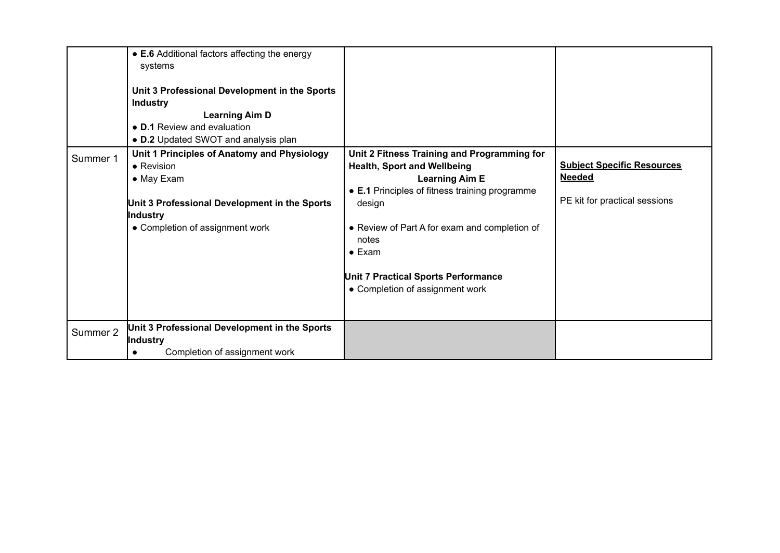|          | • E.6 Additional factors affecting the energy<br>systems<br>Unit 3 Professional Development in the Sports<br><b>Industry</b><br><b>Learning Aim D</b><br>• D.1 Review and evaluation<br>• D.2 Updated SWOT and analysis plan |                                                                                                                                                                                                                                                                                                                              |                                                                                     |
|----------|------------------------------------------------------------------------------------------------------------------------------------------------------------------------------------------------------------------------------|------------------------------------------------------------------------------------------------------------------------------------------------------------------------------------------------------------------------------------------------------------------------------------------------------------------------------|-------------------------------------------------------------------------------------|
| Summer 1 | Unit 1 Principles of Anatomy and Physiology<br>$\bullet$ Revision<br>• May Exam<br>Unit 3 Professional Development in the Sports<br>Industry<br>• Completion of assignment work                                              | Unit 2 Fitness Training and Programming for<br><b>Health, Sport and Wellbeing</b><br><b>Learning Aim E</b><br>• E.1 Principles of fitness training programme<br>design<br>• Review of Part A for exam and completion of<br>notes<br>$\bullet$ Exam<br>Unit 7 Practical Sports Performance<br>• Completion of assignment work | <b>Subject Specific Resources</b><br><b>Needed</b><br>PE kit for practical sessions |
| Summer 2 | Unit 3 Professional Development in the Sports<br>Industry<br>Completion of assignment work<br>$\bullet$                                                                                                                      |                                                                                                                                                                                                                                                                                                                              |                                                                                     |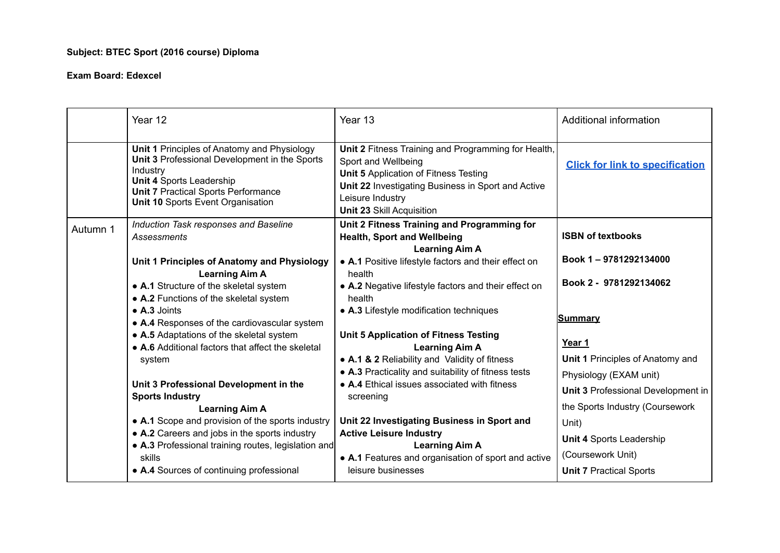# **Subject: BTEC Sport (2016 course) Diploma**

|          | Year 12                                                                                                                                                                                                                        | Year 13                                                                                                                                                                                                                                  | Additional information                 |
|----------|--------------------------------------------------------------------------------------------------------------------------------------------------------------------------------------------------------------------------------|------------------------------------------------------------------------------------------------------------------------------------------------------------------------------------------------------------------------------------------|----------------------------------------|
|          | Unit 1 Principles of Anatomy and Physiology<br>Unit 3 Professional Development in the Sports<br>Industry<br><b>Unit 4 Sports Leadership</b><br><b>Unit 7 Practical Sports Performance</b><br>Unit 10 Sports Event Organisation | Unit 2 Fitness Training and Programming for Health,<br>Sport and Wellbeing<br><b>Unit 5</b> Application of Fitness Testing<br>Unit 22 Investigating Business in Sport and Active<br>Leisure Industry<br><b>Unit 23 Skill Acquisition</b> | <b>Click for link to specification</b> |
| Autumn 1 | Induction Task responses and Baseline<br><b>Assessments</b>                                                                                                                                                                    | Unit 2 Fitness Training and Programming for<br><b>Health, Sport and Wellbeing</b><br><b>Learning Aim A</b>                                                                                                                               | <b>ISBN of textbooks</b>               |
|          | Unit 1 Principles of Anatomy and Physiology                                                                                                                                                                                    | • A.1 Positive lifestyle factors and their effect on                                                                                                                                                                                     | Book 1-9781292134000                   |
|          | <b>Learning Aim A</b><br>• A.1 Structure of the skeletal system<br>• A.2 Functions of the skeletal system                                                                                                                      | health<br>• A.2 Negative lifestyle factors and their effect on<br>health                                                                                                                                                                 | Book 2 - 9781292134062                 |
|          | • A.3 Joints<br>• A.4 Responses of the cardiovascular system                                                                                                                                                                   | • A.3 Lifestyle modification techniques                                                                                                                                                                                                  | <u>Summary</u>                         |
|          | • A.5 Adaptations of the skeletal system<br>• A.6 Additional factors that affect the skeletal                                                                                                                                  | <b>Unit 5 Application of Fitness Testing</b><br><b>Learning Aim A</b>                                                                                                                                                                    | Year 1                                 |
|          | system                                                                                                                                                                                                                         | • A.1 & 2 Reliability and Validity of fitness                                                                                                                                                                                            | Unit 1 Principles of Anatomy and       |
|          |                                                                                                                                                                                                                                | • A.3 Practicality and suitability of fitness tests                                                                                                                                                                                      | Physiology (EXAM unit)                 |
|          | Unit 3 Professional Development in the<br><b>Sports Industry</b>                                                                                                                                                               | • A.4 Ethical issues associated with fitness<br>screening                                                                                                                                                                                | Unit 3 Professional Development in     |
|          | <b>Learning Aim A</b>                                                                                                                                                                                                          |                                                                                                                                                                                                                                          | the Sports Industry (Coursework        |
|          | • A.1 Scope and provision of the sports industry                                                                                                                                                                               | Unit 22 Investigating Business in Sport and                                                                                                                                                                                              | Unit)                                  |
|          | • A.2 Careers and jobs in the sports industry                                                                                                                                                                                  | <b>Active Leisure Industry</b>                                                                                                                                                                                                           | <b>Unit 4 Sports Leadership</b>        |
|          | • A.3 Professional training routes, legislation and<br>skills                                                                                                                                                                  | <b>Learning Aim A</b><br>• A.1 Features and organisation of sport and active                                                                                                                                                             | (Coursework Unit)                      |
|          | • A.4 Sources of continuing professional                                                                                                                                                                                       | leisure businesses                                                                                                                                                                                                                       | <b>Unit 7 Practical Sports</b>         |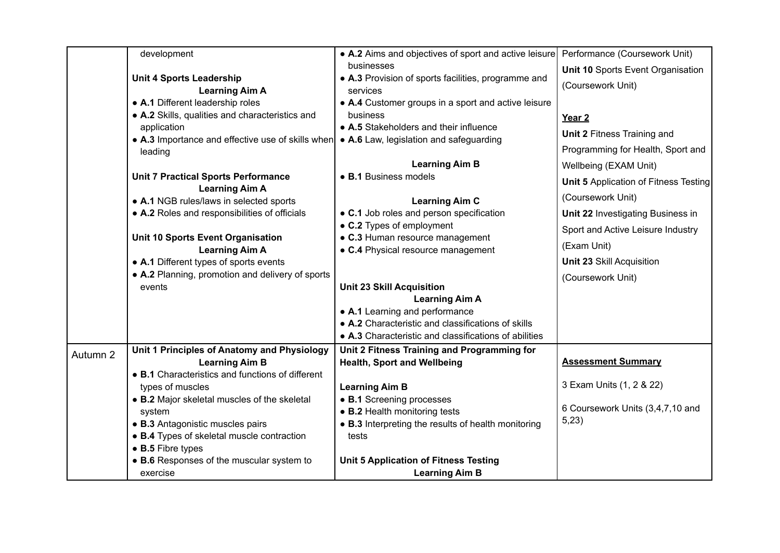|          | development                                                      | • A.2 Aims and objectives of sport and active leisure             | Performance (Coursework Unit)         |
|----------|------------------------------------------------------------------|-------------------------------------------------------------------|---------------------------------------|
|          | <b>Unit 4 Sports Leadership</b>                                  | businesses<br>• A.3 Provision of sports facilities, programme and | Unit 10 Sports Event Organisation     |
|          | <b>Learning Aim A</b>                                            | services                                                          | (Coursework Unit)                     |
|          | • A.1 Different leadership roles                                 | • A.4 Customer groups in a sport and active leisure               |                                       |
|          | • A.2 Skills, qualities and characteristics and                  | business                                                          | Year <sub>2</sub>                     |
|          | application                                                      | • A.5 Stakeholders and their influence                            | Unit 2 Fitness Training and           |
|          | • A.3 Importance and effective use of skills when                | • A.6 Law, legislation and safeguarding                           | Programming for Health, Sport and     |
|          | leading                                                          | <b>Learning Aim B</b>                                             |                                       |
|          | <b>Unit 7 Practical Sports Performance</b>                       | • B.1 Business models                                             | Wellbeing (EXAM Unit)                 |
|          | <b>Learning Aim A</b>                                            |                                                                   | Unit 5 Application of Fitness Testing |
|          | • A.1 NGB rules/laws in selected sports                          | <b>Learning Aim C</b>                                             | (Coursework Unit)                     |
|          | • A.2 Roles and responsibilities of officials                    | • C.1 Job roles and person specification                          | Unit 22 Investigating Business in     |
|          |                                                                  | • C.2 Types of employment                                         | Sport and Active Leisure Industry     |
|          | Unit 10 Sports Event Organisation                                | • C.3 Human resource management                                   | (Exam Unit)                           |
|          | <b>Learning Aim A</b><br>• A.1 Different types of sports events  | • C.4 Physical resource management                                | <b>Unit 23 Skill Acquisition</b>      |
|          | • A.2 Planning, promotion and delivery of sports                 |                                                                   |                                       |
|          | events                                                           | <b>Unit 23 Skill Acquisition</b>                                  | (Coursework Unit)                     |
|          |                                                                  | <b>Learning Aim A</b>                                             |                                       |
|          |                                                                  | • A.1 Learning and performance                                    |                                       |
|          |                                                                  | • A.2 Characteristic and classifications of skills                |                                       |
|          |                                                                  | • A.3 Characteristic and classifications of abilities             |                                       |
| Autumn 2 | Unit 1 Principles of Anatomy and Physiology                      | Unit 2 Fitness Training and Programming for                       |                                       |
|          | <b>Learning Aim B</b>                                            | <b>Health, Sport and Wellbeing</b>                                | <b>Assessment Summary</b>             |
|          | • B.1 Characteristics and functions of different                 |                                                                   | 3 Exam Units (1, 2 & 22)              |
|          | types of muscles<br>• B.2 Major skeletal muscles of the skeletal | <b>Learning Aim B</b><br>• B.1 Screening processes                |                                       |
|          | system                                                           | • B.2 Health monitoring tests                                     | 6 Coursework Units (3,4,7,10 and      |
|          | • B.3 Antagonistic muscles pairs                                 | • B.3 Interpreting the results of health monitoring               | 5,23)                                 |
|          | • B.4 Types of skeletal muscle contraction                       | tests                                                             |                                       |
|          | • B.5 Fibre types                                                |                                                                   |                                       |
|          | • B.6 Responses of the muscular system to                        | <b>Unit 5 Application of Fitness Testing</b>                      |                                       |
|          | exercise                                                         | <b>Learning Aim B</b>                                             |                                       |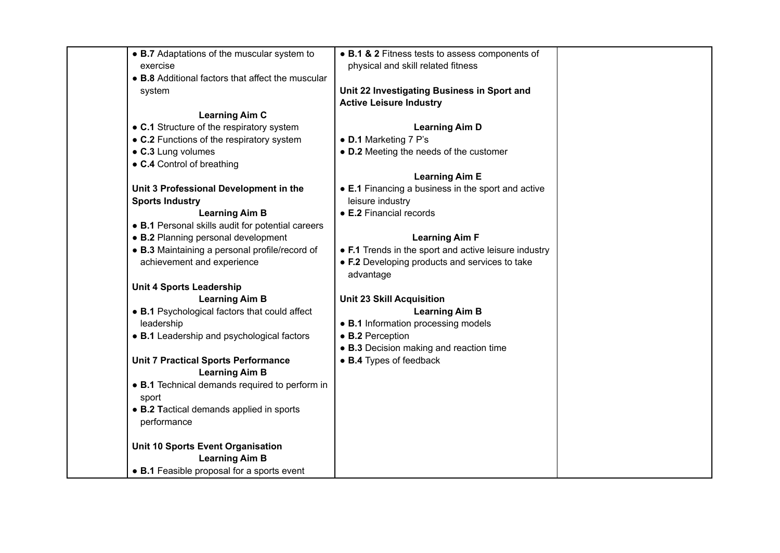| • B.7 Adaptations of the muscular system to                         | • B.1 & 2 Fitness tests to assess components of             |  |
|---------------------------------------------------------------------|-------------------------------------------------------------|--|
| exercise                                                            | physical and skill related fitness                          |  |
| • B.8 Additional factors that affect the muscular                   |                                                             |  |
| system                                                              | Unit 22 Investigating Business in Sport and                 |  |
|                                                                     | <b>Active Leisure Industry</b>                              |  |
| <b>Learning Aim C</b>                                               |                                                             |  |
| • C.1 Structure of the respiratory system                           | <b>Learning Aim D</b>                                       |  |
| • C.2 Functions of the respiratory system                           | • D.1 Marketing 7 P's                                       |  |
| • C.3 Lung volumes                                                  | • D.2 Meeting the needs of the customer                     |  |
| • C.4 Control of breathing                                          |                                                             |  |
|                                                                     | <b>Learning Aim E</b>                                       |  |
| Unit 3 Professional Development in the                              | • E.1 Financing a business in the sport and active          |  |
| <b>Sports Industry</b>                                              | leisure industry                                            |  |
| <b>Learning Aim B</b>                                               | • E.2 Financial records                                     |  |
| • B.1 Personal skills audit for potential careers                   |                                                             |  |
| • B.2 Planning personal development                                 | <b>Learning Aim F</b>                                       |  |
| • B.3 Maintaining a personal profile/record of                      | • F.1 Trends in the sport and active leisure industry       |  |
| achievement and experience                                          | • F.2 Developing products and services to take<br>advantage |  |
| <b>Unit 4 Sports Leadership</b>                                     |                                                             |  |
| <b>Learning Aim B</b>                                               | <b>Unit 23 Skill Acquisition</b>                            |  |
| • B.1 Psychological factors that could affect                       | <b>Learning Aim B</b>                                       |  |
| leadership                                                          | • B.1 Information processing models                         |  |
| • B.1 Leadership and psychological factors                          | • B.2 Perception                                            |  |
|                                                                     | • B.3 Decision making and reaction time                     |  |
| <b>Unit 7 Practical Sports Performance</b><br><b>Learning Aim B</b> | • B.4 Types of feedback                                     |  |
| • B.1 Technical demands required to perform in                      |                                                             |  |
| sport                                                               |                                                             |  |
| • B.2 Tactical demands applied in sports                            |                                                             |  |
| performance                                                         |                                                             |  |
| Unit 10 Sports Event Organisation                                   |                                                             |  |
| <b>Learning Aim B</b>                                               |                                                             |  |
| • B.1 Feasible proposal for a sports event                          |                                                             |  |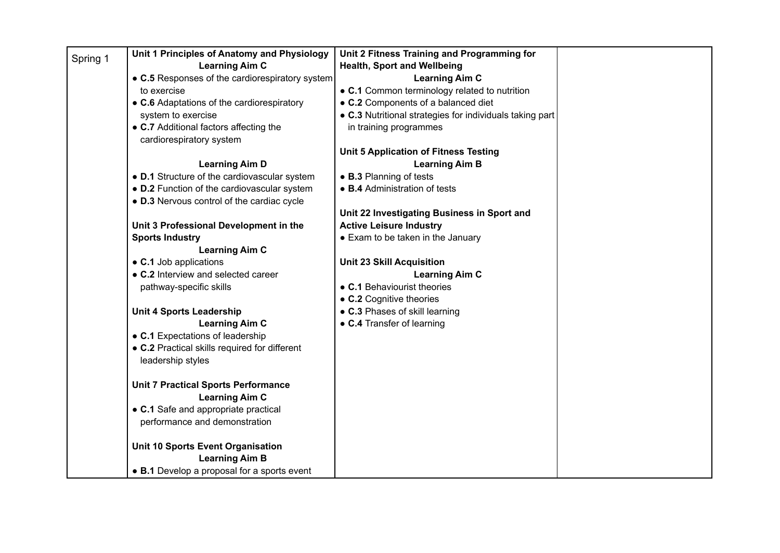| Spring 1 | Unit 1 Principles of Anatomy and Physiology     | Unit 2 Fitness Training and Programming for              |  |
|----------|-------------------------------------------------|----------------------------------------------------------|--|
|          | <b>Learning Aim C</b>                           | <b>Health, Sport and Wellbeing</b>                       |  |
|          | • C.5 Responses of the cardiorespiratory system | <b>Learning Aim C</b>                                    |  |
|          | to exercise                                     | • C.1 Common terminology related to nutrition            |  |
|          | • C.6 Adaptations of the cardiorespiratory      | • C.2 Components of a balanced diet                      |  |
|          | system to exercise                              | • C.3 Nutritional strategies for individuals taking part |  |
|          | • C.7 Additional factors affecting the          | in training programmes                                   |  |
|          | cardiorespiratory system                        |                                                          |  |
|          |                                                 | <b>Unit 5 Application of Fitness Testing</b>             |  |
|          | <b>Learning Aim D</b>                           | <b>Learning Aim B</b>                                    |  |
|          | • D.1 Structure of the cardiovascular system    | • B.3 Planning of tests                                  |  |
|          | • D.2 Function of the cardiovascular system     | • B.4 Administration of tests                            |  |
|          | • D.3 Nervous control of the cardiac cycle      |                                                          |  |
|          |                                                 | Unit 22 Investigating Business in Sport and              |  |
|          | Unit 3 Professional Development in the          | <b>Active Leisure Industry</b>                           |  |
|          | <b>Sports Industry</b>                          | • Exam to be taken in the January                        |  |
|          | <b>Learning Aim C</b>                           |                                                          |  |
|          | • C.1 Job applications                          | <b>Unit 23 Skill Acquisition</b>                         |  |
|          | • C.2 Interview and selected career             | <b>Learning Aim C</b>                                    |  |
|          | pathway-specific skills                         | • C.1 Behaviourist theories                              |  |
|          |                                                 | • C.2 Cognitive theories                                 |  |
|          | <b>Unit 4 Sports Leadership</b>                 | • C.3 Phases of skill learning                           |  |
|          | <b>Learning Aim C</b>                           | • C.4 Transfer of learning                               |  |
|          | • C.1 Expectations of leadership                |                                                          |  |
|          | • C.2 Practical skills required for different   |                                                          |  |
|          | leadership styles                               |                                                          |  |
|          |                                                 |                                                          |  |
|          | <b>Unit 7 Practical Sports Performance</b>      |                                                          |  |
|          | <b>Learning Aim C</b>                           |                                                          |  |
|          | • C.1 Safe and appropriate practical            |                                                          |  |
|          | performance and demonstration                   |                                                          |  |
|          | Unit 10 Sports Event Organisation               |                                                          |  |
|          | <b>Learning Aim B</b>                           |                                                          |  |
|          | • B.1 Develop a proposal for a sports event     |                                                          |  |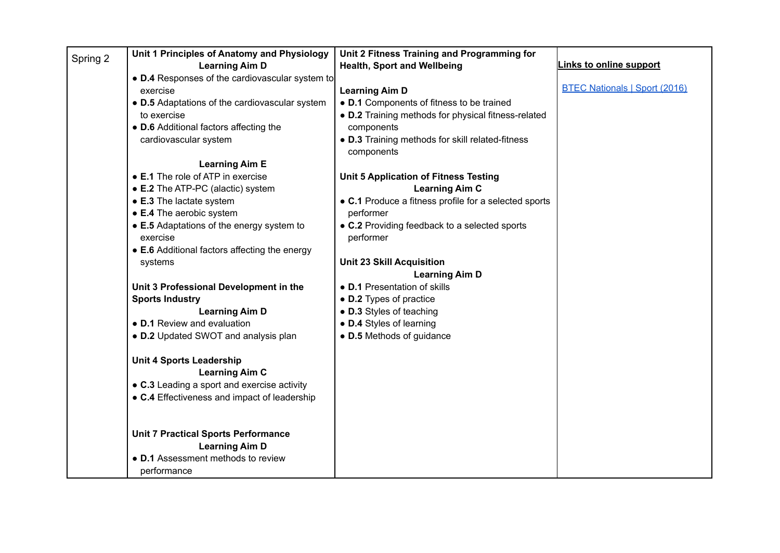| Spring 2 | Unit 1 Principles of Anatomy and Physiology     | Unit 2 Fitness Training and Programming for           |                                      |
|----------|-------------------------------------------------|-------------------------------------------------------|--------------------------------------|
|          | <b>Learning Aim D</b>                           | <b>Health, Sport and Wellbeing</b>                    | Links to online support              |
|          | • D.4 Responses of the cardiovascular system to |                                                       |                                      |
|          | exercise                                        | <b>Learning Aim D</b>                                 | <b>BTEC Nationals   Sport (2016)</b> |
|          | • D.5 Adaptations of the cardiovascular system  | • D.1 Components of fitness to be trained             |                                      |
|          | to exercise                                     | • D.2 Training methods for physical fitness-related   |                                      |
|          | • D.6 Additional factors affecting the          | components                                            |                                      |
|          | cardiovascular system                           | . D.3 Training methods for skill related-fitness      |                                      |
|          |                                                 | components                                            |                                      |
|          | <b>Learning Aim E</b>                           |                                                       |                                      |
|          | • E.1 The role of ATP in exercise               | Unit 5 Application of Fitness Testing                 |                                      |
|          | • E.2 The ATP-PC (alactic) system               | <b>Learning Aim C</b>                                 |                                      |
|          | • E.3 The lactate system                        | • C.1 Produce a fitness profile for a selected sports |                                      |
|          | • E.4 The aerobic system                        | performer                                             |                                      |
|          | • E.5 Adaptations of the energy system to       | • C.2 Providing feedback to a selected sports         |                                      |
|          | exercise                                        | performer                                             |                                      |
|          | • E.6 Additional factors affecting the energy   |                                                       |                                      |
|          | systems                                         | <b>Unit 23 Skill Acquisition</b>                      |                                      |
|          |                                                 | <b>Learning Aim D</b>                                 |                                      |
|          | Unit 3 Professional Development in the          | • D.1 Presentation of skills                          |                                      |
|          | <b>Sports Industry</b>                          | • D.2 Types of practice                               |                                      |
|          | <b>Learning Aim D</b>                           | • D.3 Styles of teaching                              |                                      |
|          | • D.1 Review and evaluation                     | • D.4 Styles of learning                              |                                      |
|          | • D.2 Updated SWOT and analysis plan            | • D.5 Methods of guidance                             |                                      |
|          |                                                 |                                                       |                                      |
|          | <b>Unit 4 Sports Leadership</b>                 |                                                       |                                      |
|          | <b>Learning Aim C</b>                           |                                                       |                                      |
|          | • C.3 Leading a sport and exercise activity     |                                                       |                                      |
|          | • C.4 Effectiveness and impact of leadership    |                                                       |                                      |
|          |                                                 |                                                       |                                      |
|          |                                                 |                                                       |                                      |
|          | <b>Unit 7 Practical Sports Performance</b>      |                                                       |                                      |
|          | <b>Learning Aim D</b>                           |                                                       |                                      |
|          | • D.1 Assessment methods to review              |                                                       |                                      |
|          | performance                                     |                                                       |                                      |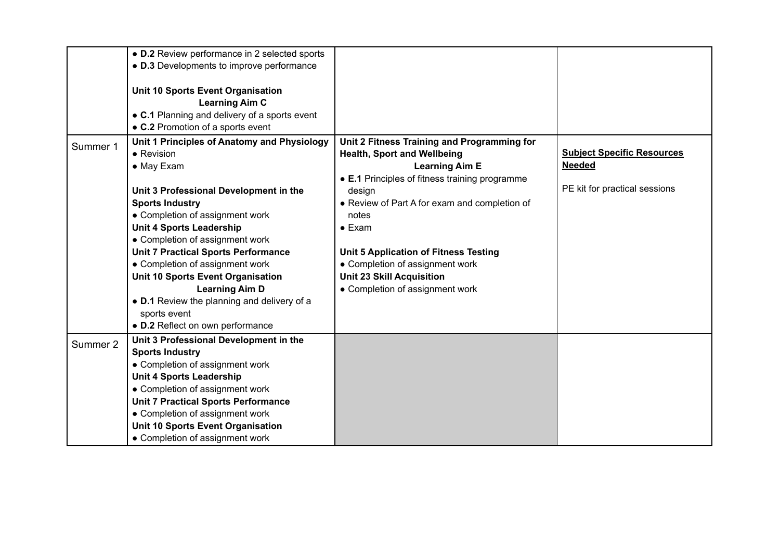|          | • D.2 Review performance in 2 selected sports                                      |                                                        |                                   |
|----------|------------------------------------------------------------------------------------|--------------------------------------------------------|-----------------------------------|
|          | • D.3 Developments to improve performance                                          |                                                        |                                   |
|          |                                                                                    |                                                        |                                   |
|          | Unit 10 Sports Event Organisation                                                  |                                                        |                                   |
|          | <b>Learning Aim C</b>                                                              |                                                        |                                   |
|          | • C.1 Planning and delivery of a sports event<br>• C.2 Promotion of a sports event |                                                        |                                   |
|          |                                                                                    |                                                        |                                   |
| Summer 1 | Unit 1 Principles of Anatomy and Physiology                                        | Unit 2 Fitness Training and Programming for            | <b>Subject Specific Resources</b> |
|          | • Revision                                                                         | <b>Health, Sport and Wellbeing</b>                     | <b>Needed</b>                     |
|          | • May Exam                                                                         | <b>Learning Aim E</b>                                  |                                   |
|          |                                                                                    | • E.1 Principles of fitness training programme         | PE kit for practical sessions     |
|          | Unit 3 Professional Development in the                                             | design                                                 |                                   |
|          | <b>Sports Industry</b><br>• Completion of assignment work                          | • Review of Part A for exam and completion of<br>notes |                                   |
|          | <b>Unit 4 Sports Leadership</b>                                                    | $\bullet$ Exam                                         |                                   |
|          | • Completion of assignment work                                                    |                                                        |                                   |
|          | <b>Unit 7 Practical Sports Performance</b>                                         | <b>Unit 5 Application of Fitness Testing</b>           |                                   |
|          | • Completion of assignment work                                                    | • Completion of assignment work                        |                                   |
|          | <b>Unit 10 Sports Event Organisation</b>                                           | <b>Unit 23 Skill Acquisition</b>                       |                                   |
|          | <b>Learning Aim D</b>                                                              | • Completion of assignment work                        |                                   |
|          | • D.1 Review the planning and delivery of a                                        |                                                        |                                   |
|          | sports event                                                                       |                                                        |                                   |
|          | • D.2 Reflect on own performance                                                   |                                                        |                                   |
|          | Unit 3 Professional Development in the                                             |                                                        |                                   |
| Summer 2 | <b>Sports Industry</b>                                                             |                                                        |                                   |
|          | • Completion of assignment work                                                    |                                                        |                                   |
|          | <b>Unit 4 Sports Leadership</b>                                                    |                                                        |                                   |
|          | • Completion of assignment work                                                    |                                                        |                                   |
|          | <b>Unit 7 Practical Sports Performance</b>                                         |                                                        |                                   |
|          | • Completion of assignment work                                                    |                                                        |                                   |
|          | <b>Unit 10 Sports Event Organisation</b>                                           |                                                        |                                   |
|          | • Completion of assignment work                                                    |                                                        |                                   |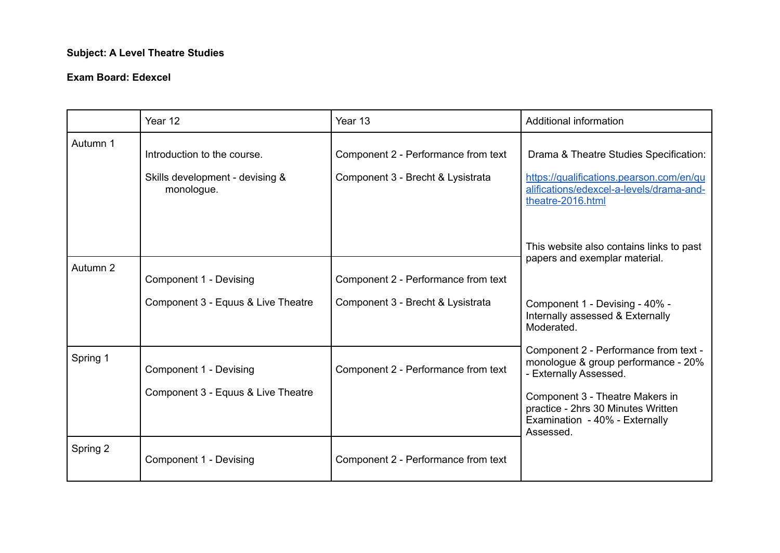# **Subject: A Level Theatre Studies**

|          | Year 12                                                                      | Year 13                                                                  | Additional information                                                                                                                                                                                                                       |
|----------|------------------------------------------------------------------------------|--------------------------------------------------------------------------|----------------------------------------------------------------------------------------------------------------------------------------------------------------------------------------------------------------------------------------------|
| Autumn 1 | Introduction to the course.<br>Skills development - devising &<br>monologue. | Component 2 - Performance from text<br>Component 3 - Brecht & Lysistrata | Drama & Theatre Studies Specification:<br>https://qualifications.pearson.com/en/qu<br>alifications/edexcel-a-levels/drama-and-<br>theatre-2016.html                                                                                          |
| Autumn 2 | Component 1 - Devising<br>Component 3 - Equus & Live Theatre                 | Component 2 - Performance from text<br>Component 3 - Brecht & Lysistrata | This website also contains links to past<br>papers and exemplar material.<br>Component 1 - Devising - 40% -<br>Internally assessed & Externally                                                                                              |
| Spring 1 | Component 1 - Devising<br>Component 3 - Equus & Live Theatre                 | Component 2 - Performance from text                                      | Moderated.<br>Component 2 - Performance from text -<br>monologue & group performance - 20%<br>- Externally Assessed.<br>Component 3 - Theatre Makers in<br>practice - 2hrs 30 Minutes Written<br>Examination - 40% - Externally<br>Assessed. |
| Spring 2 | Component 1 - Devising                                                       | Component 2 - Performance from text                                      |                                                                                                                                                                                                                                              |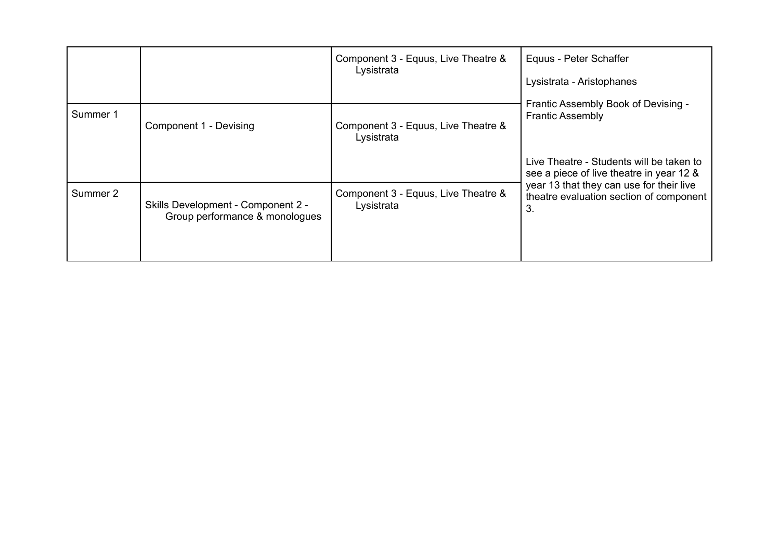|          |                                                                      | Component 3 - Equus, Live Theatre &<br>Lysistrata | Equus - Peter Schaffer<br>Lysistrata - Aristophanes                                       |  |
|----------|----------------------------------------------------------------------|---------------------------------------------------|-------------------------------------------------------------------------------------------|--|
| Summer 1 | Component 1 - Devising                                               | Component 3 - Equus, Live Theatre &<br>Lysistrata | Frantic Assembly Book of Devising -<br><b>Frantic Assembly</b>                            |  |
|          |                                                                      |                                                   | Live Theatre - Students will be taken to<br>see a piece of live theatre in year 12 &      |  |
| Summer 2 | Skills Development - Component 2 -<br>Group performance & monologues | Component 3 - Equus, Live Theatre &<br>Lysistrata | year 13 that they can use for their live<br>theatre evaluation section of component<br>3. |  |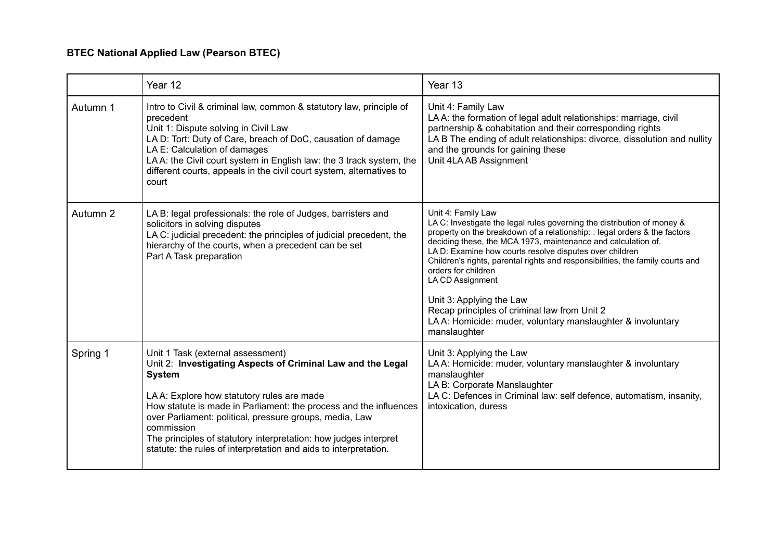# **BTEC National Applied Law (Pearson BTEC)**

|          | Year 12                                                                                                                                                                                                                                                                                                                                                                                                                                              | Year 13                                                                                                                                                                                                                                                                                                                                                                                                                                                                                                                                                                                       |
|----------|------------------------------------------------------------------------------------------------------------------------------------------------------------------------------------------------------------------------------------------------------------------------------------------------------------------------------------------------------------------------------------------------------------------------------------------------------|-----------------------------------------------------------------------------------------------------------------------------------------------------------------------------------------------------------------------------------------------------------------------------------------------------------------------------------------------------------------------------------------------------------------------------------------------------------------------------------------------------------------------------------------------------------------------------------------------|
| Autumn 1 | Intro to Civil & criminal law, common & statutory law, principle of<br>precedent<br>Unit 1: Dispute solving in Civil Law<br>LA D: Tort: Duty of Care, breach of DoC, causation of damage<br>LA E: Calculation of damages<br>LAA: the Civil court system in English law: the 3 track system, the<br>different courts, appeals in the civil court system, alternatives to<br>court                                                                     | Unit 4: Family Law<br>LAA: the formation of legal adult relationships: marriage, civil<br>partnership & cohabitation and their corresponding rights<br>LA B The ending of adult relationships: divorce, dissolution and nullity<br>and the grounds for gaining these<br>Unit 4LA AB Assignment                                                                                                                                                                                                                                                                                                |
| Autumn 2 | LA B: legal professionals: the role of Judges, barristers and<br>solicitors in solving disputes<br>LA C: judicial precedent: the principles of judicial precedent, the<br>hierarchy of the courts, when a precedent can be set<br>Part A Task preparation                                                                                                                                                                                            | Unit 4: Family Law<br>LA C: Investigate the legal rules governing the distribution of money &<br>property on the breakdown of a relationship: : legal orders & the factors<br>deciding these, the MCA 1973, maintenance and calculation of.<br>LA D: Examine how courts resolve disputes over children<br>Children's rights, parental rights and responsibilities, the family courts and<br>orders for children<br>LA CD Assignment<br>Unit 3: Applying the Law<br>Recap principles of criminal law from Unit 2<br>LAA: Homicide: muder, voluntary manslaughter & involuntary<br>manslaughter |
| Spring 1 | Unit 1 Task (external assessment)<br>Unit 2: Investigating Aspects of Criminal Law and the Legal<br><b>System</b><br>LAA: Explore how statutory rules are made<br>How statute is made in Parliament: the process and the influences<br>over Parliament: political, pressure groups, media, Law<br>commission<br>The principles of statutory interpretation: how judges interpret<br>statute: the rules of interpretation and aids to interpretation. | Unit 3: Applying the Law<br>LA A: Homicide: muder, voluntary manslaughter & involuntary<br>manslaughter<br>LA B: Corporate Manslaughter<br>LA C: Defences in Criminal law: self defence, automatism, insanity,<br>intoxication, duress                                                                                                                                                                                                                                                                                                                                                        |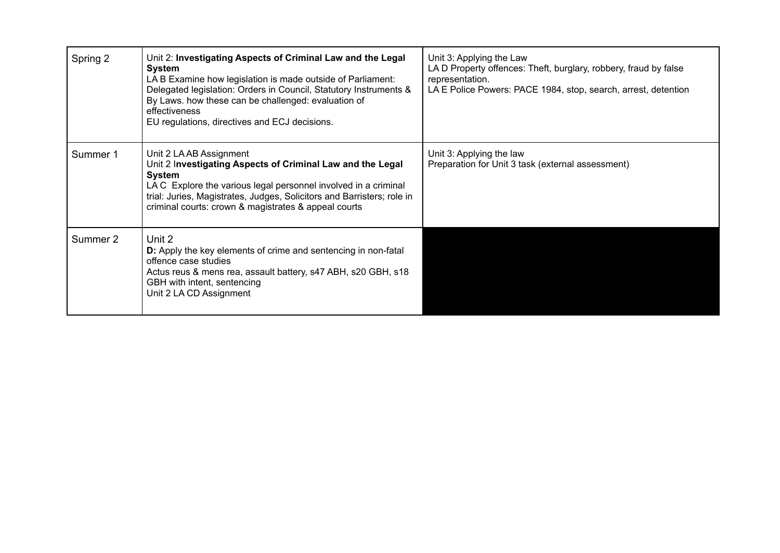| Spring 2 | Unit 2: Investigating Aspects of Criminal Law and the Legal<br>System<br>LA B Examine how legislation is made outside of Parliament:<br>Delegated legislation: Orders in Council, Statutory Instruments &<br>By Laws. how these can be challenged: evaluation of<br>effectiveness<br>EU regulations, directives and ECJ decisions. | Unit 3: Applying the Law<br>LAD Property offences: Theft, burglary, robbery, fraud by false<br>representation.<br>LA E Police Powers: PACE 1984, stop, search, arrest, detention |
|----------|------------------------------------------------------------------------------------------------------------------------------------------------------------------------------------------------------------------------------------------------------------------------------------------------------------------------------------|----------------------------------------------------------------------------------------------------------------------------------------------------------------------------------|
| Summer 1 | Unit 2 LA AB Assignment<br>Unit 2 Investigating Aspects of Criminal Law and the Legal<br>System<br>LAC Explore the various legal personnel involved in a criminal<br>trial: Juries, Magistrates, Judges, Solicitors and Barristers; role in<br>criminal courts: crown & magistrates & appeal courts                                | Unit 3: Applying the law<br>Preparation for Unit 3 task (external assessment)                                                                                                    |
| Summer 2 | Unit 2<br><b>D:</b> Apply the key elements of crime and sentencing in non-fatal<br>offence case studies<br>Actus reus & mens rea, assault battery, s47 ABH, s20 GBH, s18<br>GBH with intent, sentencing<br>Unit 2 LA CD Assignment                                                                                                 |                                                                                                                                                                                  |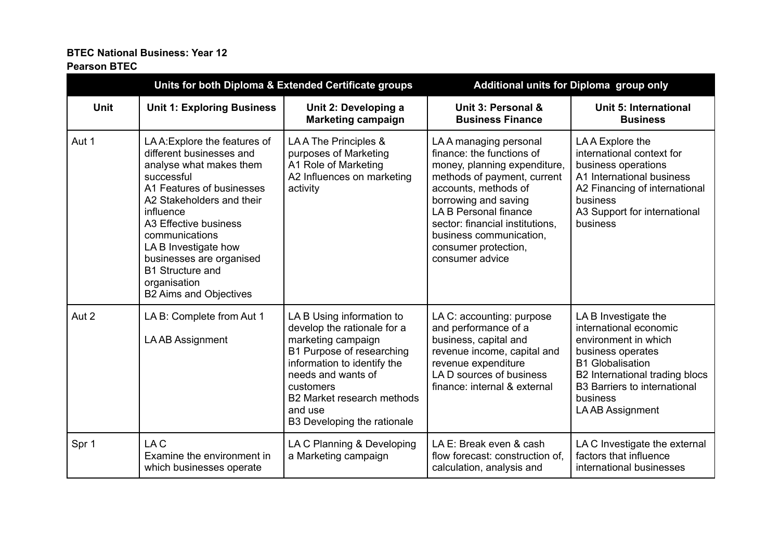# **BTEC National Business: Year 12**

#### **Pearson BTEC**

| Units for both Diploma & Extended Certificate groups |                                                                                                                                                                                                                                                                                                                                                      | Additional units for Diploma group only                                                                                                                                                                                                               |                                                                                                                                                                                                                                                                                                     |                                                                                                                                                                                                                                 |
|------------------------------------------------------|------------------------------------------------------------------------------------------------------------------------------------------------------------------------------------------------------------------------------------------------------------------------------------------------------------------------------------------------------|-------------------------------------------------------------------------------------------------------------------------------------------------------------------------------------------------------------------------------------------------------|-----------------------------------------------------------------------------------------------------------------------------------------------------------------------------------------------------------------------------------------------------------------------------------------------------|---------------------------------------------------------------------------------------------------------------------------------------------------------------------------------------------------------------------------------|
| <b>Unit</b>                                          | <b>Unit 1: Exploring Business</b>                                                                                                                                                                                                                                                                                                                    | Unit 2: Developing a<br><b>Marketing campaign</b>                                                                                                                                                                                                     | Unit 3: Personal &<br><b>Business Finance</b>                                                                                                                                                                                                                                                       | Unit 5: International<br><b>Business</b>                                                                                                                                                                                        |
| Aut 1                                                | LA A: Explore the features of<br>different businesses and<br>analyse what makes them<br>successful<br>A1 Features of businesses<br>A2 Stakeholders and their<br>influence<br>A3 Effective business<br>communications<br>LA B Investigate how<br>businesses are organised<br><b>B1 Structure and</b><br>organisation<br><b>B2 Aims and Objectives</b> | LAA The Principles &<br>purposes of Marketing<br>A1 Role of Marketing<br>A2 Influences on marketing<br>activity                                                                                                                                       | LAA managing personal<br>finance: the functions of<br>money, planning expenditure,<br>methods of payment, current<br>accounts, methods of<br>borrowing and saving<br>LA B Personal finance<br>sector: financial institutions,<br>business communication,<br>consumer protection,<br>consumer advice | LAA Explore the<br>international context for<br>business operations<br>A1 International business<br>A2 Financing of international<br>business<br>A3 Support for international<br>business                                       |
| Aut 2                                                | LA B: Complete from Aut 1<br>LA AB Assignment                                                                                                                                                                                                                                                                                                        | LA B Using information to<br>develop the rationale for a<br>marketing campaign<br>B1 Purpose of researching<br>information to identify the<br>needs and wants of<br>customers<br>B2 Market research methods<br>and use<br>B3 Developing the rationale | LA C: accounting: purpose<br>and performance of a<br>business, capital and<br>revenue income, capital and<br>revenue expenditure<br>LA D sources of business<br>finance: internal & external                                                                                                        | LA B Investigate the<br>international economic<br>environment in which<br>business operates<br><b>B1 Globalisation</b><br>B2 International trading blocs<br><b>B3 Barriers to international</b><br>business<br>LA AB Assignment |
| Spr 1                                                | LA C<br>Examine the environment in<br>which businesses operate                                                                                                                                                                                                                                                                                       | LA C Planning & Developing<br>a Marketing campaign                                                                                                                                                                                                    | LA E: Break even & cash<br>flow forecast: construction of,<br>calculation, analysis and                                                                                                                                                                                                             | LA C Investigate the external<br>factors that influence<br>international businesses                                                                                                                                             |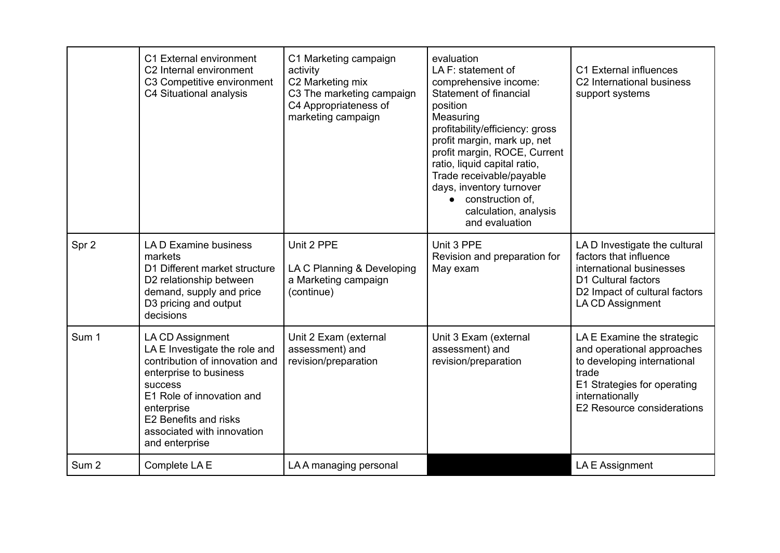|                  | C1 External environment<br>C <sub>2</sub> Internal environment<br>C3 Competitive environment<br>C4 Situational analysis                                                                                                                             | C1 Marketing campaign<br>activity<br>C2 Marketing mix<br>C3 The marketing campaign<br>C4 Appropriateness of<br>marketing campaign | evaluation<br>LA F: statement of<br>comprehensive income:<br>Statement of financial<br>position<br>Measuring<br>profitability/efficiency: gross<br>profit margin, mark up, net<br>profit margin, ROCE, Current<br>ratio, liquid capital ratio,<br>Trade receivable/payable<br>days, inventory turnover<br>construction of,<br>$\bullet$<br>calculation, analysis<br>and evaluation | C1 External influences<br>C <sub>2</sub> International business<br>support systems                                                                                               |
|------------------|-----------------------------------------------------------------------------------------------------------------------------------------------------------------------------------------------------------------------------------------------------|-----------------------------------------------------------------------------------------------------------------------------------|------------------------------------------------------------------------------------------------------------------------------------------------------------------------------------------------------------------------------------------------------------------------------------------------------------------------------------------------------------------------------------|----------------------------------------------------------------------------------------------------------------------------------------------------------------------------------|
| Spr 2            | LA D Examine business<br>markets<br>D1 Different market structure<br>D2 relationship between<br>demand, supply and price<br>D3 pricing and output<br>decisions                                                                                      | Unit 2 PPE<br>LA C Planning & Developing<br>a Marketing campaign<br>(continue)                                                    | Unit 3 PPE<br>Revision and preparation for<br>May exam                                                                                                                                                                                                                                                                                                                             | LA D Investigate the cultural<br>factors that influence<br>international businesses<br>D1 Cultural factors<br>D2 Impact of cultural factors<br>LA CD Assignment                  |
| Sum 1            | LA CD Assignment<br>LA E Investigate the role and<br>contribution of innovation and<br>enterprise to business<br><b>success</b><br>E1 Role of innovation and<br>enterprise<br>E2 Benefits and risks<br>associated with innovation<br>and enterprise | Unit 2 Exam (external<br>assessment) and<br>revision/preparation                                                                  | Unit 3 Exam (external<br>assessment) and<br>revision/preparation                                                                                                                                                                                                                                                                                                                   | LA E Examine the strategic<br>and operational approaches<br>to developing international<br>trade<br>E1 Strategies for operating<br>internationally<br>E2 Resource considerations |
| Sum <sub>2</sub> | Complete LA E                                                                                                                                                                                                                                       | LA A managing personal                                                                                                            |                                                                                                                                                                                                                                                                                                                                                                                    | LA E Assignment                                                                                                                                                                  |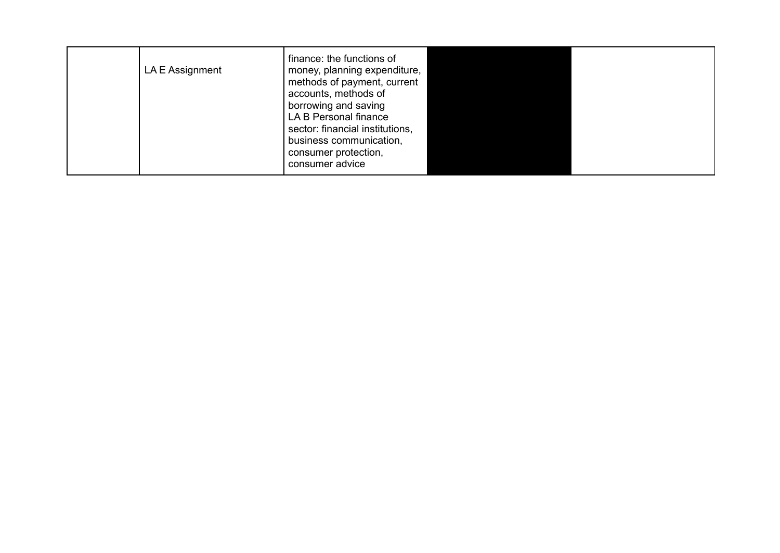| LA E Assignment | finance: the functions of<br>money, planning expenditure,<br>methods of payment, current<br>accounts, methods of<br>borrowing and saving<br>LA B Personal finance<br>sector: financial institutions,<br>business communication,<br>consumer protection,<br>consumer advice |  |  |
|-----------------|----------------------------------------------------------------------------------------------------------------------------------------------------------------------------------------------------------------------------------------------------------------------------|--|--|
|-----------------|----------------------------------------------------------------------------------------------------------------------------------------------------------------------------------------------------------------------------------------------------------------------------|--|--|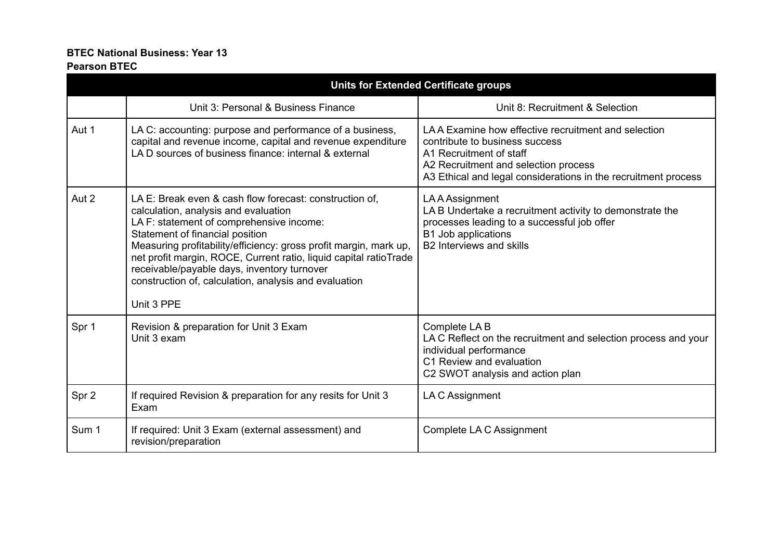## **BTEC National Business: Year 13**

## **Pearson BTEC**

|       | <b>Units for Extended Certificate groups</b>                                                                                                                                                                                                                                                                                                                                                                                                   |                                                                                                                                                                                                                            |  |  |  |
|-------|------------------------------------------------------------------------------------------------------------------------------------------------------------------------------------------------------------------------------------------------------------------------------------------------------------------------------------------------------------------------------------------------------------------------------------------------|----------------------------------------------------------------------------------------------------------------------------------------------------------------------------------------------------------------------------|--|--|--|
|       | Unit 3: Personal & Business Finance                                                                                                                                                                                                                                                                                                                                                                                                            | Unit 8: Recruitment & Selection                                                                                                                                                                                            |  |  |  |
| Aut 1 | LA C: accounting: purpose and performance of a business,<br>capital and revenue income, capital and revenue expenditure<br>LAD sources of business finance: internal & external                                                                                                                                                                                                                                                                | LAA Examine how effective recruitment and selection<br>contribute to business success<br>A1 Recruitment of staff<br>A2 Recruitment and selection process<br>A3 Ethical and legal considerations in the recruitment process |  |  |  |
| Aut 2 | LA E: Break even & cash flow forecast: construction of.<br>calculation, analysis and evaluation<br>LA F: statement of comprehensive income:<br>Statement of financial position<br>Measuring profitability/efficiency: gross profit margin, mark up,<br>net profit margin, ROCE, Current ratio, liquid capital ratioTrade<br>receivable/payable days, inventory turnover<br>construction of, calculation, analysis and evaluation<br>Unit 3 PPE | LA A Assignment<br>LA B Undertake a recruitment activity to demonstrate the<br>processes leading to a successful job offer<br>B1 Job applications<br>B2 Interviews and skills                                              |  |  |  |
| Spr 1 | Revision & preparation for Unit 3 Exam<br>Unit 3 exam                                                                                                                                                                                                                                                                                                                                                                                          | Complete LAB<br>LA C Reflect on the recruitment and selection process and your<br>individual performance<br>C1 Review and evaluation<br>C2 SWOT analysis and action plan                                                   |  |  |  |
| Spr 2 | If required Revision & preparation for any resits for Unit 3<br>Exam                                                                                                                                                                                                                                                                                                                                                                           | LA C Assignment                                                                                                                                                                                                            |  |  |  |
| Sum 1 | If required: Unit 3 Exam (external assessment) and<br>revision/preparation                                                                                                                                                                                                                                                                                                                                                                     | Complete LA C Assignment                                                                                                                                                                                                   |  |  |  |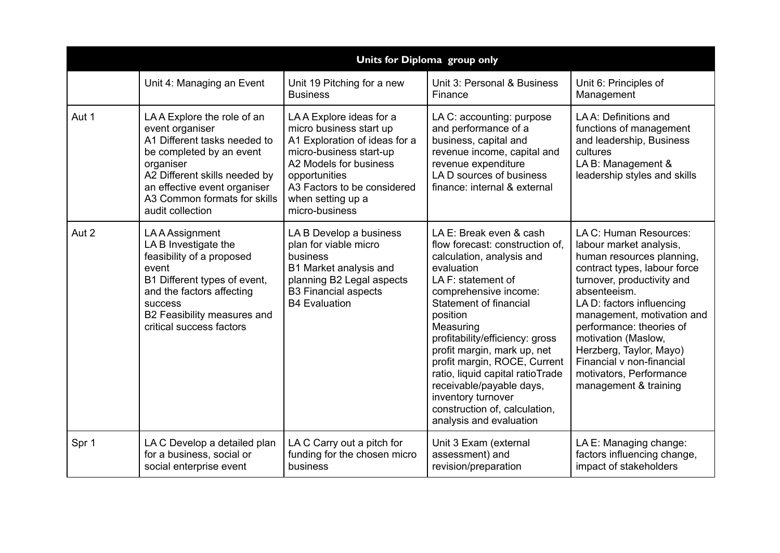|       | Units for Diploma group only                                                                                                                                                                                                                |                                                                                                                                                                                                                                 |                                                                                                                                                                                                                                                                                                                                                                                                                                                             |                                                                                                                                                                                                                                                                                                                                                                                        |  |
|-------|---------------------------------------------------------------------------------------------------------------------------------------------------------------------------------------------------------------------------------------------|---------------------------------------------------------------------------------------------------------------------------------------------------------------------------------------------------------------------------------|-------------------------------------------------------------------------------------------------------------------------------------------------------------------------------------------------------------------------------------------------------------------------------------------------------------------------------------------------------------------------------------------------------------------------------------------------------------|----------------------------------------------------------------------------------------------------------------------------------------------------------------------------------------------------------------------------------------------------------------------------------------------------------------------------------------------------------------------------------------|--|
|       | Unit 4: Managing an Event                                                                                                                                                                                                                   | Unit 19 Pitching for a new<br><b>Business</b>                                                                                                                                                                                   | Unit 3: Personal & Business<br>Finance                                                                                                                                                                                                                                                                                                                                                                                                                      | Unit 6: Principles of<br>Management                                                                                                                                                                                                                                                                                                                                                    |  |
| Aut 1 | LAA Explore the role of an<br>event organiser<br>A1 Different tasks needed to<br>be completed by an event<br>organiser<br>A2 Different skills needed by<br>an effective event organiser<br>A3 Common formats for skills<br>audit collection | LAA Explore ideas for a<br>micro business start up<br>A1 Exploration of ideas for a<br>micro-business start-up<br>A2 Models for business<br>opportunities<br>A3 Factors to be considered<br>when setting up a<br>micro-business | LA C: accounting: purpose<br>and performance of a<br>business, capital and<br>revenue income, capital and<br>revenue expenditure<br>LA D sources of business<br>finance: internal & external                                                                                                                                                                                                                                                                | LAA: Definitions and<br>functions of management<br>and leadership, Business<br>cultures<br>LA B: Management &<br>leadership styles and skills                                                                                                                                                                                                                                          |  |
| Aut 2 | LA A Assignment<br>LA B Investigate the<br>feasibility of a proposed<br>event<br>B1 Different types of event,<br>and the factors affecting<br><b>success</b><br>B2 Feasibility measures and<br>critical success factors                     | LA B Develop a business<br>plan for viable micro<br>business<br>B1 Market analysis and<br>planning B2 Legal aspects<br><b>B3 Financial aspects</b><br><b>B4 Evaluation</b>                                                      | LA E: Break even & cash<br>flow forecast: construction of,<br>calculation, analysis and<br>evaluation<br>LA F: statement of<br>comprehensive income:<br>Statement of financial<br>position<br>Measuring<br>profitability/efficiency: gross<br>profit margin, mark up, net<br>profit margin, ROCE, Current<br>ratio, liquid capital ratioTrade<br>receivable/payable days,<br>inventory turnover<br>construction of, calculation,<br>analysis and evaluation | LA C: Human Resources:<br>labour market analysis,<br>human resources planning,<br>contract types, labour force<br>turnover, productivity and<br>absenteeism.<br>LA D: factors influencing<br>management, motivation and<br>performance: theories of<br>motivation (Maslow,<br>Herzberg, Taylor, Mayo)<br>Financial v non-financial<br>motivators, Performance<br>management & training |  |
| Spr 1 | LA C Develop a detailed plan<br>for a business, social or<br>social enterprise event                                                                                                                                                        | LA C Carry out a pitch for<br>funding for the chosen micro<br>business                                                                                                                                                          | Unit 3 Exam (external<br>assessment) and<br>revision/preparation                                                                                                                                                                                                                                                                                                                                                                                            | LA E: Managing change:<br>factors influencing change,<br>impact of stakeholders                                                                                                                                                                                                                                                                                                        |  |